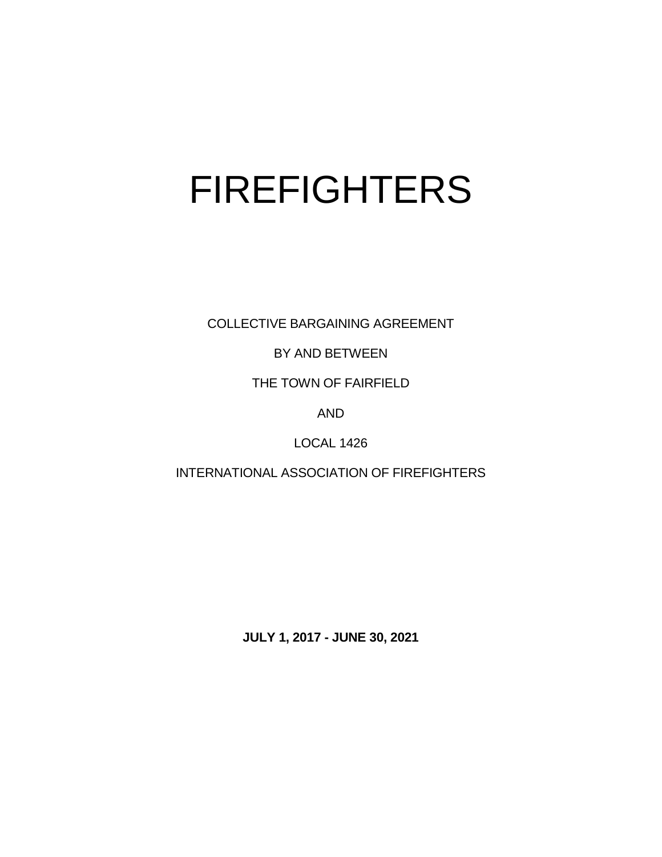# FIREFIGHTERS

COLLECTIVE BARGAINING AGREEMENT

BY AND BETWEEN

THE TOWN OF FAIRFIELD

AND

LOCAL 1426

INTERNATIONAL ASSOCIATION OF FIREFIGHTERS

**JULY 1, 2017 - JUNE 30, 2021**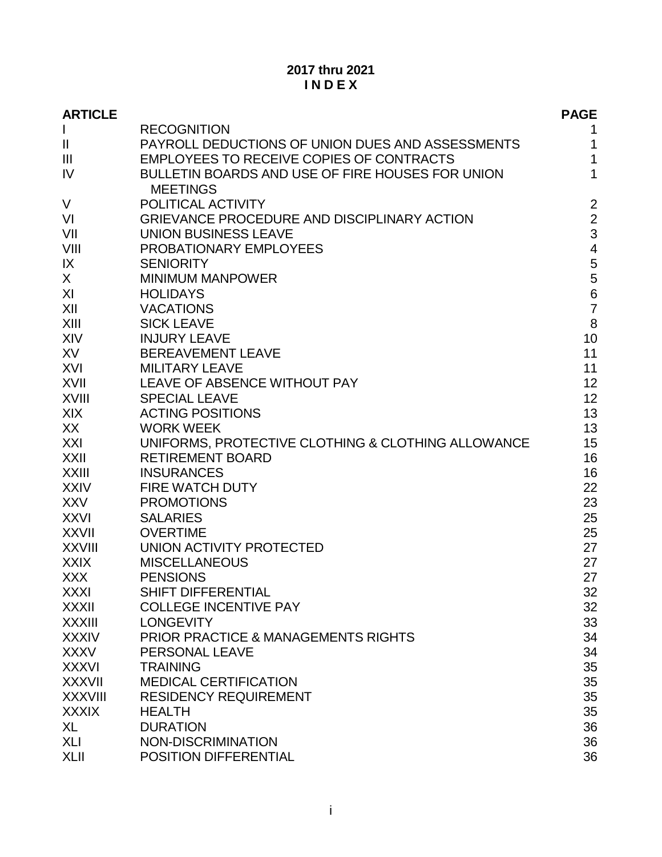# **2017 thru 2021 I N D E X**

| <b>ARTICLE</b> |                                                                     | <b>PAGE</b>    |
|----------------|---------------------------------------------------------------------|----------------|
| $\mathbf{I}$   | <b>RECOGNITION</b>                                                  | 1              |
| $\mathbf{I}$   | PAYROLL DEDUCTIONS OF UNION DUES AND ASSESSMENTS                    | 1              |
| $\mathbf{III}$ | <b>EMPLOYEES TO RECEIVE COPIES OF CONTRACTS</b>                     | $\mathbf{1}$   |
| IV             | BULLETIN BOARDS AND USE OF FIRE HOUSES FOR UNION<br><b>MEETINGS</b> | $\mathbf{1}$   |
| V              | POLITICAL ACTIVITY                                                  | $\overline{2}$ |
| VI             | <b>GRIEVANCE PROCEDURE AND DISCIPLINARY ACTION</b>                  | $\overline{2}$ |
| VII            | <b>UNION BUSINESS LEAVE</b>                                         | 3              |
| VIII           | PROBATIONARY EMPLOYEES                                              | $\overline{4}$ |
| IX             | <b>SENIORITY</b>                                                    | 5              |
| X              | <b>MINIMUM MANPOWER</b>                                             | 5              |
| XI             | <b>HOLIDAYS</b>                                                     | $\overline{6}$ |
| XII            | <b>VACATIONS</b>                                                    | $\overline{7}$ |
| XIII           | <b>SICK LEAVE</b>                                                   | 8              |
| <b>XIV</b>     | <b>INJURY LEAVE</b>                                                 | 10             |
| XV             | <b>BEREAVEMENT LEAVE</b>                                            | 11             |
| XVI            | <b>MILITARY LEAVE</b>                                               | 11             |
| <b>XVII</b>    | <b>LEAVE OF ABSENCE WITHOUT PAY</b>                                 | 12             |
| <b>XVIII</b>   | <b>SPECIAL LEAVE</b>                                                | 12             |
| <b>XIX</b>     | <b>ACTING POSITIONS</b>                                             | 13             |
| XX             | <b>WORK WEEK</b>                                                    | 13             |
| XXI            | UNIFORMS, PROTECTIVE CLOTHING & CLOTHING ALLOWANCE                  | 15             |
| XXII           | <b>RETIREMENT BOARD</b>                                             | 16             |
| <b>XXIII</b>   | <b>INSURANCES</b>                                                   | 16             |
| <b>XXIV</b>    | <b>FIRE WATCH DUTY</b>                                              | 22             |
| <b>XXV</b>     | <b>PROMOTIONS</b>                                                   | 23             |
| <b>XXVI</b>    | <b>SALARIES</b>                                                     | 25             |
| <b>XXVII</b>   | <b>OVERTIME</b>                                                     | 25             |
| <b>XXVIII</b>  | UNION ACTIVITY PROTECTED                                            | 27             |
| <b>XXIX</b>    | <b>MISCELLANEOUS</b>                                                | 27             |
| <b>XXX</b>     | <b>PENSIONS</b>                                                     | 27             |
| <b>XXXI</b>    | SHIFT DIFFERENTIAL                                                  | 32             |
| XXXII          | <b>COLLEGE INCENTIVE PAY</b>                                        | 32             |
| <b>XXXIII</b>  | <b>LONGEVITY</b>                                                    | 33             |
| <b>XXXIV</b>   | <b>PRIOR PRACTICE &amp; MANAGEMENTS RIGHTS</b>                      | 34             |
| <b>XXXV</b>    | PERSONAL LEAVE                                                      | 34             |
| <b>XXXVI</b>   | <b>TRAINING</b>                                                     | 35             |
| <b>XXXVII</b>  | <b>MEDICAL CERTIFICATION</b>                                        | 35             |
| <b>XXXVIII</b> | <b>RESIDENCY REQUIREMENT</b>                                        | 35             |
| <b>XXXIX</b>   | <b>HEALTH</b>                                                       | 35             |
| XL             | <b>DURATION</b>                                                     | 36             |
| XLI            | NON-DISCRIMINATION                                                  | 36             |
| <b>XLII</b>    | POSITION DIFFERENTIAL                                               | 36             |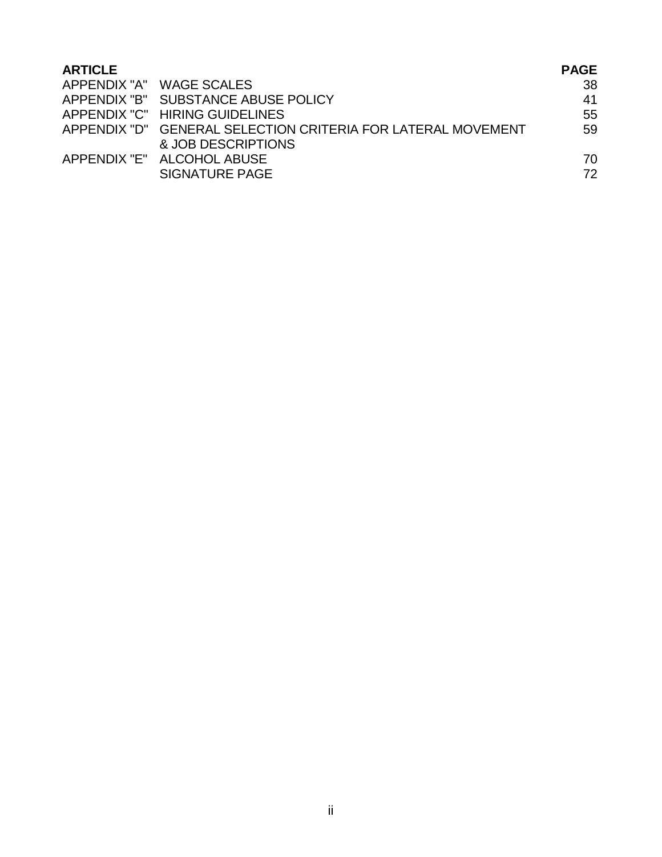| <b>ARTICLE</b> |                                                              | <b>PAGE</b> |
|----------------|--------------------------------------------------------------|-------------|
|                | APPENDIX "A" WAGE SCALES                                     | 38          |
|                | APPENDIX "B" SUBSTANCE ABUSE POLICY                          | 41          |
|                | APPENDIX "C" HIRING GUIDELINES                               | 55          |
|                | APPENDIX "D" GENERAL SELECTION CRITERIA FOR LATERAL MOVEMENT | 59          |
|                | & JOB DESCRIPTIONS                                           |             |
|                | APPENDIX "E" ALCOHOL ABUSE                                   | 70          |
|                | SIGNATURE PAGE                                               | 72          |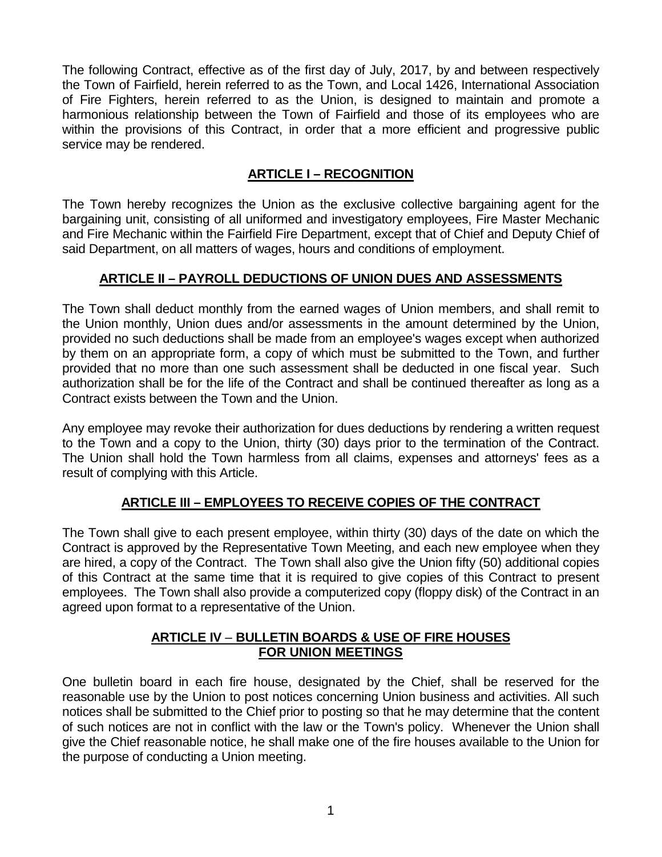The following Contract, effective as of the first day of July, 2017, by and between respectively the Town of Fairfield, herein referred to as the Town, and Local 1426, International Association of Fire Fighters, herein referred to as the Union, is designed to maintain and promote a harmonious relationship between the Town of Fairfield and those of its employees who are within the provisions of this Contract, in order that a more efficient and progressive public service may be rendered.

# **ARTICLE I – RECOGNITION**

The Town hereby recognizes the Union as the exclusive collective bargaining agent for the bargaining unit, consisting of all uniformed and investigatory employees, Fire Master Mechanic and Fire Mechanic within the Fairfield Fire Department, except that of Chief and Deputy Chief of said Department, on all matters of wages, hours and conditions of employment.

# **ARTICLE II – PAYROLL DEDUCTIONS OF UNION DUES AND ASSESSMENTS**

The Town shall deduct monthly from the earned wages of Union members, and shall remit to the Union monthly, Union dues and/or assessments in the amount determined by the Union, provided no such deductions shall be made from an employee's wages except when authorized by them on an appropriate form, a copy of which must be submitted to the Town, and further provided that no more than one such assessment shall be deducted in one fiscal year. Such authorization shall be for the life of the Contract and shall be continued thereafter as long as a Contract exists between the Town and the Union.

Any employee may revoke their authorization for dues deductions by rendering a written request to the Town and a copy to the Union, thirty (30) days prior to the termination of the Contract. The Union shall hold the Town harmless from all claims, expenses and attorneys' fees as a result of complying with this Article.

# **ARTICLE III – EMPLOYEES TO RECEIVE COPIES OF THE CONTRACT**

The Town shall give to each present employee, within thirty (30) days of the date on which the Contract is approved by the Representative Town Meeting, and each new employee when they are hired, a copy of the Contract. The Town shall also give the Union fifty (50) additional copies of this Contract at the same time that it is required to give copies of this Contract to present employees. The Town shall also provide a computerized copy (floppy disk) of the Contract in an agreed upon format to a representative of the Union.

# **ARTICLE IV** – **BULLETIN BOARDS & USE OF FIRE HOUSES FOR UNION MEETINGS**

One bulletin board in each fire house, designated by the Chief, shall be reserved for the reasonable use by the Union to post notices concerning Union business and activities. All such notices shall be submitted to the Chief prior to posting so that he may determine that the content of such notices are not in conflict with the law or the Town's policy. Whenever the Union shall give the Chief reasonable notice, he shall make one of the fire houses available to the Union for the purpose of conducting a Union meeting.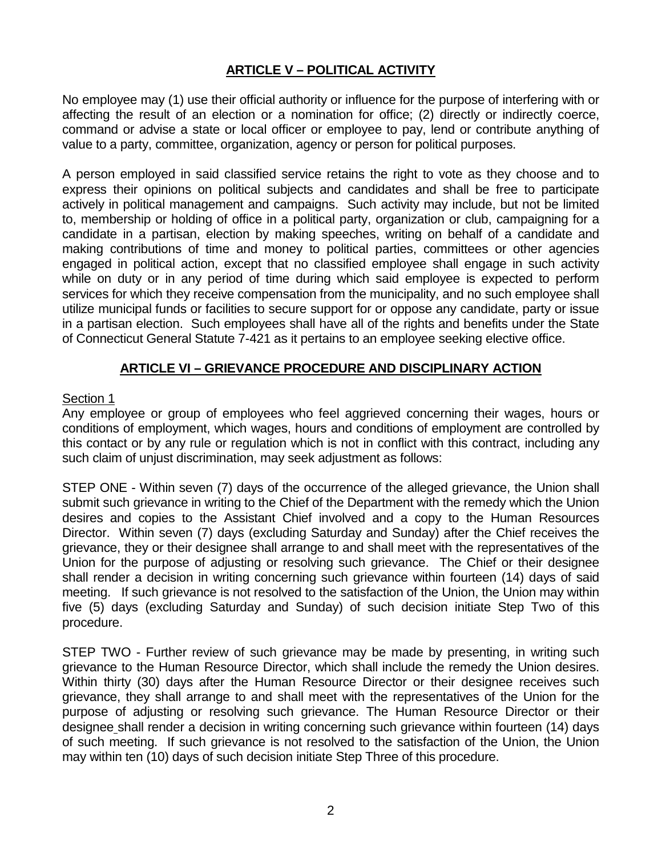# **ARTICLE V – POLITICAL ACTIVITY**

No employee may (1) use their official authority or influence for the purpose of interfering with or affecting the result of an election or a nomination for office; (2) directly or indirectly coerce, command or advise a state or local officer or employee to pay, lend or contribute anything of value to a party, committee, organization, agency or person for political purposes.

A person employed in said classified service retains the right to vote as they choose and to express their opinions on political subjects and candidates and shall be free to participate actively in political management and campaigns. Such activity may include, but not be limited to, membership or holding of office in a political party, organization or club, campaigning for a candidate in a partisan, election by making speeches, writing on behalf of a candidate and making contributions of time and money to political parties, committees or other agencies engaged in political action, except that no classified employee shall engage in such activity while on duty or in any period of time during which said employee is expected to perform services for which they receive compensation from the municipality, and no such employee shall utilize municipal funds or facilities to secure support for or oppose any candidate, party or issue in a partisan election. Such employees shall have all of the rights and benefits under the State of Connecticut General Statute 7-421 as it pertains to an employee seeking elective office.

# **ARTICLE VI – GRIEVANCE PROCEDURE AND DISCIPLINARY ACTION**

#### Section 1

Any employee or group of employees who feel aggrieved concerning their wages, hours or conditions of employment, which wages, hours and conditions of employment are controlled by this contact or by any rule or regulation which is not in conflict with this contract, including any such claim of unjust discrimination, may seek adjustment as follows:

STEP ONE - Within seven (7) days of the occurrence of the alleged grievance, the Union shall submit such grievance in writing to the Chief of the Department with the remedy which the Union desires and copies to the Assistant Chief involved and a copy to the Human Resources Director. Within seven (7) days (excluding Saturday and Sunday) after the Chief receives the grievance, they or their designee shall arrange to and shall meet with the representatives of the Union for the purpose of adjusting or resolving such grievance. The Chief or their designee shall render a decision in writing concerning such grievance within fourteen (14) days of said meeting. If such grievance is not resolved to the satisfaction of the Union, the Union may within five (5) days (excluding Saturday and Sunday) of such decision initiate Step Two of this procedure.

STEP TWO - Further review of such grievance may be made by presenting, in writing such grievance to the Human Resource Director, which shall include the remedy the Union desires. Within thirty (30) days after the Human Resource Director or their designee receives such grievance, they shall arrange to and shall meet with the representatives of the Union for the purpose of adjusting or resolving such grievance. The Human Resource Director or their designee shall render a decision in writing concerning such grievance within fourteen (14) days of such meeting. If such grievance is not resolved to the satisfaction of the Union, the Union may within ten (10) days of such decision initiate Step Three of this procedure.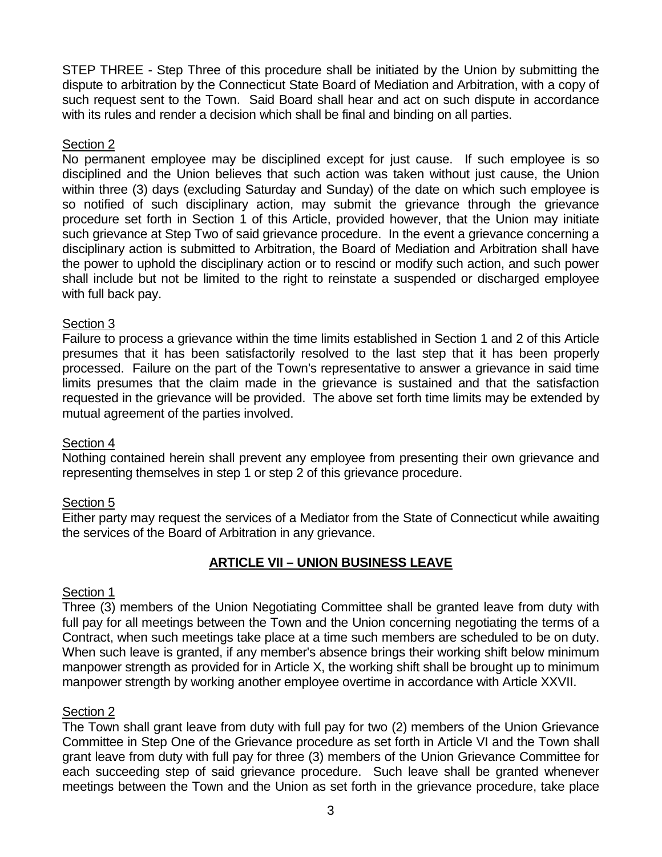STEP THREE - Step Three of this procedure shall be initiated by the Union by submitting the dispute to arbitration by the Connecticut State Board of Mediation and Arbitration, with a copy of such request sent to the Town. Said Board shall hear and act on such dispute in accordance with its rules and render a decision which shall be final and binding on all parties.

## Section 2

No permanent employee may be disciplined except for just cause. If such employee is so disciplined and the Union believes that such action was taken without just cause, the Union within three (3) days (excluding Saturday and Sunday) of the date on which such employee is so notified of such disciplinary action, may submit the grievance through the grievance procedure set forth in Section 1 of this Article, provided however, that the Union may initiate such grievance at Step Two of said grievance procedure. In the event a grievance concerning a disciplinary action is submitted to Arbitration, the Board of Mediation and Arbitration shall have the power to uphold the disciplinary action or to rescind or modify such action, and such power shall include but not be limited to the right to reinstate a suspended or discharged employee with full back pay.

# Section 3

Failure to process a grievance within the time limits established in Section 1 and 2 of this Article presumes that it has been satisfactorily resolved to the last step that it has been properly processed. Failure on the part of the Town's representative to answer a grievance in said time limits presumes that the claim made in the grievance is sustained and that the satisfaction requested in the grievance will be provided. The above set forth time limits may be extended by mutual agreement of the parties involved.

#### Section 4

Nothing contained herein shall prevent any employee from presenting their own grievance and representing themselves in step 1 or step 2 of this grievance procedure.

#### Section 5

Either party may request the services of a Mediator from the State of Connecticut while awaiting the services of the Board of Arbitration in any grievance.

# **ARTICLE VII – UNION BUSINESS LEAVE**

#### Section 1

Three (3) members of the Union Negotiating Committee shall be granted leave from duty with full pay for all meetings between the Town and the Union concerning negotiating the terms of a Contract, when such meetings take place at a time such members are scheduled to be on duty. When such leave is granted, if any member's absence brings their working shift below minimum manpower strength as provided for in Article X, the working shift shall be brought up to minimum manpower strength by working another employee overtime in accordance with Article XXVII.

#### Section 2

The Town shall grant leave from duty with full pay for two (2) members of the Union Grievance Committee in Step One of the Grievance procedure as set forth in Article VI and the Town shall grant leave from duty with full pay for three (3) members of the Union Grievance Committee for each succeeding step of said grievance procedure. Such leave shall be granted whenever meetings between the Town and the Union as set forth in the grievance procedure, take place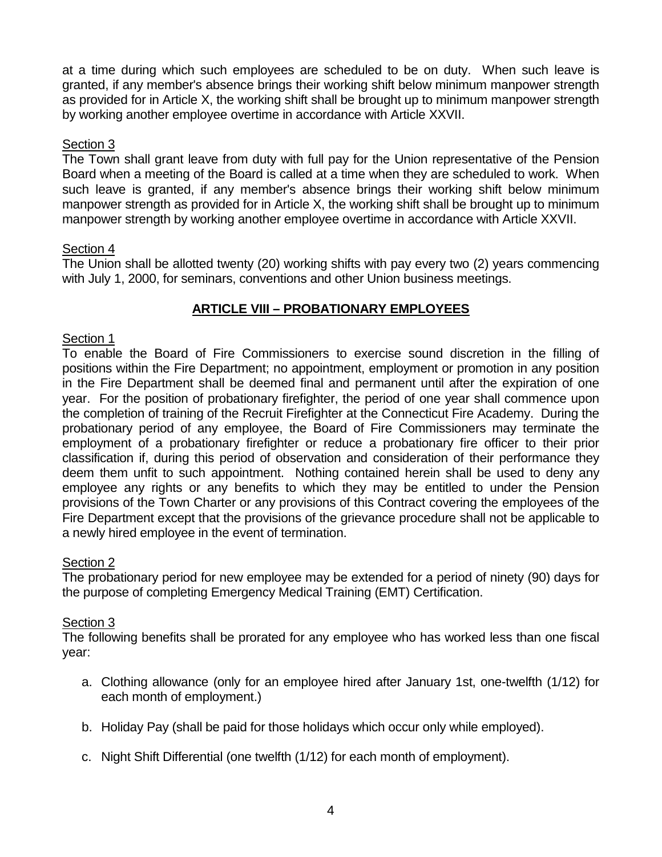at a time during which such employees are scheduled to be on duty. When such leave is granted, if any member's absence brings their working shift below minimum manpower strength as provided for in Article X, the working shift shall be brought up to minimum manpower strength by working another employee overtime in accordance with Article XXVII.

#### Section 3

The Town shall grant leave from duty with full pay for the Union representative of the Pension Board when a meeting of the Board is called at a time when they are scheduled to work. When such leave is granted, if any member's absence brings their working shift below minimum manpower strength as provided for in Article X, the working shift shall be brought up to minimum manpower strength by working another employee overtime in accordance with Article XXVII.

# Section 4

The Union shall be allotted twenty (20) working shifts with pay every two (2) years commencing with July 1, 2000, for seminars, conventions and other Union business meetings.

# **ARTICLE VIII – PROBATIONARY EMPLOYEES**

# Section 1

To enable the Board of Fire Commissioners to exercise sound discretion in the filling of positions within the Fire Department; no appointment, employment or promotion in any position in the Fire Department shall be deemed final and permanent until after the expiration of one year. For the position of probationary firefighter, the period of one year shall commence upon the completion of training of the Recruit Firefighter at the Connecticut Fire Academy. During the probationary period of any employee, the Board of Fire Commissioners may terminate the employment of a probationary firefighter or reduce a probationary fire officer to their prior classification if, during this period of observation and consideration of their performance they deem them unfit to such appointment. Nothing contained herein shall be used to deny any employee any rights or any benefits to which they may be entitled to under the Pension provisions of the Town Charter or any provisions of this Contract covering the employees of the Fire Department except that the provisions of the grievance procedure shall not be applicable to a newly hired employee in the event of termination.

# Section 2

The probationary period for new employee may be extended for a period of ninety (90) days for the purpose of completing Emergency Medical Training (EMT) Certification.

#### Section 3

The following benefits shall be prorated for any employee who has worked less than one fiscal year:

- a. Clothing allowance (only for an employee hired after January 1st, one-twelfth (1/12) for each month of employment.)
- b. Holiday Pay (shall be paid for those holidays which occur only while employed).
- c. Night Shift Differential (one twelfth (1/12) for each month of employment).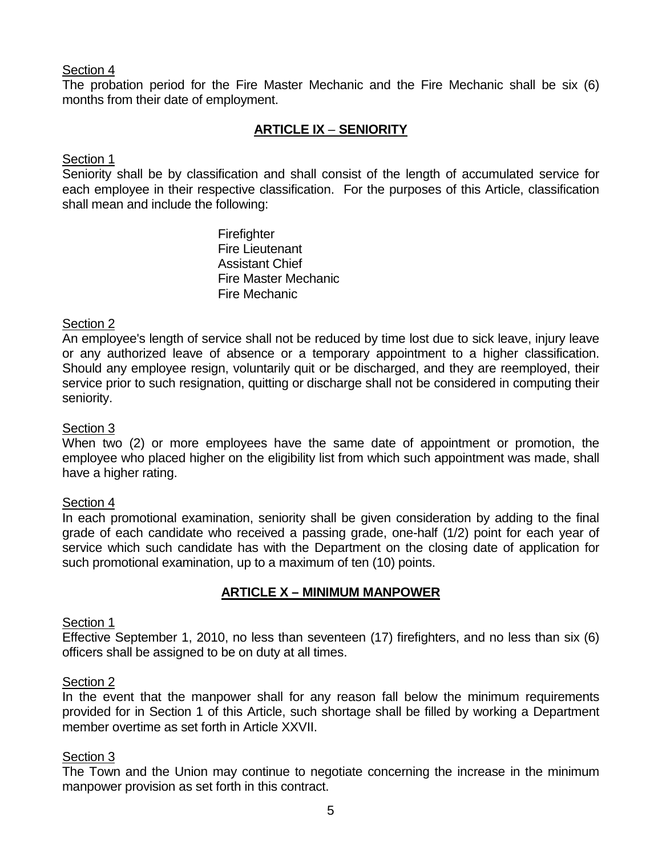The probation period for the Fire Master Mechanic and the Fire Mechanic shall be six (6) months from their date of employment.

# **ARTICLE IX** – **SENIORITY**

# Section 1

Seniority shall be by classification and shall consist of the length of accumulated service for each employee in their respective classification. For the purposes of this Article, classification shall mean and include the following:

> **Firefighter** Fire Lieutenant Assistant Chief Fire Master Mechanic Fire Mechanic

# Section 2

An employee's length of service shall not be reduced by time lost due to sick leave, injury leave or any authorized leave of absence or a temporary appointment to a higher classification. Should any employee resign, voluntarily quit or be discharged, and they are reemployed, their service prior to such resignation, quitting or discharge shall not be considered in computing their seniority.

## Section 3

When two (2) or more employees have the same date of appointment or promotion, the employee who placed higher on the eligibility list from which such appointment was made, shall have a higher rating.

#### Section 4

In each promotional examination, seniority shall be given consideration by adding to the final grade of each candidate who received a passing grade, one-half (1/2) point for each year of service which such candidate has with the Department on the closing date of application for such promotional examination, up to a maximum of ten (10) points.

# **ARTICLE X – MINIMUM MANPOWER**

#### Section 1

Effective September 1, 2010, no less than seventeen (17) firefighters, and no less than six (6) officers shall be assigned to be on duty at all times.

#### Section 2

In the event that the manpower shall for any reason fall below the minimum requirements provided for in Section 1 of this Article, such shortage shall be filled by working a Department member overtime as set forth in Article XXVII.

#### Section 3

The Town and the Union may continue to negotiate concerning the increase in the minimum manpower provision as set forth in this contract.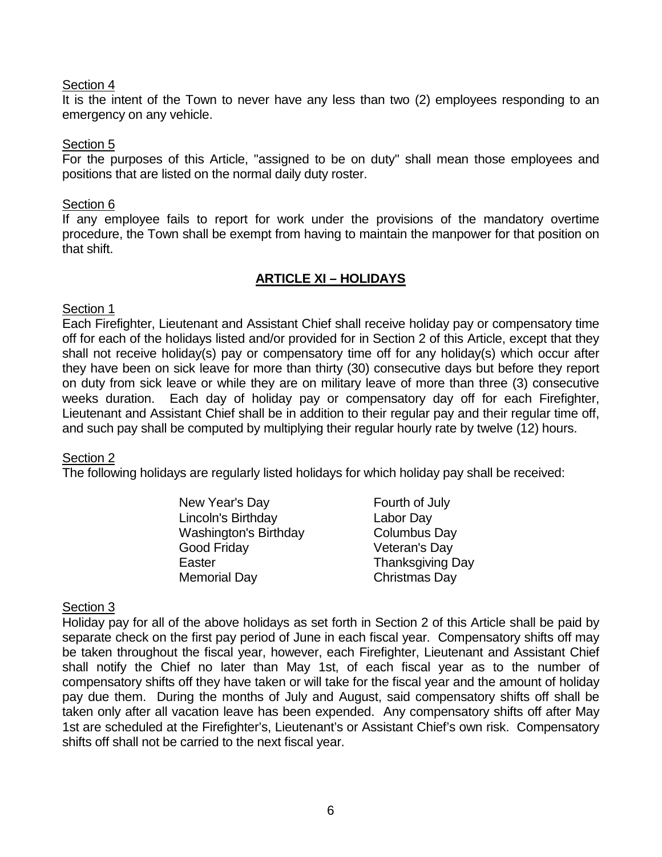It is the intent of the Town to never have any less than two (2) employees responding to an emergency on any vehicle.

#### Section 5

For the purposes of this Article, "assigned to be on duty" shall mean those employees and positions that are listed on the normal daily duty roster.

#### Section 6

If any employee fails to report for work under the provisions of the mandatory overtime procedure, the Town shall be exempt from having to maintain the manpower for that position on that shift.

#### **ARTICLE XI – HOLIDAYS**

#### Section 1

Each Firefighter, Lieutenant and Assistant Chief shall receive holiday pay or compensatory time off for each of the holidays listed and/or provided for in Section 2 of this Article, except that they shall not receive holiday(s) pay or compensatory time off for any holiday(s) which occur after they have been on sick leave for more than thirty (30) consecutive days but before they report on duty from sick leave or while they are on military leave of more than three (3) consecutive weeks duration. Each day of holiday pay or compensatory day off for each Firefighter, Lieutenant and Assistant Chief shall be in addition to their regular pay and their regular time off, and such pay shall be computed by multiplying their regular hourly rate by twelve (12) hours.

#### Section 2

The following holidays are regularly listed holidays for which holiday pay shall be received:

| Labor Day               |
|-------------------------|
| Columbus Day            |
| Veteran's Day           |
| <b>Thanksgiving Day</b> |
| Christmas Day           |
|                         |

#### Section 3

Holiday pay for all of the above holidays as set forth in Section 2 of this Article shall be paid by separate check on the first pay period of June in each fiscal year. Compensatory shifts off may be taken throughout the fiscal year, however, each Firefighter, Lieutenant and Assistant Chief shall notify the Chief no later than May 1st, of each fiscal year as to the number of compensatory shifts off they have taken or will take for the fiscal year and the amount of holiday pay due them. During the months of July and August, said compensatory shifts off shall be taken only after all vacation leave has been expended. Any compensatory shifts off after May 1st are scheduled at the Firefighter's, Lieutenant's or Assistant Chief's own risk. Compensatory shifts off shall not be carried to the next fiscal year.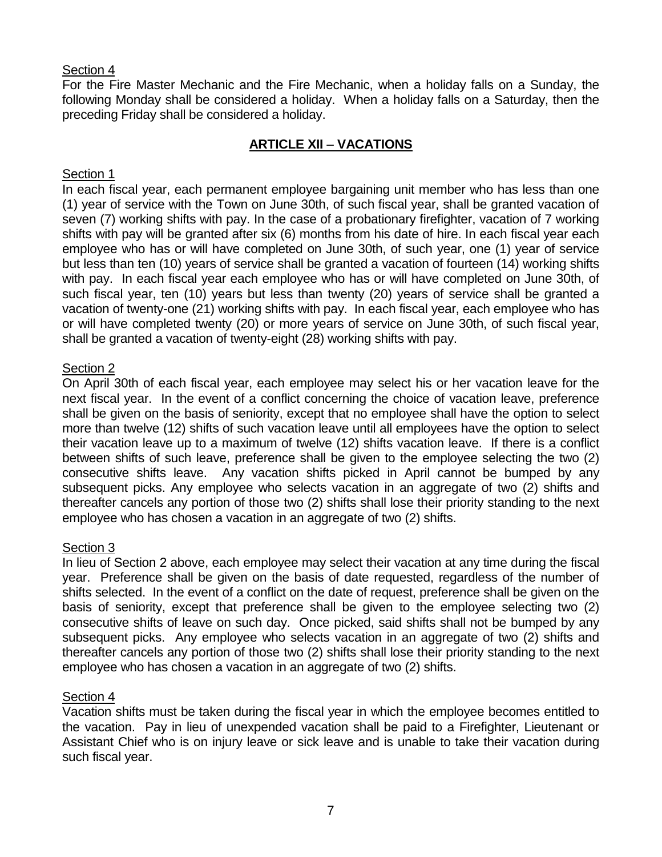For the Fire Master Mechanic and the Fire Mechanic, when a holiday falls on a Sunday, the following Monday shall be considered a holiday. When a holiday falls on a Saturday, then the preceding Friday shall be considered a holiday.

# **ARTICLE XII** – **VACATIONS**

# Section 1

In each fiscal year, each permanent employee bargaining unit member who has less than one (1) year of service with the Town on June 30th, of such fiscal year, shall be granted vacation of seven (7) working shifts with pay. In the case of a probationary firefighter, vacation of 7 working shifts with pay will be granted after six (6) months from his date of hire. In each fiscal year each employee who has or will have completed on June 30th, of such year, one (1) year of service but less than ten (10) years of service shall be granted a vacation of fourteen (14) working shifts with pay. In each fiscal year each employee who has or will have completed on June 30th, of such fiscal year, ten (10) years but less than twenty (20) years of service shall be granted a vacation of twenty-one (21) working shifts with pay. In each fiscal year, each employee who has or will have completed twenty (20) or more years of service on June 30th, of such fiscal year, shall be granted a vacation of twenty-eight (28) working shifts with pay.

# Section 2

On April 30th of each fiscal year, each employee may select his or her vacation leave for the next fiscal year. In the event of a conflict concerning the choice of vacation leave, preference shall be given on the basis of seniority, except that no employee shall have the option to select more than twelve (12) shifts of such vacation leave until all employees have the option to select their vacation leave up to a maximum of twelve (12) shifts vacation leave. If there is a conflict between shifts of such leave, preference shall be given to the employee selecting the two (2) consecutive shifts leave. Any vacation shifts picked in April cannot be bumped by any subsequent picks. Any employee who selects vacation in an aggregate of two (2) shifts and thereafter cancels any portion of those two (2) shifts shall lose their priority standing to the next employee who has chosen a vacation in an aggregate of two (2) shifts.

#### Section 3

In lieu of Section 2 above, each employee may select their vacation at any time during the fiscal year. Preference shall be given on the basis of date requested, regardless of the number of shifts selected. In the event of a conflict on the date of request, preference shall be given on the basis of seniority, except that preference shall be given to the employee selecting two (2) consecutive shifts of leave on such day. Once picked, said shifts shall not be bumped by any subsequent picks. Any employee who selects vacation in an aggregate of two (2) shifts and thereafter cancels any portion of those two (2) shifts shall lose their priority standing to the next employee who has chosen a vacation in an aggregate of two (2) shifts.

#### Section 4

Vacation shifts must be taken during the fiscal year in which the employee becomes entitled to the vacation. Pay in lieu of unexpended vacation shall be paid to a Firefighter, Lieutenant or Assistant Chief who is on injury leave or sick leave and is unable to take their vacation during such fiscal year.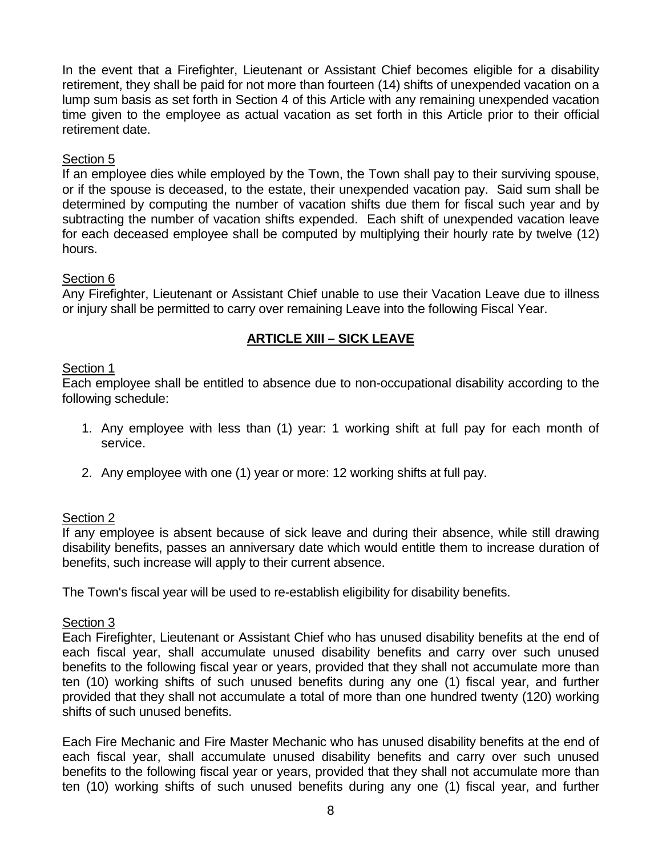In the event that a Firefighter, Lieutenant or Assistant Chief becomes eligible for a disability retirement, they shall be paid for not more than fourteen (14) shifts of unexpended vacation on a lump sum basis as set forth in Section 4 of this Article with any remaining unexpended vacation time given to the employee as actual vacation as set forth in this Article prior to their official retirement date.

# Section 5

If an employee dies while employed by the Town, the Town shall pay to their surviving spouse, or if the spouse is deceased, to the estate, their unexpended vacation pay. Said sum shall be determined by computing the number of vacation shifts due them for fiscal such year and by subtracting the number of vacation shifts expended. Each shift of unexpended vacation leave for each deceased employee shall be computed by multiplying their hourly rate by twelve (12) hours.

# Section 6

Any Firefighter, Lieutenant or Assistant Chief unable to use their Vacation Leave due to illness or injury shall be permitted to carry over remaining Leave into the following Fiscal Year.

# **ARTICLE XIII – SICK LEAVE**

#### Section 1

Each employee shall be entitled to absence due to non-occupational disability according to the following schedule:

- 1. Any employee with less than (1) year: 1 working shift at full pay for each month of service.
- 2. Any employee with one (1) year or more: 12 working shifts at full pay.

### Section 2

If any employee is absent because of sick leave and during their absence, while still drawing disability benefits, passes an anniversary date which would entitle them to increase duration of benefits, such increase will apply to their current absence.

The Town's fiscal year will be used to re-establish eligibility for disability benefits.

#### Section 3

Each Firefighter, Lieutenant or Assistant Chief who has unused disability benefits at the end of each fiscal year, shall accumulate unused disability benefits and carry over such unused benefits to the following fiscal year or years, provided that they shall not accumulate more than ten (10) working shifts of such unused benefits during any one (1) fiscal year, and further provided that they shall not accumulate a total of more than one hundred twenty (120) working shifts of such unused benefits.

Each Fire Mechanic and Fire Master Mechanic who has unused disability benefits at the end of each fiscal year, shall accumulate unused disability benefits and carry over such unused benefits to the following fiscal year or years, provided that they shall not accumulate more than ten (10) working shifts of such unused benefits during any one (1) fiscal year, and further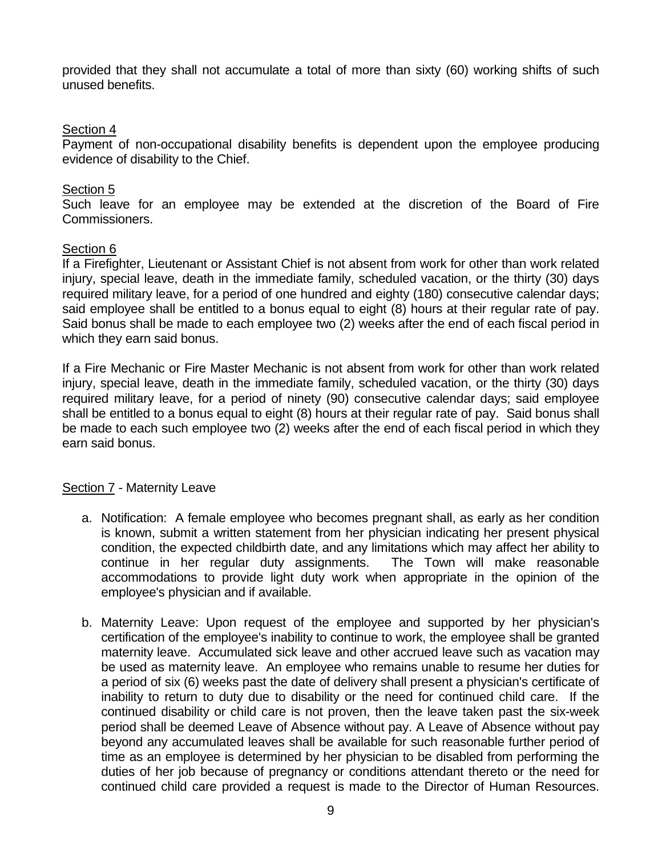provided that they shall not accumulate a total of more than sixty (60) working shifts of such unused benefits.

## Section 4

Payment of non-occupational disability benefits is dependent upon the employee producing evidence of disability to the Chief.

## Section<sub>5</sub>

Such leave for an employee may be extended at the discretion of the Board of Fire Commissioners.

#### Section 6

If a Firefighter, Lieutenant or Assistant Chief is not absent from work for other than work related injury, special leave, death in the immediate family, scheduled vacation, or the thirty (30) days required military leave, for a period of one hundred and eighty (180) consecutive calendar days; said employee shall be entitled to a bonus equal to eight (8) hours at their regular rate of pay. Said bonus shall be made to each employee two (2) weeks after the end of each fiscal period in which they earn said bonus.

If a Fire Mechanic or Fire Master Mechanic is not absent from work for other than work related injury, special leave, death in the immediate family, scheduled vacation, or the thirty (30) days required military leave, for a period of ninety (90) consecutive calendar days; said employee shall be entitled to a bonus equal to eight (8) hours at their regular rate of pay. Said bonus shall be made to each such employee two (2) weeks after the end of each fiscal period in which they earn said bonus.

#### Section 7 - Maternity Leave

- a. Notification: A female employee who becomes pregnant shall, as early as her condition is known, submit a written statement from her physician indicating her present physical condition, the expected childbirth date, and any limitations which may affect her ability to continue in her regular duty assignments. The Town will make reasonable accommodations to provide light duty work when appropriate in the opinion of the employee's physician and if available.
- b. Maternity Leave: Upon request of the employee and supported by her physician's certification of the employee's inability to continue to work, the employee shall be granted maternity leave. Accumulated sick leave and other accrued leave such as vacation may be used as maternity leave. An employee who remains unable to resume her duties for a period of six (6) weeks past the date of delivery shall present a physician's certificate of inability to return to duty due to disability or the need for continued child care. If the continued disability or child care is not proven, then the leave taken past the six-week period shall be deemed Leave of Absence without pay. A Leave of Absence without pay beyond any accumulated leaves shall be available for such reasonable further period of time as an employee is determined by her physician to be disabled from performing the duties of her job because of pregnancy or conditions attendant thereto or the need for continued child care provided a request is made to the Director of Human Resources.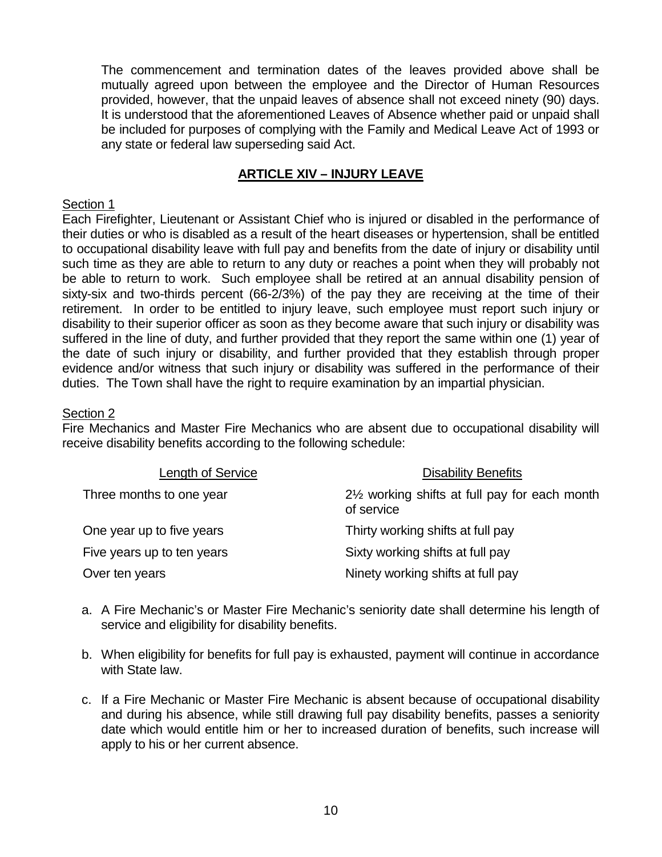The commencement and termination dates of the leaves provided above shall be mutually agreed upon between the employee and the Director of Human Resources provided, however, that the unpaid leaves of absence shall not exceed ninety (90) days. It is understood that the aforementioned Leaves of Absence whether paid or unpaid shall be included for purposes of complying with the Family and Medical Leave Act of 1993 or any state or federal law superseding said Act.

# **ARTICLE XIV – INJURY LEAVE**

#### Section 1

Each Firefighter, Lieutenant or Assistant Chief who is injured or disabled in the performance of their duties or who is disabled as a result of the heart diseases or hypertension, shall be entitled to occupational disability leave with full pay and benefits from the date of injury or disability until such time as they are able to return to any duty or reaches a point when they will probably not be able to return to work. Such employee shall be retired at an annual disability pension of sixty-six and two-thirds percent (66-2/3%) of the pay they are receiving at the time of their retirement. In order to be entitled to injury leave, such employee must report such injury or disability to their superior officer as soon as they become aware that such injury or disability was suffered in the line of duty, and further provided that they report the same within one (1) year of the date of such injury or disability, and further provided that they establish through proper evidence and/or witness that such injury or disability was suffered in the performance of their duties. The Town shall have the right to require examination by an impartial physician.

#### Section 2

Fire Mechanics and Master Fire Mechanics who are absent due to occupational disability will receive disability benefits according to the following schedule:

| Length of Service          | <b>Disability Benefits</b>                                               |
|----------------------------|--------------------------------------------------------------------------|
| Three months to one year   | 2 <sup>1/2</sup> working shifts at full pay for each month<br>of service |
| One year up to five years  | Thirty working shifts at full pay                                        |
| Five years up to ten years | Sixty working shifts at full pay                                         |
| Over ten years             | Ninety working shifts at full pay                                        |

- a. A Fire Mechanic's or Master Fire Mechanic's seniority date shall determine his length of service and eligibility for disability benefits.
- b. When eligibility for benefits for full pay is exhausted, payment will continue in accordance with State law.
- c. If a Fire Mechanic or Master Fire Mechanic is absent because of occupational disability and during his absence, while still drawing full pay disability benefits, passes a seniority date which would entitle him or her to increased duration of benefits, such increase will apply to his or her current absence.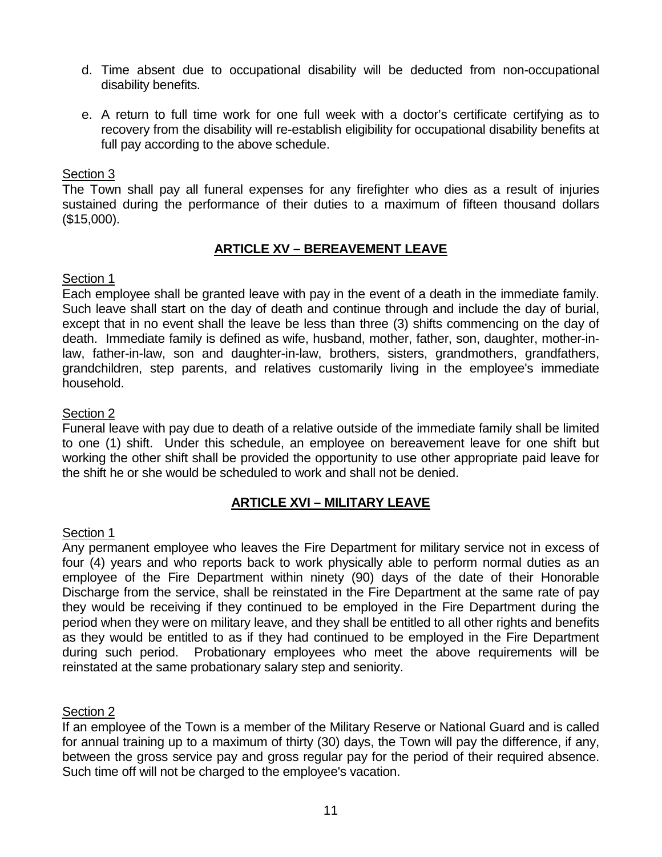- d. Time absent due to occupational disability will be deducted from non-occupational disability benefits.
- e. A return to full time work for one full week with a doctor's certificate certifying as to recovery from the disability will re-establish eligibility for occupational disability benefits at full pay according to the above schedule.

The Town shall pay all funeral expenses for any firefighter who dies as a result of injuries sustained during the performance of their duties to a maximum of fifteen thousand dollars (\$15,000).

# **ARTICLE XV – BEREAVEMENT LEAVE**

#### Section 1

Each employee shall be granted leave with pay in the event of a death in the immediate family. Such leave shall start on the day of death and continue through and include the day of burial, except that in no event shall the leave be less than three (3) shifts commencing on the day of death. Immediate family is defined as wife, husband, mother, father, son, daughter, mother-inlaw, father-in-law, son and daughter-in-law, brothers, sisters, grandmothers, grandfathers, grandchildren, step parents, and relatives customarily living in the employee's immediate household.

# Section 2

Funeral leave with pay due to death of a relative outside of the immediate family shall be limited to one (1) shift. Under this schedule, an employee on bereavement leave for one shift but working the other shift shall be provided the opportunity to use other appropriate paid leave for the shift he or she would be scheduled to work and shall not be denied.

# **ARTICLE XVI – MILITARY LEAVE**

#### Section 1

Any permanent employee who leaves the Fire Department for military service not in excess of four (4) years and who reports back to work physically able to perform normal duties as an employee of the Fire Department within ninety (90) days of the date of their Honorable Discharge from the service, shall be reinstated in the Fire Department at the same rate of pay they would be receiving if they continued to be employed in the Fire Department during the period when they were on military leave, and they shall be entitled to all other rights and benefits as they would be entitled to as if they had continued to be employed in the Fire Department during such period. Probationary employees who meet the above requirements will be reinstated at the same probationary salary step and seniority.

#### Section 2

If an employee of the Town is a member of the Military Reserve or National Guard and is called for annual training up to a maximum of thirty (30) days, the Town will pay the difference, if any, between the gross service pay and gross regular pay for the period of their required absence. Such time off will not be charged to the employee's vacation.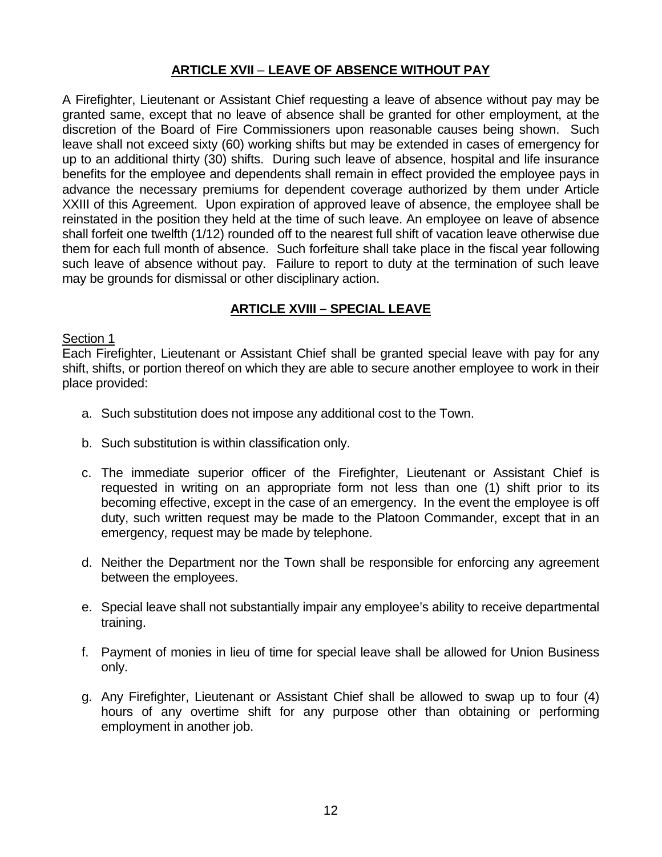# **ARTICLE XVII** – **LEAVE OF ABSENCE WITHOUT PAY**

A Firefighter, Lieutenant or Assistant Chief requesting a leave of absence without pay may be granted same, except that no leave of absence shall be granted for other employment, at the discretion of the Board of Fire Commissioners upon reasonable causes being shown. Such leave shall not exceed sixty (60) working shifts but may be extended in cases of emergency for up to an additional thirty (30) shifts. During such leave of absence, hospital and life insurance benefits for the employee and dependents shall remain in effect provided the employee pays in advance the necessary premiums for dependent coverage authorized by them under Article XXIII of this Agreement. Upon expiration of approved leave of absence, the employee shall be reinstated in the position they held at the time of such leave. An employee on leave of absence shall forfeit one twelfth (1/12) rounded off to the nearest full shift of vacation leave otherwise due them for each full month of absence. Such forfeiture shall take place in the fiscal year following such leave of absence without pay. Failure to report to duty at the termination of such leave may be grounds for dismissal or other disciplinary action.

# **ARTICLE XVIII – SPECIAL LEAVE**

#### Section 1

Each Firefighter, Lieutenant or Assistant Chief shall be granted special leave with pay for any shift, shifts, or portion thereof on which they are able to secure another employee to work in their place provided:

- a. Such substitution does not impose any additional cost to the Town.
- b. Such substitution is within classification only.
- c. The immediate superior officer of the Firefighter, Lieutenant or Assistant Chief is requested in writing on an appropriate form not less than one (1) shift prior to its becoming effective, except in the case of an emergency. In the event the employee is off duty, such written request may be made to the Platoon Commander, except that in an emergency, request may be made by telephone.
- d. Neither the Department nor the Town shall be responsible for enforcing any agreement between the employees.
- e. Special leave shall not substantially impair any employee's ability to receive departmental training.
- f. Payment of monies in lieu of time for special leave shall be allowed for Union Business only.
- g. Any Firefighter, Lieutenant or Assistant Chief shall be allowed to swap up to four (4) hours of any overtime shift for any purpose other than obtaining or performing employment in another job.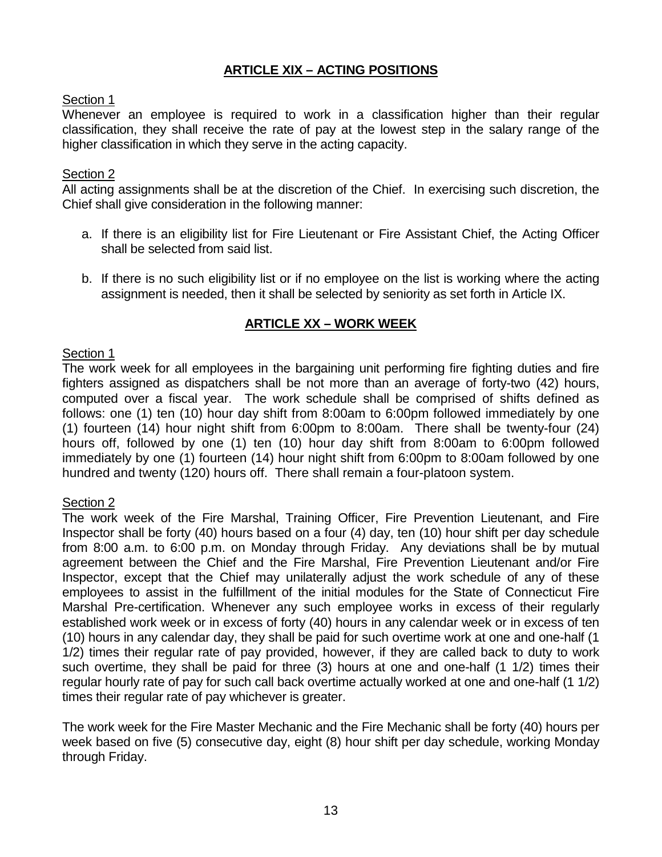# **ARTICLE XIX – ACTING POSITIONS**

# Section 1

Whenever an employee is required to work in a classification higher than their regular classification, they shall receive the rate of pay at the lowest step in the salary range of the higher classification in which they serve in the acting capacity.

# Section 2

All acting assignments shall be at the discretion of the Chief. In exercising such discretion, the Chief shall give consideration in the following manner:

- a. If there is an eligibility list for Fire Lieutenant or Fire Assistant Chief, the Acting Officer shall be selected from said list.
- b. If there is no such eligibility list or if no employee on the list is working where the acting assignment is needed, then it shall be selected by seniority as set forth in Article IX.

# **ARTICLE XX – WORK WEEK**

# Section 1

The work week for all employees in the bargaining unit performing fire fighting duties and fire fighters assigned as dispatchers shall be not more than an average of forty-two (42) hours, computed over a fiscal year. The work schedule shall be comprised of shifts defined as follows: one (1) ten (10) hour day shift from 8:00am to 6:00pm followed immediately by one (1) fourteen (14) hour night shift from 6:00pm to 8:00am. There shall be twenty-four (24) hours off, followed by one (1) ten (10) hour day shift from 8:00am to 6:00pm followed immediately by one (1) fourteen (14) hour night shift from 6:00pm to 8:00am followed by one hundred and twenty (120) hours off. There shall remain a four-platoon system.

#### Section 2

The work week of the Fire Marshal, Training Officer, Fire Prevention Lieutenant, and Fire Inspector shall be forty (40) hours based on a four (4) day, ten (10) hour shift per day schedule from 8:00 a.m. to 6:00 p.m. on Monday through Friday. Any deviations shall be by mutual agreement between the Chief and the Fire Marshal, Fire Prevention Lieutenant and/or Fire Inspector, except that the Chief may unilaterally adjust the work schedule of any of these employees to assist in the fulfillment of the initial modules for the State of Connecticut Fire Marshal Pre-certification. Whenever any such employee works in excess of their regularly established work week or in excess of forty (40) hours in any calendar week or in excess of ten (10) hours in any calendar day, they shall be paid for such overtime work at one and one-half (1 1/2) times their regular rate of pay provided, however, if they are called back to duty to work such overtime, they shall be paid for three (3) hours at one and one-half (1 1/2) times their regular hourly rate of pay for such call back overtime actually worked at one and one-half (1 1/2) times their regular rate of pay whichever is greater.

The work week for the Fire Master Mechanic and the Fire Mechanic shall be forty (40) hours per week based on five (5) consecutive day, eight (8) hour shift per day schedule, working Monday through Friday.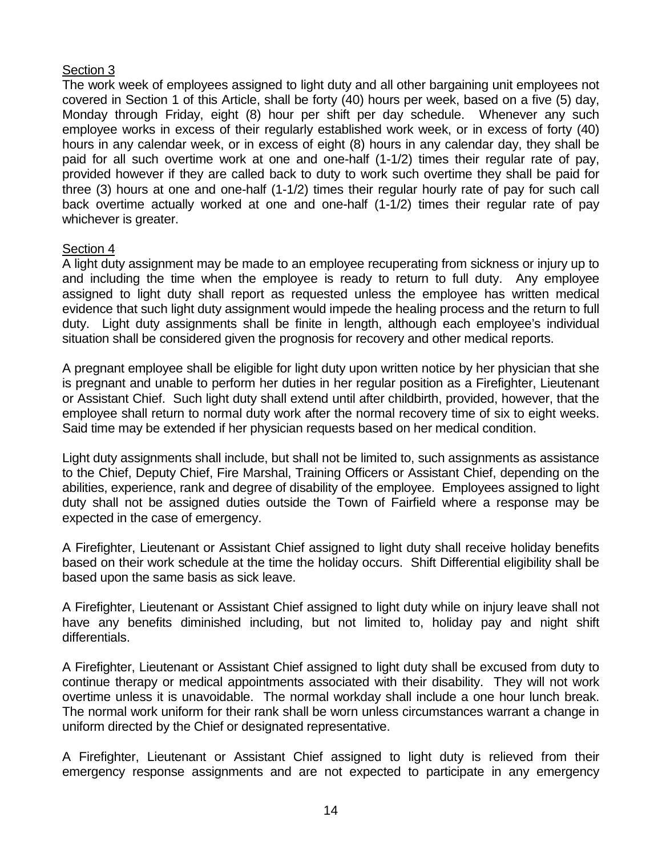The work week of employees assigned to light duty and all other bargaining unit employees not covered in Section 1 of this Article, shall be forty (40) hours per week, based on a five (5) day, Monday through Friday, eight (8) hour per shift per day schedule. Whenever any such employee works in excess of their regularly established work week, or in excess of forty (40) hours in any calendar week, or in excess of eight (8) hours in any calendar day, they shall be paid for all such overtime work at one and one-half (1-1/2) times their regular rate of pay, provided however if they are called back to duty to work such overtime they shall be paid for three (3) hours at one and one-half (1-1/2) times their regular hourly rate of pay for such call back overtime actually worked at one and one-half (1-1/2) times their regular rate of pay whichever is greater.

# Section 4

A light duty assignment may be made to an employee recuperating from sickness or injury up to and including the time when the employee is ready to return to full duty. Any employee assigned to light duty shall report as requested unless the employee has written medical evidence that such light duty assignment would impede the healing process and the return to full duty. Light duty assignments shall be finite in length, although each employee's individual situation shall be considered given the prognosis for recovery and other medical reports.

A pregnant employee shall be eligible for light duty upon written notice by her physician that she is pregnant and unable to perform her duties in her regular position as a Firefighter, Lieutenant or Assistant Chief. Such light duty shall extend until after childbirth, provided, however, that the employee shall return to normal duty work after the normal recovery time of six to eight weeks. Said time may be extended if her physician requests based on her medical condition.

Light duty assignments shall include, but shall not be limited to, such assignments as assistance to the Chief, Deputy Chief, Fire Marshal, Training Officers or Assistant Chief, depending on the abilities, experience, rank and degree of disability of the employee. Employees assigned to light duty shall not be assigned duties outside the Town of Fairfield where a response may be expected in the case of emergency.

A Firefighter, Lieutenant or Assistant Chief assigned to light duty shall receive holiday benefits based on their work schedule at the time the holiday occurs. Shift Differential eligibility shall be based upon the same basis as sick leave.

A Firefighter, Lieutenant or Assistant Chief assigned to light duty while on injury leave shall not have any benefits diminished including, but not limited to, holiday pay and night shift differentials.

A Firefighter, Lieutenant or Assistant Chief assigned to light duty shall be excused from duty to continue therapy or medical appointments associated with their disability. They will not work overtime unless it is unavoidable. The normal workday shall include a one hour lunch break. The normal work uniform for their rank shall be worn unless circumstances warrant a change in uniform directed by the Chief or designated representative.

A Firefighter, Lieutenant or Assistant Chief assigned to light duty is relieved from their emergency response assignments and are not expected to participate in any emergency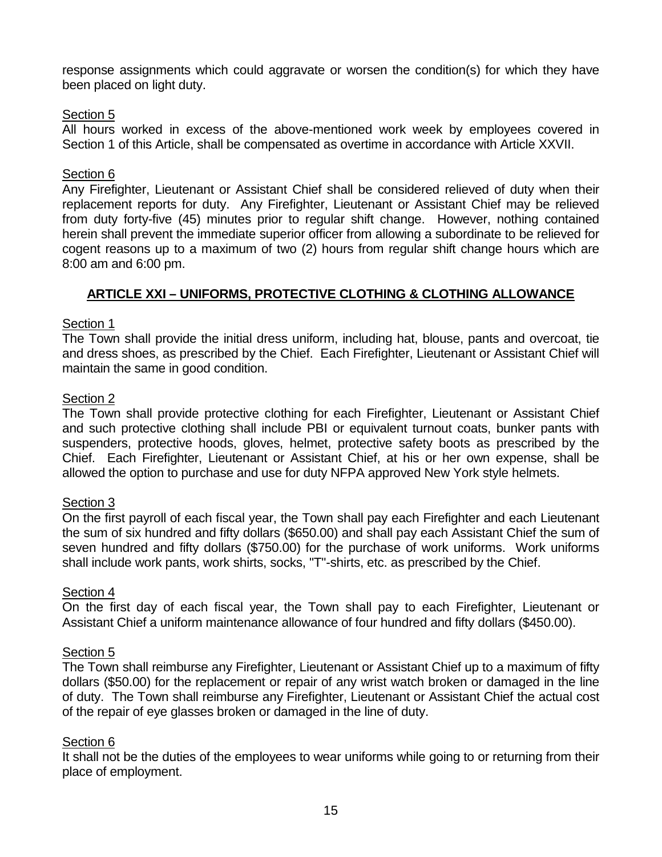response assignments which could aggravate or worsen the condition(s) for which they have been placed on light duty.

## Section 5

All hours worked in excess of the above-mentioned work week by employees covered in Section 1 of this Article, shall be compensated as overtime in accordance with Article XXVII.

#### Section 6

Any Firefighter, Lieutenant or Assistant Chief shall be considered relieved of duty when their replacement reports for duty. Any Firefighter, Lieutenant or Assistant Chief may be relieved from duty forty-five (45) minutes prior to regular shift change. However, nothing contained herein shall prevent the immediate superior officer from allowing a subordinate to be relieved for cogent reasons up to a maximum of two (2) hours from regular shift change hours which are 8:00 am and 6:00 pm.

# **ARTICLE XXI – UNIFORMS, PROTECTIVE CLOTHING & CLOTHING ALLOWANCE**

#### Section 1

The Town shall provide the initial dress uniform, including hat, blouse, pants and overcoat, tie and dress shoes, as prescribed by the Chief. Each Firefighter, Lieutenant or Assistant Chief will maintain the same in good condition.

#### Section 2

The Town shall provide protective clothing for each Firefighter, Lieutenant or Assistant Chief and such protective clothing shall include PBI or equivalent turnout coats, bunker pants with suspenders, protective hoods, gloves, helmet, protective safety boots as prescribed by the Chief. Each Firefighter, Lieutenant or Assistant Chief, at his or her own expense, shall be allowed the option to purchase and use for duty NFPA approved New York style helmets.

#### Section 3

On the first payroll of each fiscal year, the Town shall pay each Firefighter and each Lieutenant the sum of six hundred and fifty dollars (\$650.00) and shall pay each Assistant Chief the sum of seven hundred and fifty dollars (\$750.00) for the purchase of work uniforms. Work uniforms shall include work pants, work shirts, socks, "T"-shirts, etc. as prescribed by the Chief.

#### Section 4

On the first day of each fiscal year, the Town shall pay to each Firefighter, Lieutenant or Assistant Chief a uniform maintenance allowance of four hundred and fifty dollars (\$450.00).

#### Section 5

The Town shall reimburse any Firefighter, Lieutenant or Assistant Chief up to a maximum of fifty dollars (\$50.00) for the replacement or repair of any wrist watch broken or damaged in the line of duty. The Town shall reimburse any Firefighter, Lieutenant or Assistant Chief the actual cost of the repair of eye glasses broken or damaged in the line of duty.

#### Section 6

It shall not be the duties of the employees to wear uniforms while going to or returning from their place of employment.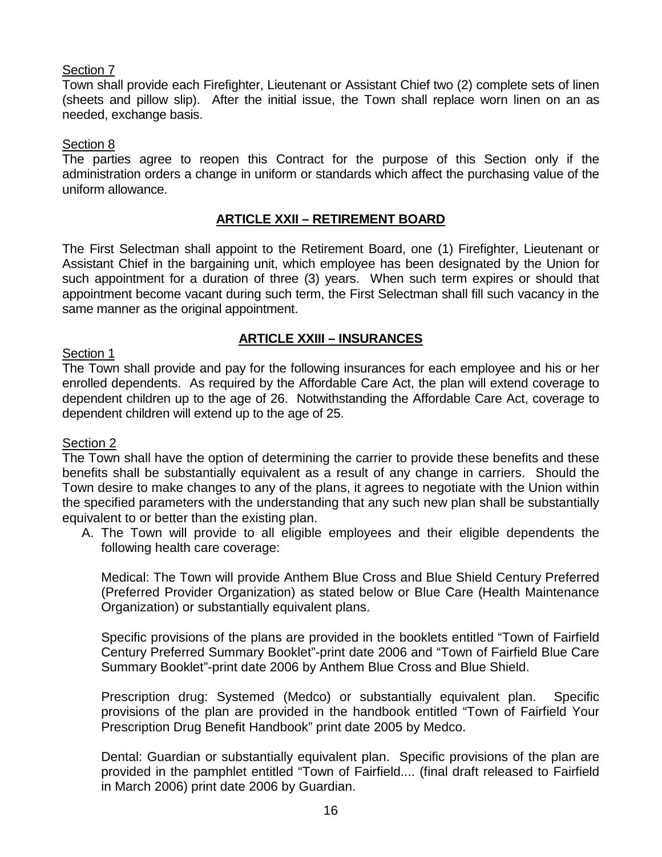Town shall provide each Firefighter, Lieutenant or Assistant Chief two (2) complete sets of linen (sheets and pillow slip). After the initial issue, the Town shall replace worn linen on an as needed, exchange basis.

## Section 8

The parties agree to reopen this Contract for the purpose of this Section only if the administration orders a change in uniform or standards which affect the purchasing value of the uniform allowance.

# **ARTICLE XXII – RETIREMENT BOARD**

The First Selectman shall appoint to the Retirement Board, one (1) Firefighter, Lieutenant or Assistant Chief in the bargaining unit, which employee has been designated by the Union for such appointment for a duration of three (3) years. When such term expires or should that appointment become vacant during such term, the First Selectman shall fill such vacancy in the same manner as the original appointment.

# **ARTICLE XXIII – INSURANCES**

#### Section 1

The Town shall provide and pay for the following insurances for each employee and his or her enrolled dependents. As required by the Affordable Care Act, the plan will extend coverage to dependent children up to the age of 26. Notwithstanding the Affordable Care Act, coverage to dependent children will extend up to the age of 25.

#### Section 2

The Town shall have the option of determining the carrier to provide these benefits and these benefits shall be substantially equivalent as a result of any change in carriers. Should the Town desire to make changes to any of the plans, it agrees to negotiate with the Union within the specified parameters with the understanding that any such new plan shall be substantially equivalent to or better than the existing plan.

A. The Town will provide to all eligible employees and their eligible dependents the following health care coverage:

Medical: The Town will provide Anthem Blue Cross and Blue Shield Century Preferred (Preferred Provider Organization) as stated below or Blue Care (Health Maintenance Organization) or substantially equivalent plans.

Specific provisions of the plans are provided in the booklets entitled "Town of Fairfield Century Preferred Summary Booklet"-print date 2006 and "Town of Fairfield Blue Care Summary Booklet"-print date 2006 by Anthem Blue Cross and Blue Shield.

Prescription drug: Systemed (Medco) or substantially equivalent plan. Specific provisions of the plan are provided in the handbook entitled "Town of Fairfield Your Prescription Drug Benefit Handbook" print date 2005 by Medco.

Dental: Guardian or substantially equivalent plan. Specific provisions of the plan are provided in the pamphlet entitled "Town of Fairfield.... (final draft released to Fairfield in March 2006) print date 2006 by Guardian.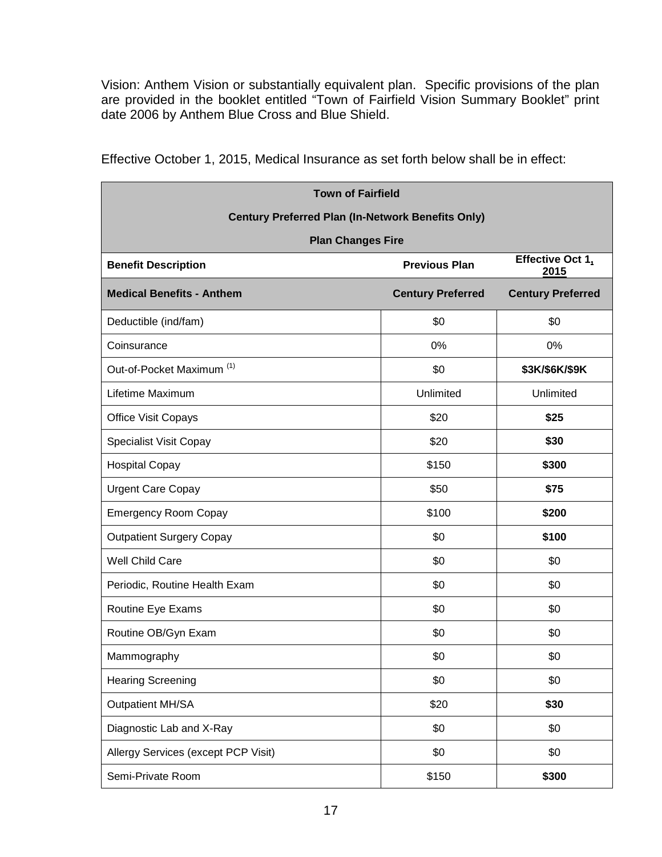Vision: Anthem Vision or substantially equivalent plan. Specific provisions of the plan are provided in the booklet entitled "Town of Fairfield Vision Summary Booklet" print date 2006 by Anthem Blue Cross and Blue Shield.

| <b>Town of Fairfield</b>                                 |                          |                          |
|----------------------------------------------------------|--------------------------|--------------------------|
| <b>Century Preferred Plan (In-Network Benefits Only)</b> |                          |                          |
| <b>Plan Changes Fire</b>                                 |                          |                          |
| <b>Benefit Description</b>                               | <b>Previous Plan</b>     | Effective Oct 1,<br>2015 |
| <b>Medical Benefits - Anthem</b>                         | <b>Century Preferred</b> | <b>Century Preferred</b> |
| Deductible (ind/fam)                                     | \$0                      | \$0                      |
| Coinsurance                                              | 0%                       | 0%                       |
| Out-of-Pocket Maximum <sup>(1)</sup>                     | \$0                      | \$3K/\$6K/\$9K           |
| Lifetime Maximum                                         | Unlimited                | Unlimited                |
| <b>Office Visit Copays</b>                               | \$20                     | \$25                     |
| <b>Specialist Visit Copay</b>                            | \$20                     | \$30                     |
| <b>Hospital Copay</b>                                    | \$150                    | \$300                    |
| <b>Urgent Care Copay</b>                                 | \$50                     | \$75                     |
| <b>Emergency Room Copay</b>                              | \$100                    | \$200                    |
| <b>Outpatient Surgery Copay</b>                          | \$0                      | \$100                    |
| Well Child Care                                          | \$0                      | \$0                      |
| Periodic, Routine Health Exam                            | \$0                      | \$0                      |
| Routine Eye Exams                                        | \$0                      | \$0                      |
| Routine OB/Gyn Exam                                      | \$0                      | \$0                      |
| Mammography                                              | \$0                      | \$0                      |
| <b>Hearing Screening</b>                                 | \$0                      | \$0                      |
| <b>Outpatient MH/SA</b>                                  | \$20                     | \$30                     |
| Diagnostic Lab and X-Ray                                 | \$0                      | \$0                      |
| Allergy Services (except PCP Visit)                      | \$0                      | \$0                      |
| Semi-Private Room                                        | \$150                    | \$300                    |

Effective October 1, 2015, Medical Insurance as set forth below shall be in effect: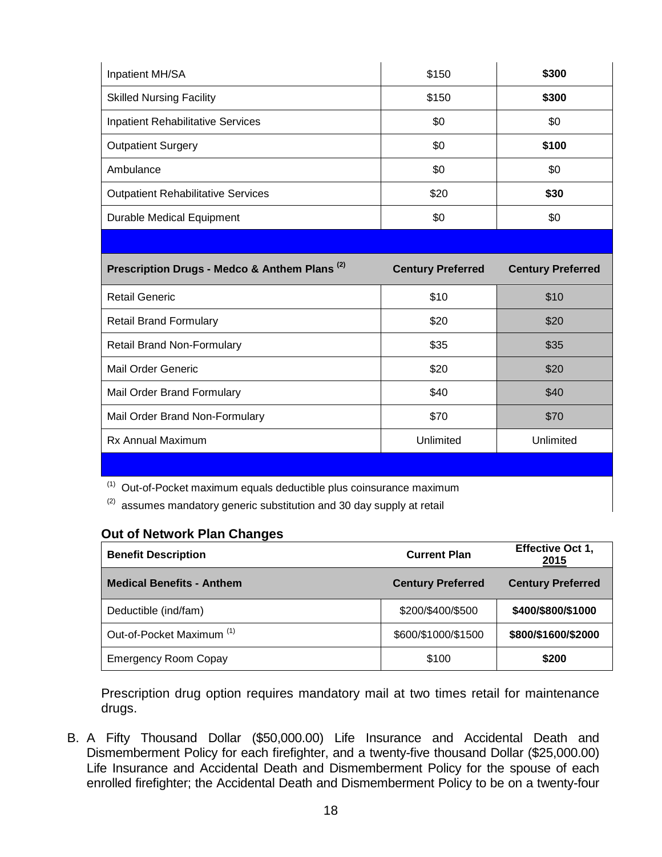| Inpatient MH/SA                                          | \$150                    | \$300                    |
|----------------------------------------------------------|--------------------------|--------------------------|
| <b>Skilled Nursing Facility</b>                          | \$150                    | \$300                    |
| <b>Inpatient Rehabilitative Services</b>                 | \$0                      | \$0                      |
| <b>Outpatient Surgery</b>                                | \$0                      | \$100                    |
| Ambulance                                                | \$0                      | \$0                      |
| <b>Outpatient Rehabilitative Services</b>                | \$20                     | \$30                     |
| <b>Durable Medical Equipment</b>                         | \$0                      | \$0                      |
|                                                          |                          |                          |
| Prescription Drugs - Medco & Anthem Plans <sup>(2)</sup> | <b>Century Preferred</b> | <b>Century Preferred</b> |
| <b>Retail Generic</b>                                    | \$10                     | \$10                     |
| <b>Retail Brand Formulary</b>                            | \$20                     | \$20                     |
| Retail Brand Non-Formulary                               | \$35                     | \$35                     |
| <b>Mail Order Generic</b>                                | \$20                     | \$20                     |
| Mail Order Brand Formulary                               | \$40                     | \$40                     |
| Mail Order Brand Non-Formulary                           | \$70                     | \$70                     |
| Rx Annual Maximum                                        | Unlimited                | Unlimited                |
|                                                          |                          |                          |

 $(1)$  Out-of-Pocket maximum equals deductible plus coinsurance maximum

 $(2)$  assumes mandatory generic substitution and 30 day supply at retail

## **Out of Network Plan Changes**

| <b>Benefit Description</b>           | <b>Current Plan</b>      | <b>Effective Oct 1,</b><br>2015 |
|--------------------------------------|--------------------------|---------------------------------|
| <b>Medical Benefits - Anthem</b>     | <b>Century Preferred</b> | <b>Century Preferred</b>        |
| Deductible (ind/fam)                 | \$200/\$400/\$500        | \$400/\$800/\$1000              |
| Out-of-Pocket Maximum <sup>(1)</sup> | \$600/\$1000/\$1500      | \$800/\$1600/\$2000             |
| <b>Emergency Room Copay</b>          | \$100                    | \$200                           |

Prescription drug option requires mandatory mail at two times retail for maintenance drugs.

B. A Fifty Thousand Dollar (\$50,000.00) Life Insurance and Accidental Death and Dismemberment Policy for each firefighter, and a twenty-five thousand Dollar (\$25,000.00) Life Insurance and Accidental Death and Dismemberment Policy for the spouse of each enrolled firefighter; the Accidental Death and Dismemberment Policy to be on a twenty-four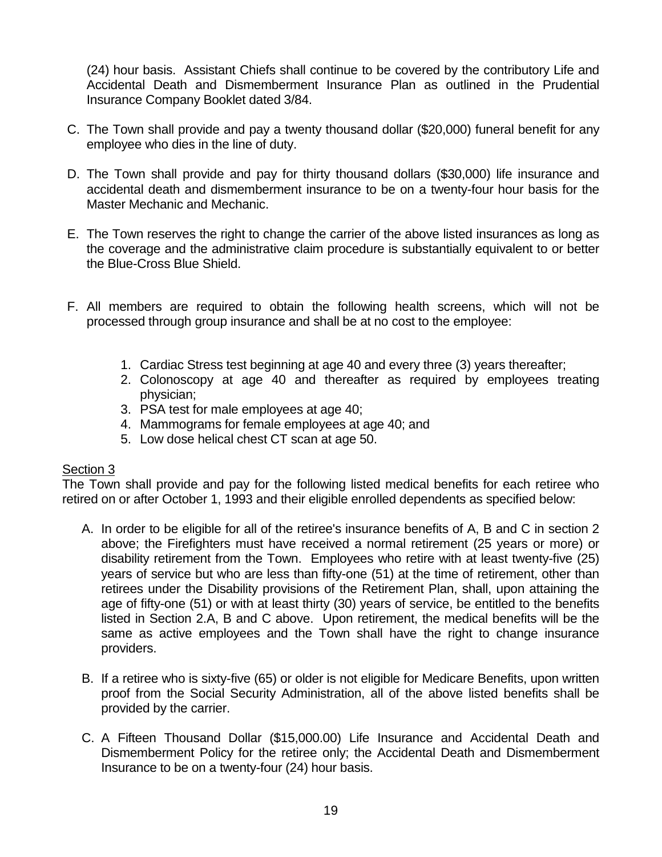(24) hour basis. Assistant Chiefs shall continue to be covered by the contributory Life and Accidental Death and Dismemberment Insurance Plan as outlined in the Prudential Insurance Company Booklet dated 3/84.

- C. The Town shall provide and pay a twenty thousand dollar (\$20,000) funeral benefit for any employee who dies in the line of duty.
- D. The Town shall provide and pay for thirty thousand dollars (\$30,000) life insurance and accidental death and dismemberment insurance to be on a twenty-four hour basis for the Master Mechanic and Mechanic.
- E. The Town reserves the right to change the carrier of the above listed insurances as long as the coverage and the administrative claim procedure is substantially equivalent to or better the Blue-Cross Blue Shield.
- F. All members are required to obtain the following health screens, which will not be processed through group insurance and shall be at no cost to the employee:
	- 1. Cardiac Stress test beginning at age 40 and every three (3) years thereafter;
	- 2. Colonoscopy at age 40 and thereafter as required by employees treating physician;
	- 3. PSA test for male employees at age 40;
	- 4. Mammograms for female employees at age 40; and
	- 5. Low dose helical chest CT scan at age 50.

#### Section 3

The Town shall provide and pay for the following listed medical benefits for each retiree who retired on or after October 1, 1993 and their eligible enrolled dependents as specified below:

- A. In order to be eligible for all of the retiree's insurance benefits of A, B and C in section 2 above; the Firefighters must have received a normal retirement (25 years or more) or disability retirement from the Town. Employees who retire with at least twenty-five (25) years of service but who are less than fifty-one (51) at the time of retirement, other than retirees under the Disability provisions of the Retirement Plan, shall, upon attaining the age of fifty-one (51) or with at least thirty (30) years of service, be entitled to the benefits listed in Section 2.A, B and C above. Upon retirement, the medical benefits will be the same as active employees and the Town shall have the right to change insurance providers.
- B. If a retiree who is sixty-five (65) or older is not eligible for Medicare Benefits, upon written proof from the Social Security Administration, all of the above listed benefits shall be provided by the carrier.
- C. A Fifteen Thousand Dollar (\$15,000.00) Life Insurance and Accidental Death and Dismemberment Policy for the retiree only; the Accidental Death and Dismemberment Insurance to be on a twenty-four (24) hour basis.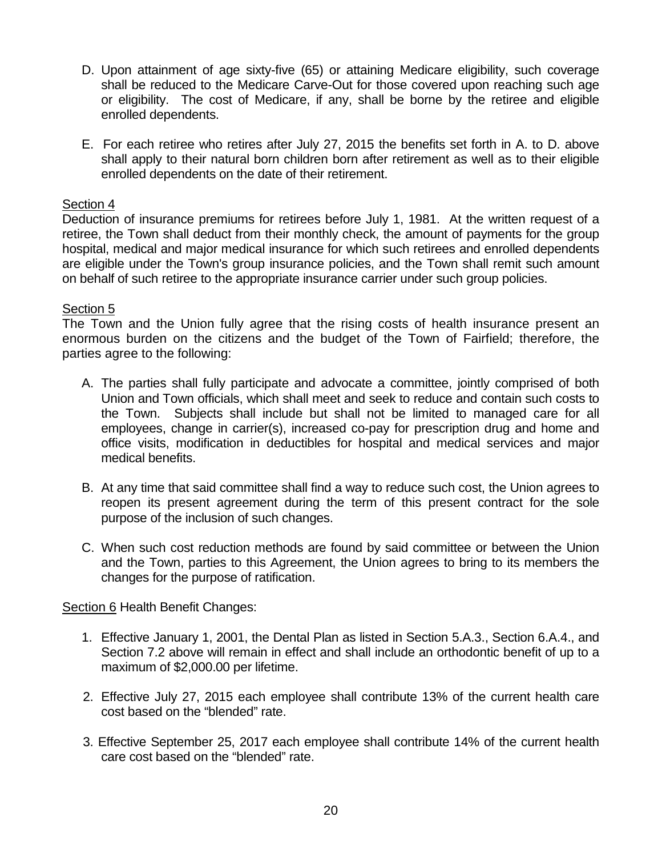- D. Upon attainment of age sixty-five (65) or attaining Medicare eligibility, such coverage shall be reduced to the Medicare Carve-Out for those covered upon reaching such age or eligibility. The cost of Medicare, if any, shall be borne by the retiree and eligible enrolled dependents.
- E. For each retiree who retires after July 27, 2015 the benefits set forth in A. to D. above shall apply to their natural born children born after retirement as well as to their eligible enrolled dependents on the date of their retirement.

Deduction of insurance premiums for retirees before July 1, 1981. At the written request of a retiree, the Town shall deduct from their monthly check, the amount of payments for the group hospital, medical and major medical insurance for which such retirees and enrolled dependents are eligible under the Town's group insurance policies, and the Town shall remit such amount on behalf of such retiree to the appropriate insurance carrier under such group policies.

#### Section 5

The Town and the Union fully agree that the rising costs of health insurance present an enormous burden on the citizens and the budget of the Town of Fairfield; therefore, the parties agree to the following:

- A. The parties shall fully participate and advocate a committee, jointly comprised of both Union and Town officials, which shall meet and seek to reduce and contain such costs to the Town. Subjects shall include but shall not be limited to managed care for all employees, change in carrier(s), increased co-pay for prescription drug and home and office visits, modification in deductibles for hospital and medical services and major medical benefits.
- B. At any time that said committee shall find a way to reduce such cost, the Union agrees to reopen its present agreement during the term of this present contract for the sole purpose of the inclusion of such changes.
- C. When such cost reduction methods are found by said committee or between the Union and the Town, parties to this Agreement, the Union agrees to bring to its members the changes for the purpose of ratification.

Section 6 Health Benefit Changes:

- 1. Effective January 1, 2001, the Dental Plan as listed in Section 5.A.3., Section 6.A.4., and Section 7.2 above will remain in effect and shall include an orthodontic benefit of up to a maximum of \$2,000.00 per lifetime.
- 2. Effective July 27, 2015 each employee shall contribute 13% of the current health care cost based on the "blended" rate.
- 3. Effective September 25, 2017 each employee shall contribute 14% of the current health care cost based on the "blended" rate.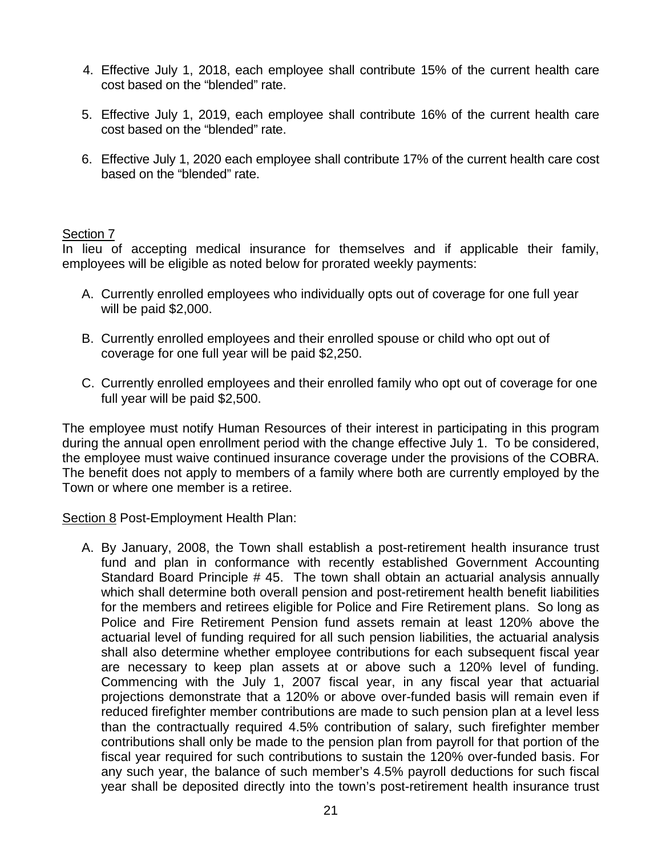- 4. Effective July 1, 2018, each employee shall contribute 15% of the current health care cost based on the "blended" rate.
- 5. Effective July 1, 2019, each employee shall contribute 16% of the current health care cost based on the "blended" rate.
- 6. Effective July 1, 2020 each employee shall contribute 17% of the current health care cost based on the "blended" rate.

In lieu of accepting medical insurance for themselves and if applicable their family, employees will be eligible as noted below for prorated weekly payments:

- A. Currently enrolled employees who individually opts out of coverage for one full year will be paid \$2,000.
- B. Currently enrolled employees and their enrolled spouse or child who opt out of coverage for one full year will be paid \$2,250.
- C. Currently enrolled employees and their enrolled family who opt out of coverage for one full year will be paid \$2,500.

The employee must notify Human Resources of their interest in participating in this program during the annual open enrollment period with the change effective July 1. To be considered, the employee must waive continued insurance coverage under the provisions of the COBRA. The benefit does not apply to members of a family where both are currently employed by the Town or where one member is a retiree.

Section 8 Post-Employment Health Plan:

A. By January, 2008, the Town shall establish a post-retirement health insurance trust fund and plan in conformance with recently established Government Accounting Standard Board Principle # 45. The town shall obtain an actuarial analysis annually which shall determine both overall pension and post-retirement health benefit liabilities for the members and retirees eligible for Police and Fire Retirement plans. So long as Police and Fire Retirement Pension fund assets remain at least 120% above the actuarial level of funding required for all such pension liabilities, the actuarial analysis shall also determine whether employee contributions for each subsequent fiscal year are necessary to keep plan assets at or above such a 120% level of funding. Commencing with the July 1, 2007 fiscal year, in any fiscal year that actuarial projections demonstrate that a 120% or above over-funded basis will remain even if reduced firefighter member contributions are made to such pension plan at a level less than the contractually required 4.5% contribution of salary, such firefighter member contributions shall only be made to the pension plan from payroll for that portion of the fiscal year required for such contributions to sustain the 120% over-funded basis. For any such year, the balance of such member's 4.5% payroll deductions for such fiscal year shall be deposited directly into the town's post-retirement health insurance trust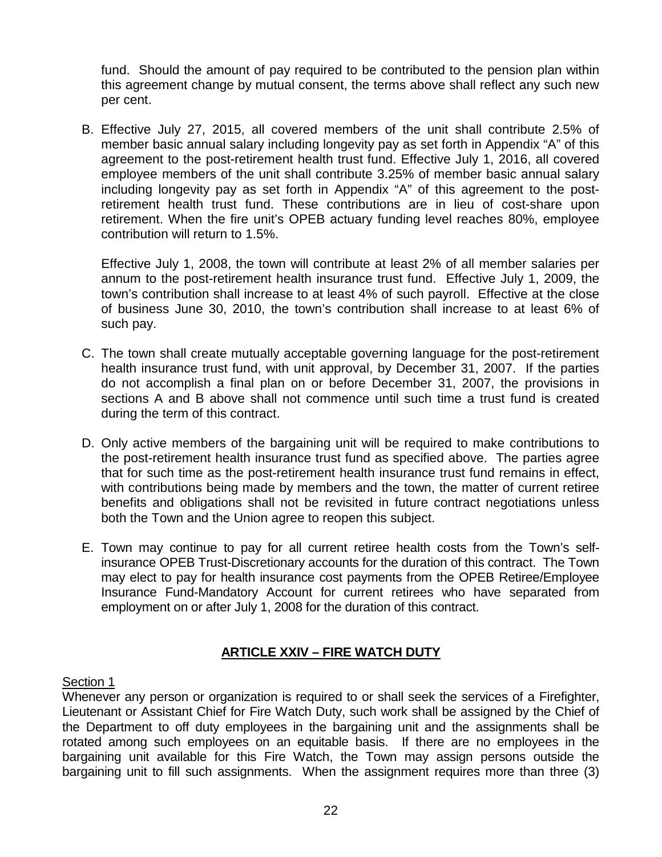fund. Should the amount of pay required to be contributed to the pension plan within this agreement change by mutual consent, the terms above shall reflect any such new per cent.

B. Effective July 27, 2015, all covered members of the unit shall contribute 2.5% of member basic annual salary including longevity pay as set forth in Appendix "A" of this agreement to the post-retirement health trust fund. Effective July 1, 2016, all covered employee members of the unit shall contribute 3.25% of member basic annual salary including longevity pay as set forth in Appendix "A" of this agreement to the postretirement health trust fund. These contributions are in lieu of cost-share upon retirement. When the fire unit's OPEB actuary funding level reaches 80%, employee contribution will return to 1.5%.

Effective July 1, 2008, the town will contribute at least 2% of all member salaries per annum to the post-retirement health insurance trust fund. Effective July 1, 2009, the town's contribution shall increase to at least 4% of such payroll. Effective at the close of business June 30, 2010, the town's contribution shall increase to at least 6% of such pay.

- C. The town shall create mutually acceptable governing language for the post-retirement health insurance trust fund, with unit approval, by December 31, 2007. If the parties do not accomplish a final plan on or before December 31, 2007, the provisions in sections A and B above shall not commence until such time a trust fund is created during the term of this contract.
- D. Only active members of the bargaining unit will be required to make contributions to the post-retirement health insurance trust fund as specified above. The parties agree that for such time as the post-retirement health insurance trust fund remains in effect, with contributions being made by members and the town, the matter of current retiree benefits and obligations shall not be revisited in future contract negotiations unless both the Town and the Union agree to reopen this subject.
- E. Town may continue to pay for all current retiree health costs from the Town's selfinsurance OPEB Trust-Discretionary accounts for the duration of this contract. The Town may elect to pay for health insurance cost payments from the OPEB Retiree/Employee Insurance Fund-Mandatory Account for current retirees who have separated from employment on or after July 1, 2008 for the duration of this contract.

# **ARTICLE XXIV – FIRE WATCH DUTY**

# Section 1

Whenever any person or organization is required to or shall seek the services of a Firefighter, Lieutenant or Assistant Chief for Fire Watch Duty, such work shall be assigned by the Chief of the Department to off duty employees in the bargaining unit and the assignments shall be rotated among such employees on an equitable basis. If there are no employees in the bargaining unit available for this Fire Watch, the Town may assign persons outside the bargaining unit to fill such assignments. When the assignment requires more than three (3)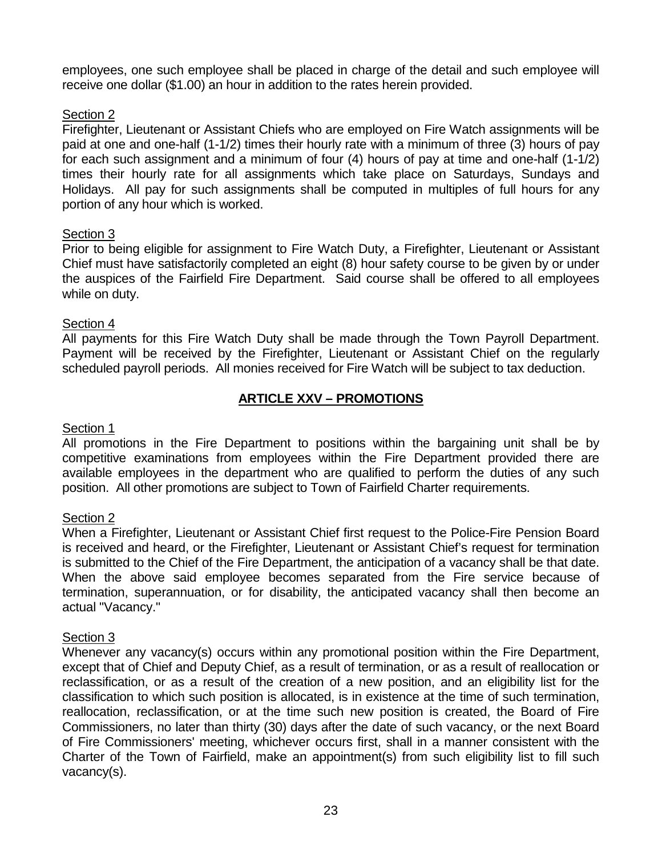employees, one such employee shall be placed in charge of the detail and such employee will receive one dollar (\$1.00) an hour in addition to the rates herein provided.

# Section 2

Firefighter, Lieutenant or Assistant Chiefs who are employed on Fire Watch assignments will be paid at one and one-half (1-1/2) times their hourly rate with a minimum of three (3) hours of pay for each such assignment and a minimum of four (4) hours of pay at time and one-half (1-1/2) times their hourly rate for all assignments which take place on Saturdays, Sundays and Holidays. All pay for such assignments shall be computed in multiples of full hours for any portion of any hour which is worked.

## Section 3

Prior to being eligible for assignment to Fire Watch Duty, a Firefighter, Lieutenant or Assistant Chief must have satisfactorily completed an eight (8) hour safety course to be given by or under the auspices of the Fairfield Fire Department. Said course shall be offered to all employees while on duty.

#### Section 4

All payments for this Fire Watch Duty shall be made through the Town Payroll Department. Payment will be received by the Firefighter, Lieutenant or Assistant Chief on the regularly scheduled payroll periods. All monies received for Fire Watch will be subject to tax deduction.

# **ARTICLE XXV – PROMOTIONS**

## Section 1

All promotions in the Fire Department to positions within the bargaining unit shall be by competitive examinations from employees within the Fire Department provided there are available employees in the department who are qualified to perform the duties of any such position. All other promotions are subject to Town of Fairfield Charter requirements.

#### Section 2

When a Firefighter, Lieutenant or Assistant Chief first request to the Police-Fire Pension Board is received and heard, or the Firefighter, Lieutenant or Assistant Chief's request for termination is submitted to the Chief of the Fire Department, the anticipation of a vacancy shall be that date. When the above said employee becomes separated from the Fire service because of termination, superannuation, or for disability, the anticipated vacancy shall then become an actual "Vacancy."

#### Section 3

Whenever any vacancy(s) occurs within any promotional position within the Fire Department, except that of Chief and Deputy Chief, as a result of termination, or as a result of reallocation or reclassification, or as a result of the creation of a new position, and an eligibility list for the classification to which such position is allocated, is in existence at the time of such termination, reallocation, reclassification, or at the time such new position is created, the Board of Fire Commissioners, no later than thirty (30) days after the date of such vacancy, or the next Board of Fire Commissioners' meeting, whichever occurs first, shall in a manner consistent with the Charter of the Town of Fairfield, make an appointment(s) from such eligibility list to fill such vacancy(s).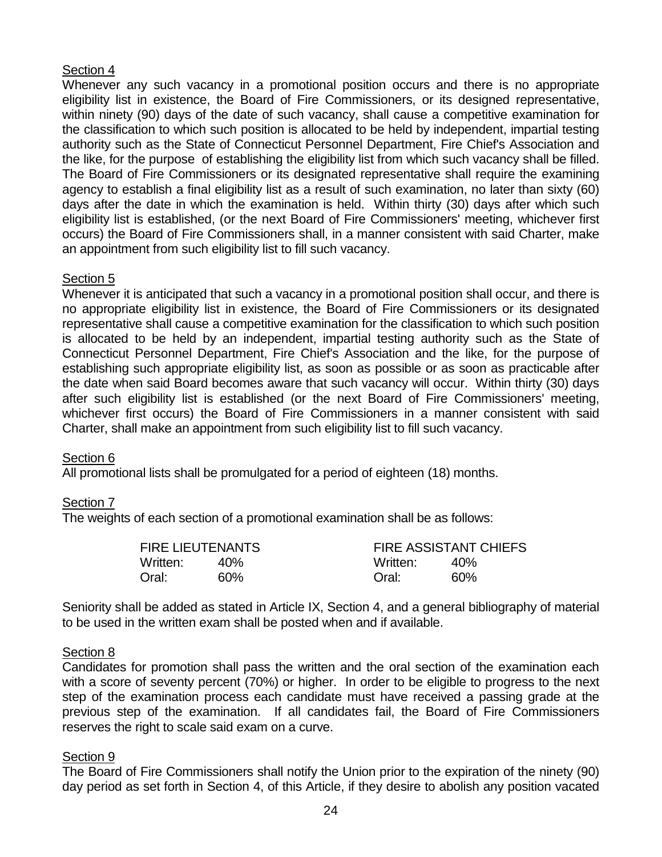Whenever any such vacancy in a promotional position occurs and there is no appropriate eligibility list in existence, the Board of Fire Commissioners, or its designed representative, within ninety (90) days of the date of such vacancy, shall cause a competitive examination for the classification to which such position is allocated to be held by independent, impartial testing authority such as the State of Connecticut Personnel Department, Fire Chief's Association and the like, for the purpose of establishing the eligibility list from which such vacancy shall be filled. The Board of Fire Commissioners or its designated representative shall require the examining agency to establish a final eligibility list as a result of such examination, no later than sixty (60) days after the date in which the examination is held. Within thirty (30) days after which such eligibility list is established, (or the next Board of Fire Commissioners' meeting, whichever first occurs) the Board of Fire Commissioners shall, in a manner consistent with said Charter, make an appointment from such eligibility list to fill such vacancy.

#### Section<sub>5</sub>

Whenever it is anticipated that such a vacancy in a promotional position shall occur, and there is no appropriate eligibility list in existence, the Board of Fire Commissioners or its designated representative shall cause a competitive examination for the classification to which such position is allocated to be held by an independent, impartial testing authority such as the State of Connecticut Personnel Department, Fire Chief's Association and the like, for the purpose of establishing such appropriate eligibility list, as soon as possible or as soon as practicable after the date when said Board becomes aware that such vacancy will occur. Within thirty (30) days after such eligibility list is established (or the next Board of Fire Commissioners' meeting, whichever first occurs) the Board of Fire Commissioners in a manner consistent with said Charter, shall make an appointment from such eligibility list to fill such vacancy.

#### Section 6

All promotional lists shall be promulgated for a period of eighteen (18) months.

# Section 7

The weights of each section of a promotional examination shall be as follows:

| <b>FIRE LIEUTENANTS</b> |     |          | <b>FIRE ASSISTANT CHIEFS</b> |
|-------------------------|-----|----------|------------------------------|
| Written:                | 40% | Written: | 40 <sub>%</sub>              |
| Oral:                   | 60% | Oral:    | 60%                          |

Seniority shall be added as stated in Article IX, Section 4, and a general bibliography of material to be used in the written exam shall be posted when and if available.

#### Section 8

Candidates for promotion shall pass the written and the oral section of the examination each with a score of seventy percent (70%) or higher. In order to be eligible to progress to the next step of the examination process each candidate must have received a passing grade at the previous step of the examination. If all candidates fail, the Board of Fire Commissioners reserves the right to scale said exam on a curve.

#### Section 9

The Board of Fire Commissioners shall notify the Union prior to the expiration of the ninety (90) day period as set forth in Section 4, of this Article, if they desire to abolish any position vacated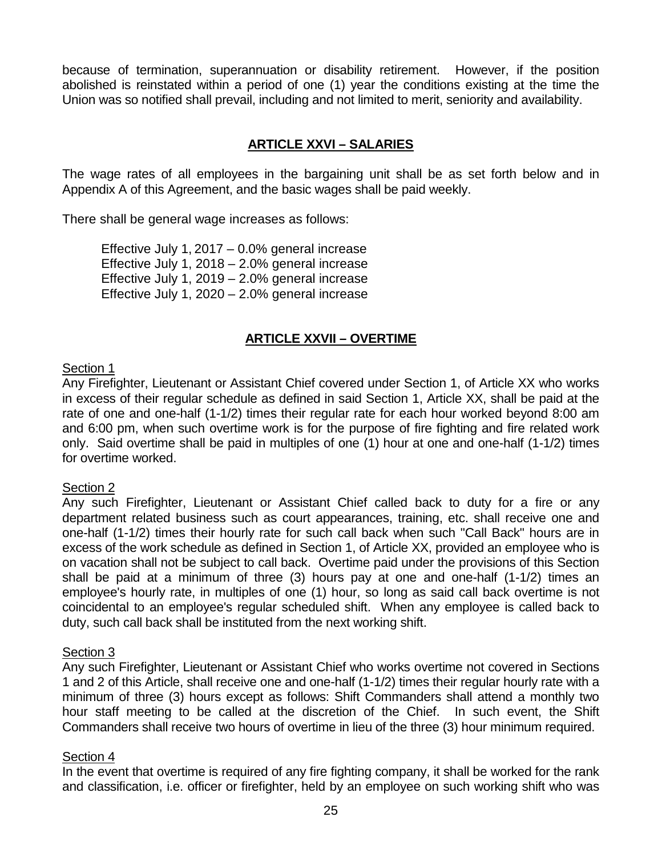because of termination, superannuation or disability retirement. However, if the position abolished is reinstated within a period of one (1) year the conditions existing at the time the Union was so notified shall prevail, including and not limited to merit, seniority and availability.

# **ARTICLE XXVI – SALARIES**

The wage rates of all employees in the bargaining unit shall be as set forth below and in Appendix A of this Agreement, and the basic wages shall be paid weekly.

There shall be general wage increases as follows:

Effective July 1, 2017 – 0.0% general increase Effective July 1, 2018 – 2.0% general increase Effective July 1, 2019 – 2.0% general increase Effective July 1, 2020 – 2.0% general increase

# **ARTICLE XXVII – OVERTIME**

#### Section 1

Any Firefighter, Lieutenant or Assistant Chief covered under Section 1, of Article XX who works in excess of their regular schedule as defined in said Section 1, Article XX, shall be paid at the rate of one and one-half (1-1/2) times their regular rate for each hour worked beyond 8:00 am and 6:00 pm, when such overtime work is for the purpose of fire fighting and fire related work only. Said overtime shall be paid in multiples of one (1) hour at one and one-half (1-1/2) times for overtime worked.

#### Section 2

Any such Firefighter, Lieutenant or Assistant Chief called back to duty for a fire or any department related business such as court appearances, training, etc. shall receive one and one-half (1-1/2) times their hourly rate for such call back when such "Call Back" hours are in excess of the work schedule as defined in Section 1, of Article XX, provided an employee who is on vacation shall not be subject to call back. Overtime paid under the provisions of this Section shall be paid at a minimum of three (3) hours pay at one and one-half (1-1/2) times an employee's hourly rate, in multiples of one (1) hour, so long as said call back overtime is not coincidental to an employee's regular scheduled shift. When any employee is called back to duty, such call back shall be instituted from the next working shift.

#### Section 3

Any such Firefighter, Lieutenant or Assistant Chief who works overtime not covered in Sections 1 and 2 of this Article, shall receive one and one-half (1-1/2) times their regular hourly rate with a minimum of three (3) hours except as follows: Shift Commanders shall attend a monthly two hour staff meeting to be called at the discretion of the Chief. In such event, the Shift Commanders shall receive two hours of overtime in lieu of the three (3) hour minimum required.

#### Section 4

In the event that overtime is required of any fire fighting company, it shall be worked for the rank and classification, i.e. officer or firefighter, held by an employee on such working shift who was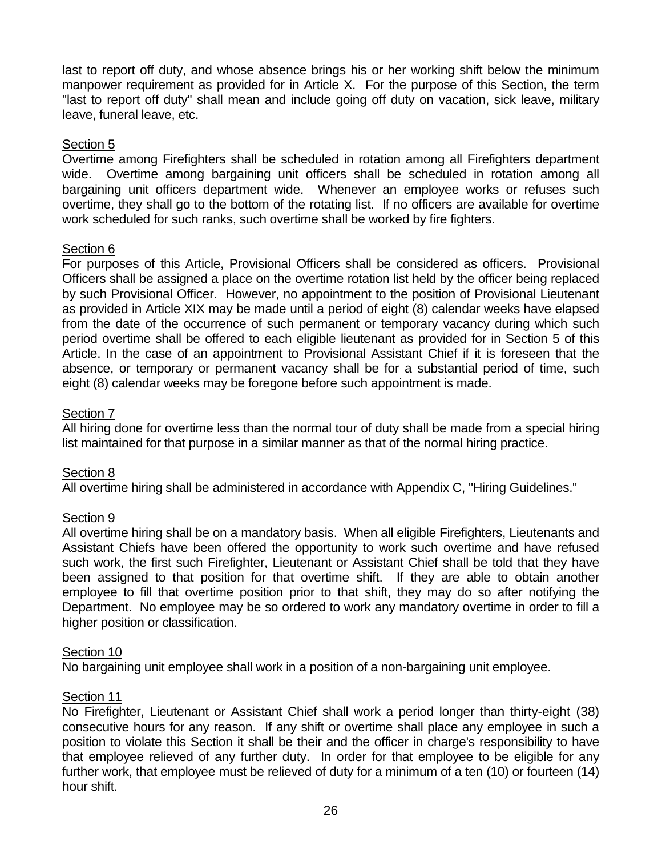last to report off duty, and whose absence brings his or her working shift below the minimum manpower requirement as provided for in Article X. For the purpose of this Section, the term "last to report off duty" shall mean and include going off duty on vacation, sick leave, military leave, funeral leave, etc.

## Section 5

Overtime among Firefighters shall be scheduled in rotation among all Firefighters department wide. Overtime among bargaining unit officers shall be scheduled in rotation among all bargaining unit officers department wide. Whenever an employee works or refuses such overtime, they shall go to the bottom of the rotating list. If no officers are available for overtime work scheduled for such ranks, such overtime shall be worked by fire fighters.

# Section 6

For purposes of this Article, Provisional Officers shall be considered as officers. Provisional Officers shall be assigned a place on the overtime rotation list held by the officer being replaced by such Provisional Officer. However, no appointment to the position of Provisional Lieutenant as provided in Article XIX may be made until a period of eight (8) calendar weeks have elapsed from the date of the occurrence of such permanent or temporary vacancy during which such period overtime shall be offered to each eligible lieutenant as provided for in Section 5 of this Article. In the case of an appointment to Provisional Assistant Chief if it is foreseen that the absence, or temporary or permanent vacancy shall be for a substantial period of time, such eight (8) calendar weeks may be foregone before such appointment is made.

# Section 7

All hiring done for overtime less than the normal tour of duty shall be made from a special hiring list maintained for that purpose in a similar manner as that of the normal hiring practice.

# Section 8

All overtime hiring shall be administered in accordance with Appendix C, "Hiring Guidelines."

#### Section 9

All overtime hiring shall be on a mandatory basis. When all eligible Firefighters, Lieutenants and Assistant Chiefs have been offered the opportunity to work such overtime and have refused such work, the first such Firefighter, Lieutenant or Assistant Chief shall be told that they have been assigned to that position for that overtime shift. If they are able to obtain another employee to fill that overtime position prior to that shift, they may do so after notifying the Department. No employee may be so ordered to work any mandatory overtime in order to fill a higher position or classification.

#### Section 10

No bargaining unit employee shall work in a position of a non-bargaining unit employee.

## Section 11

No Firefighter, Lieutenant or Assistant Chief shall work a period longer than thirty-eight (38) consecutive hours for any reason. If any shift or overtime shall place any employee in such a position to violate this Section it shall be their and the officer in charge's responsibility to have that employee relieved of any further duty. In order for that employee to be eligible for any further work, that employee must be relieved of duty for a minimum of a ten (10) or fourteen (14) hour shift.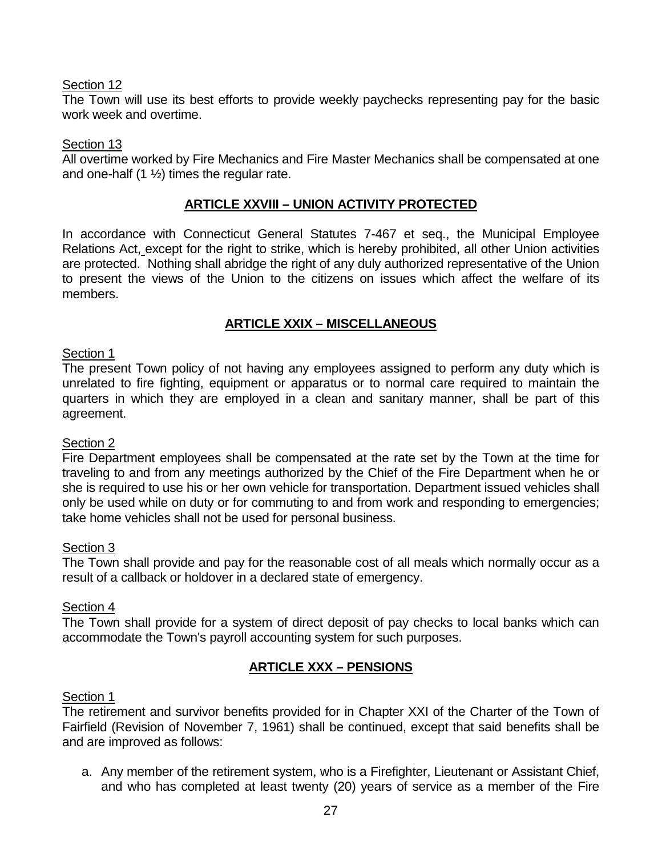The Town will use its best efforts to provide weekly paychecks representing pay for the basic work week and overtime.

## Section 13

All overtime worked by Fire Mechanics and Fire Master Mechanics shall be compensated at one and one-half  $(1 \frac{1}{2})$  times the regular rate.

# **ARTICLE XXVIII – UNION ACTIVITY PROTECTED**

In accordance with Connecticut General Statutes 7-467 et seq., the Municipal Employee Relations Act, except for the right to strike, which is hereby prohibited, all other Union activities are protected. Nothing shall abridge the right of any duly authorized representative of the Union to present the views of the Union to the citizens on issues which affect the welfare of its members.

# **ARTICLE XXIX – MISCELLANEOUS**

## Section 1

The present Town policy of not having any employees assigned to perform any duty which is unrelated to fire fighting, equipment or apparatus or to normal care required to maintain the quarters in which they are employed in a clean and sanitary manner, shall be part of this agreement.

#### Section 2

Fire Department employees shall be compensated at the rate set by the Town at the time for traveling to and from any meetings authorized by the Chief of the Fire Department when he or she is required to use his or her own vehicle for transportation. Department issued vehicles shall only be used while on duty or for commuting to and from work and responding to emergencies; take home vehicles shall not be used for personal business.

#### Section 3

The Town shall provide and pay for the reasonable cost of all meals which normally occur as a result of a callback or holdover in a declared state of emergency.

#### Section 4

The Town shall provide for a system of direct deposit of pay checks to local banks which can accommodate the Town's payroll accounting system for such purposes.

# **ARTICLE XXX – PENSIONS**

#### Section 1

The retirement and survivor benefits provided for in Chapter XXI of the Charter of the Town of Fairfield (Revision of November 7, 1961) shall be continued, except that said benefits shall be and are improved as follows:

a. Any member of the retirement system, who is a Firefighter, Lieutenant or Assistant Chief, and who has completed at least twenty (20) years of service as a member of the Fire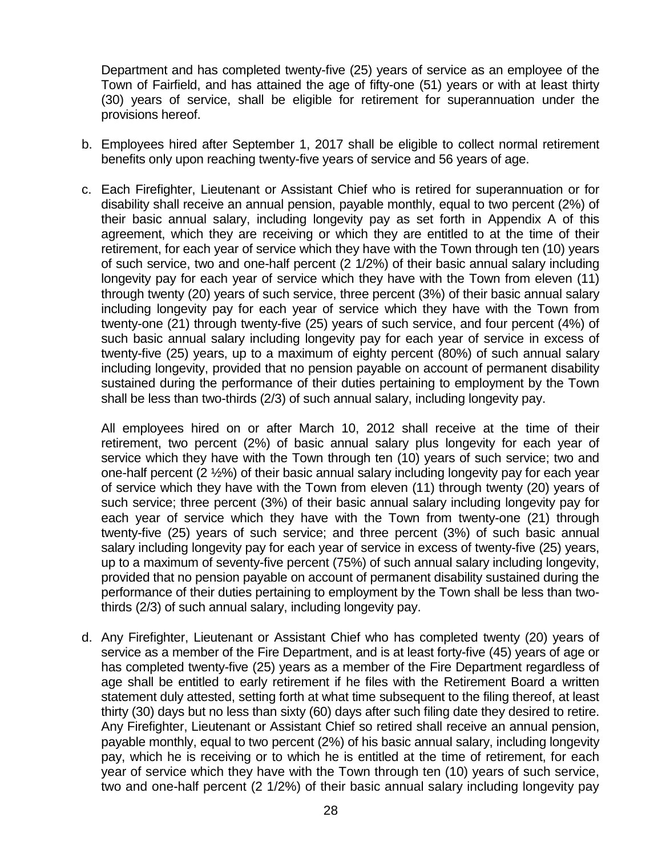Department and has completed twenty-five (25) years of service as an employee of the Town of Fairfield, and has attained the age of fifty-one (51) years or with at least thirty (30) years of service, shall be eligible for retirement for superannuation under the provisions hereof.

- b. Employees hired after September 1, 2017 shall be eligible to collect normal retirement benefits only upon reaching twenty-five years of service and 56 years of age.
- c. Each Firefighter, Lieutenant or Assistant Chief who is retired for superannuation or for disability shall receive an annual pension, payable monthly, equal to two percent (2%) of their basic annual salary, including longevity pay as set forth in Appendix A of this agreement, which they are receiving or which they are entitled to at the time of their retirement, for each year of service which they have with the Town through ten (10) years of such service, two and one-half percent (2 1/2%) of their basic annual salary including longevity pay for each year of service which they have with the Town from eleven (11) through twenty (20) years of such service, three percent (3%) of their basic annual salary including longevity pay for each year of service which they have with the Town from twenty-one (21) through twenty-five (25) years of such service, and four percent (4%) of such basic annual salary including longevity pay for each year of service in excess of twenty-five (25) years, up to a maximum of eighty percent (80%) of such annual salary including longevity, provided that no pension payable on account of permanent disability sustained during the performance of their duties pertaining to employment by the Town shall be less than two-thirds (2/3) of such annual salary, including longevity pay.

All employees hired on or after March 10, 2012 shall receive at the time of their retirement, two percent (2%) of basic annual salary plus longevity for each year of service which they have with the Town through ten (10) years of such service; two and one-half percent (2 ½%) of their basic annual salary including longevity pay for each year of service which they have with the Town from eleven (11) through twenty (20) years of such service; three percent (3%) of their basic annual salary including longevity pay for each year of service which they have with the Town from twenty-one (21) through twenty-five (25) years of such service; and three percent (3%) of such basic annual salary including longevity pay for each year of service in excess of twenty-five (25) years, up to a maximum of seventy-five percent (75%) of such annual salary including longevity, provided that no pension payable on account of permanent disability sustained during the performance of their duties pertaining to employment by the Town shall be less than twothirds (2/3) of such annual salary, including longevity pay.

d. Any Firefighter, Lieutenant or Assistant Chief who has completed twenty (20) years of service as a member of the Fire Department, and is at least forty-five (45) years of age or has completed twenty-five (25) years as a member of the Fire Department regardless of age shall be entitled to early retirement if he files with the Retirement Board a written statement duly attested, setting forth at what time subsequent to the filing thereof, at least thirty (30) days but no less than sixty (60) days after such filing date they desired to retire. Any Firefighter, Lieutenant or Assistant Chief so retired shall receive an annual pension, payable monthly, equal to two percent (2%) of his basic annual salary, including longevity pay, which he is receiving or to which he is entitled at the time of retirement, for each year of service which they have with the Town through ten (10) years of such service, two and one-half percent (2 1/2%) of their basic annual salary including longevity pay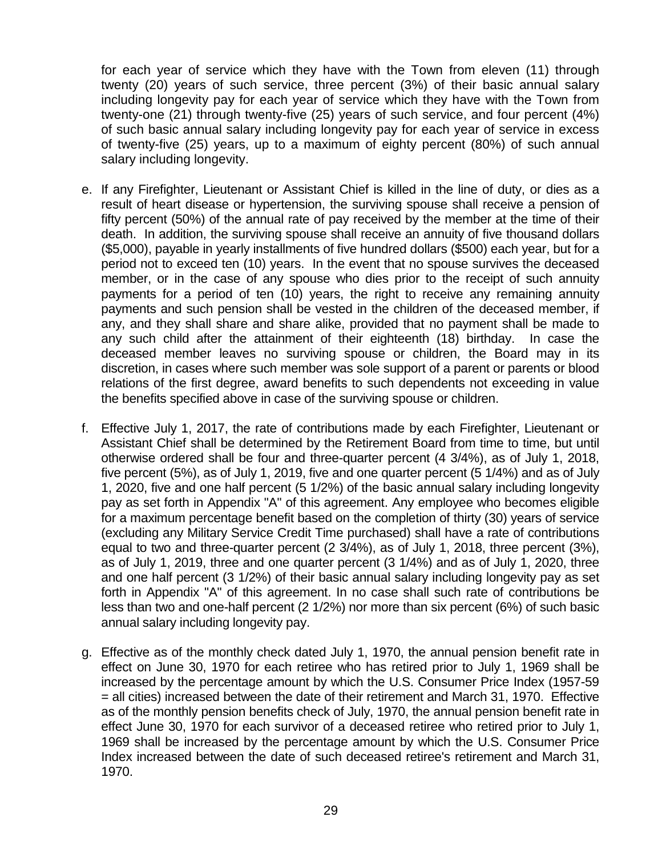for each year of service which they have with the Town from eleven (11) through twenty (20) years of such service, three percent (3%) of their basic annual salary including longevity pay for each year of service which they have with the Town from twenty-one (21) through twenty-five (25) years of such service, and four percent (4%) of such basic annual salary including longevity pay for each year of service in excess of twenty-five (25) years, up to a maximum of eighty percent (80%) of such annual salary including longevity.

- e. If any Firefighter, Lieutenant or Assistant Chief is killed in the line of duty, or dies as a result of heart disease or hypertension, the surviving spouse shall receive a pension of fifty percent (50%) of the annual rate of pay received by the member at the time of their death. In addition, the surviving spouse shall receive an annuity of five thousand dollars (\$5,000), payable in yearly installments of five hundred dollars (\$500) each year, but for a period not to exceed ten (10) years. In the event that no spouse survives the deceased member, or in the case of any spouse who dies prior to the receipt of such annuity payments for a period of ten (10) years, the right to receive any remaining annuity payments and such pension shall be vested in the children of the deceased member, if any, and they shall share and share alike, provided that no payment shall be made to any such child after the attainment of their eighteenth (18) birthday. In case the deceased member leaves no surviving spouse or children, the Board may in its discretion, in cases where such member was sole support of a parent or parents or blood relations of the first degree, award benefits to such dependents not exceeding in value the benefits specified above in case of the surviving spouse or children.
- f. Effective July 1, 2017, the rate of contributions made by each Firefighter, Lieutenant or Assistant Chief shall be determined by the Retirement Board from time to time, but until otherwise ordered shall be four and three-quarter percent (4 3/4%), as of July 1, 2018, five percent (5%), as of July 1, 2019, five and one quarter percent (5 1/4%) and as of July 1, 2020, five and one half percent (5 1/2%) of the basic annual salary including longevity pay as set forth in Appendix "A" of this agreement. Any employee who becomes eligible for a maximum percentage benefit based on the completion of thirty (30) years of service (excluding any Military Service Credit Time purchased) shall have a rate of contributions equal to two and three-quarter percent (2 3/4%), as of July 1, 2018, three percent (3%), as of July 1, 2019, three and one quarter percent (3 1/4%) and as of July 1, 2020, three and one half percent (3 1/2%) of their basic annual salary including longevity pay as set forth in Appendix "A" of this agreement. In no case shall such rate of contributions be less than two and one-half percent (2 1/2%) nor more than six percent (6%) of such basic annual salary including longevity pay.
- g. Effective as of the monthly check dated July 1, 1970, the annual pension benefit rate in effect on June 30, 1970 for each retiree who has retired prior to July 1, 1969 shall be increased by the percentage amount by which the U.S. Consumer Price Index (1957-59 = all cities) increased between the date of their retirement and March 31, 1970. Effective as of the monthly pension benefits check of July, 1970, the annual pension benefit rate in effect June 30, 1970 for each survivor of a deceased retiree who retired prior to July 1, 1969 shall be increased by the percentage amount by which the U.S. Consumer Price Index increased between the date of such deceased retiree's retirement and March 31, 1970.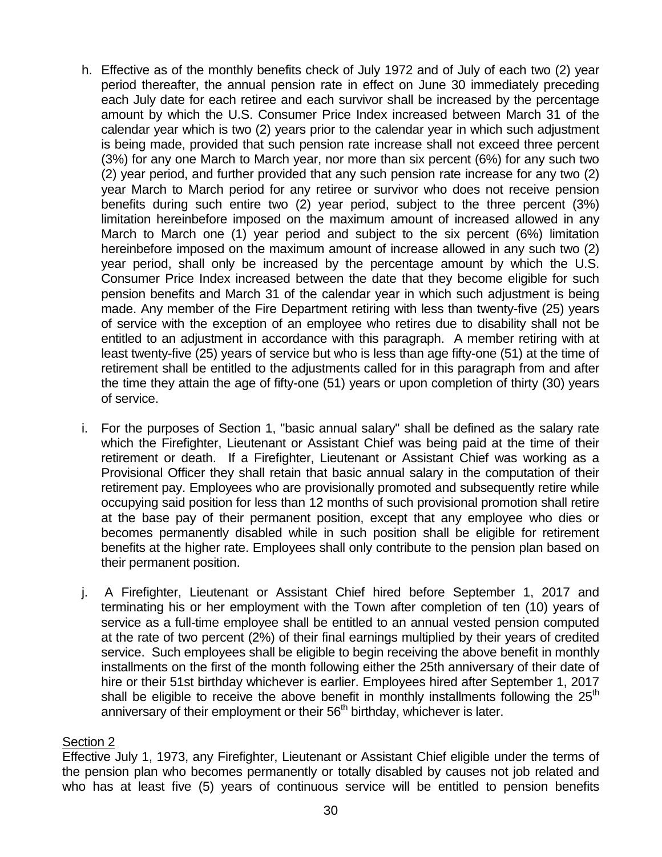- h. Effective as of the monthly benefits check of July 1972 and of July of each two (2) year period thereafter, the annual pension rate in effect on June 30 immediately preceding each July date for each retiree and each survivor shall be increased by the percentage amount by which the U.S. Consumer Price Index increased between March 31 of the calendar year which is two (2) years prior to the calendar year in which such adjustment is being made, provided that such pension rate increase shall not exceed three percent (3%) for any one March to March year, nor more than six percent (6%) for any such two (2) year period, and further provided that any such pension rate increase for any two (2) year March to March period for any retiree or survivor who does not receive pension benefits during such entire two (2) year period, subject to the three percent (3%) limitation hereinbefore imposed on the maximum amount of increased allowed in any March to March one (1) year period and subject to the six percent (6%) limitation hereinbefore imposed on the maximum amount of increase allowed in any such two (2) year period, shall only be increased by the percentage amount by which the U.S. Consumer Price Index increased between the date that they become eligible for such pension benefits and March 31 of the calendar year in which such adjustment is being made. Any member of the Fire Department retiring with less than twenty-five (25) years of service with the exception of an employee who retires due to disability shall not be entitled to an adjustment in accordance with this paragraph. A member retiring with at least twenty-five (25) years of service but who is less than age fifty-one (51) at the time of retirement shall be entitled to the adjustments called for in this paragraph from and after the time they attain the age of fifty-one (51) years or upon completion of thirty (30) years of service.
- i. For the purposes of Section 1, "basic annual salary" shall be defined as the salary rate which the Firefighter, Lieutenant or Assistant Chief was being paid at the time of their retirement or death. If a Firefighter, Lieutenant or Assistant Chief was working as a Provisional Officer they shall retain that basic annual salary in the computation of their retirement pay. Employees who are provisionally promoted and subsequently retire while occupying said position for less than 12 months of such provisional promotion shall retire at the base pay of their permanent position, except that any employee who dies or becomes permanently disabled while in such position shall be eligible for retirement benefits at the higher rate. Employees shall only contribute to the pension plan based on their permanent position.
- j. A Firefighter, Lieutenant or Assistant Chief hired before September 1, 2017 and terminating his or her employment with the Town after completion of ten (10) years of service as a full-time employee shall be entitled to an annual vested pension computed at the rate of two percent (2%) of their final earnings multiplied by their years of credited service. Such employees shall be eligible to begin receiving the above benefit in monthly installments on the first of the month following either the 25th anniversary of their date of hire or their 51st birthday whichever is earlier. Employees hired after September 1, 2017 shall be eligible to receive the above benefit in monthly installments following the  $25<sup>th</sup>$ anniversary of their employment or their  $56<sup>th</sup>$  birthday, whichever is later.

# <u>Section 2</u>

Effective July 1, 1973, any Firefighter, Lieutenant or Assistant Chief eligible under the terms of the pension plan who becomes permanently or totally disabled by causes not job related and who has at least five (5) years of continuous service will be entitled to pension benefits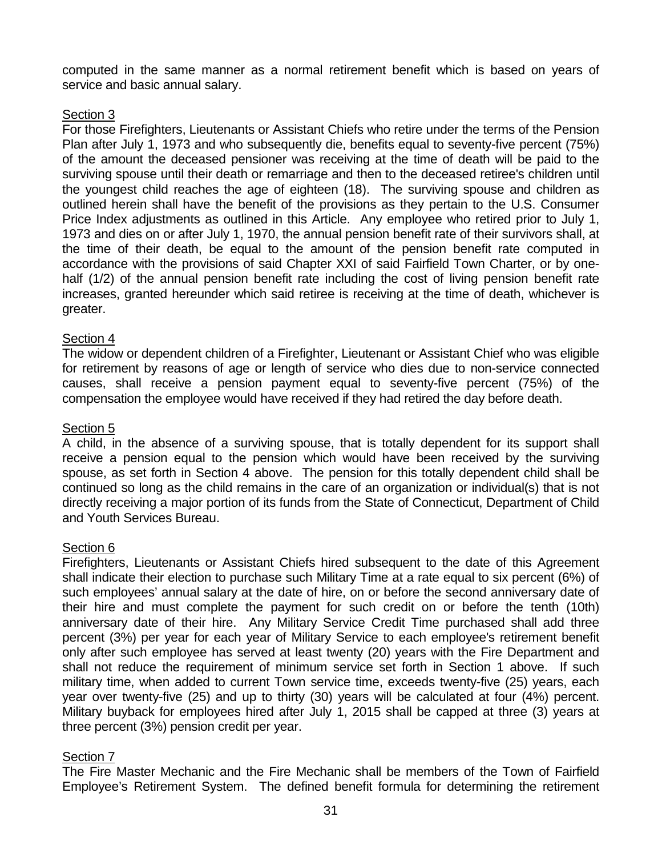computed in the same manner as a normal retirement benefit which is based on years of service and basic annual salary.

# Section 3

For those Firefighters, Lieutenants or Assistant Chiefs who retire under the terms of the Pension Plan after July 1, 1973 and who subsequently die, benefits equal to seventy-five percent (75%) of the amount the deceased pensioner was receiving at the time of death will be paid to the surviving spouse until their death or remarriage and then to the deceased retiree's children until the youngest child reaches the age of eighteen (18). The surviving spouse and children as outlined herein shall have the benefit of the provisions as they pertain to the U.S. Consumer Price Index adjustments as outlined in this Article. Any employee who retired prior to July 1, 1973 and dies on or after July 1, 1970, the annual pension benefit rate of their survivors shall, at the time of their death, be equal to the amount of the pension benefit rate computed in accordance with the provisions of said Chapter XXI of said Fairfield Town Charter, or by onehalf (1/2) of the annual pension benefit rate including the cost of living pension benefit rate increases, granted hereunder which said retiree is receiving at the time of death, whichever is greater.

# Section 4

The widow or dependent children of a Firefighter, Lieutenant or Assistant Chief who was eligible for retirement by reasons of age or length of service who dies due to non-service connected causes, shall receive a pension payment equal to seventy-five percent (75%) of the compensation the employee would have received if they had retired the day before death.

#### Section<sub>5</sub>

A child, in the absence of a surviving spouse, that is totally dependent for its support shall receive a pension equal to the pension which would have been received by the surviving spouse, as set forth in Section 4 above. The pension for this totally dependent child shall be continued so long as the child remains in the care of an organization or individual(s) that is not directly receiving a major portion of its funds from the State of Connecticut, Department of Child and Youth Services Bureau.

#### Section 6

Firefighters, Lieutenants or Assistant Chiefs hired subsequent to the date of this Agreement shall indicate their election to purchase such Military Time at a rate equal to six percent (6%) of such employees' annual salary at the date of hire, on or before the second anniversary date of their hire and must complete the payment for such credit on or before the tenth (10th) anniversary date of their hire. Any Military Service Credit Time purchased shall add three percent (3%) per year for each year of Military Service to each employee's retirement benefit only after such employee has served at least twenty (20) years with the Fire Department and shall not reduce the requirement of minimum service set forth in Section 1 above. If such military time, when added to current Town service time, exceeds twenty-five (25) years, each year over twenty-five (25) and up to thirty (30) years will be calculated at four (4%) percent. Military buyback for employees hired after July 1, 2015 shall be capped at three (3) years at three percent (3%) pension credit per year.

#### Section 7

The Fire Master Mechanic and the Fire Mechanic shall be members of the Town of Fairfield Employee's Retirement System. The defined benefit formula for determining the retirement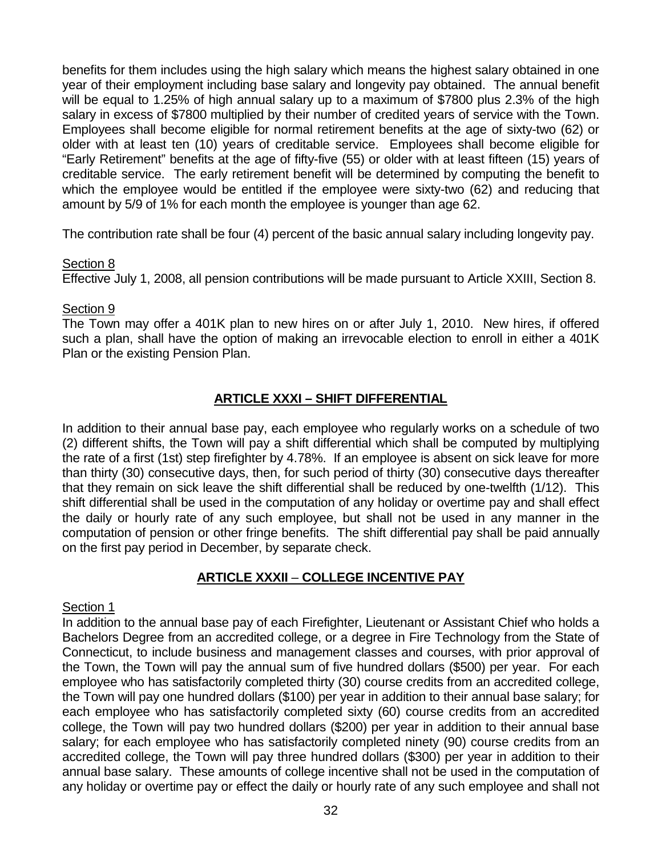benefits for them includes using the high salary which means the highest salary obtained in one year of their employment including base salary and longevity pay obtained. The annual benefit will be equal to 1.25% of high annual salary up to a maximum of \$7800 plus 2.3% of the high salary in excess of \$7800 multiplied by their number of credited years of service with the Town. Employees shall become eligible for normal retirement benefits at the age of sixty-two (62) or older with at least ten (10) years of creditable service. Employees shall become eligible for "Early Retirement" benefits at the age of fifty-five (55) or older with at least fifteen (15) years of creditable service. The early retirement benefit will be determined by computing the benefit to which the employee would be entitled if the employee were sixty-two (62) and reducing that amount by 5/9 of 1% for each month the employee is younger than age 62.

The contribution rate shall be four (4) percent of the basic annual salary including longevity pay.

#### Section 8

Effective July 1, 2008, all pension contributions will be made pursuant to Article XXIII, Section 8.

# Section 9

The Town may offer a 401K plan to new hires on or after July 1, 2010. New hires, if offered such a plan, shall have the option of making an irrevocable election to enroll in either a 401K Plan or the existing Pension Plan.

# **ARTICLE XXXI – SHIFT DIFFERENTIAL**

In addition to their annual base pay, each employee who regularly works on a schedule of two (2) different shifts, the Town will pay a shift differential which shall be computed by multiplying the rate of a first (1st) step firefighter by 4.78%. If an employee is absent on sick leave for more than thirty (30) consecutive days, then, for such period of thirty (30) consecutive days thereafter that they remain on sick leave the shift differential shall be reduced by one-twelfth (1/12). This shift differential shall be used in the computation of any holiday or overtime pay and shall effect the daily or hourly rate of any such employee, but shall not be used in any manner in the computation of pension or other fringe benefits. The shift differential pay shall be paid annually on the first pay period in December, by separate check.

# **ARTICLE XXXII** – **COLLEGE INCENTIVE PAY**

#### Section 1

In addition to the annual base pay of each Firefighter, Lieutenant or Assistant Chief who holds a Bachelors Degree from an accredited college, or a degree in Fire Technology from the State of Connecticut, to include business and management classes and courses, with prior approval of the Town, the Town will pay the annual sum of five hundred dollars (\$500) per year. For each employee who has satisfactorily completed thirty (30) course credits from an accredited college, the Town will pay one hundred dollars (\$100) per year in addition to their annual base salary; for each employee who has satisfactorily completed sixty (60) course credits from an accredited college, the Town will pay two hundred dollars (\$200) per year in addition to their annual base salary; for each employee who has satisfactorily completed ninety (90) course credits from an accredited college, the Town will pay three hundred dollars (\$300) per year in addition to their annual base salary. These amounts of college incentive shall not be used in the computation of any holiday or overtime pay or effect the daily or hourly rate of any such employee and shall not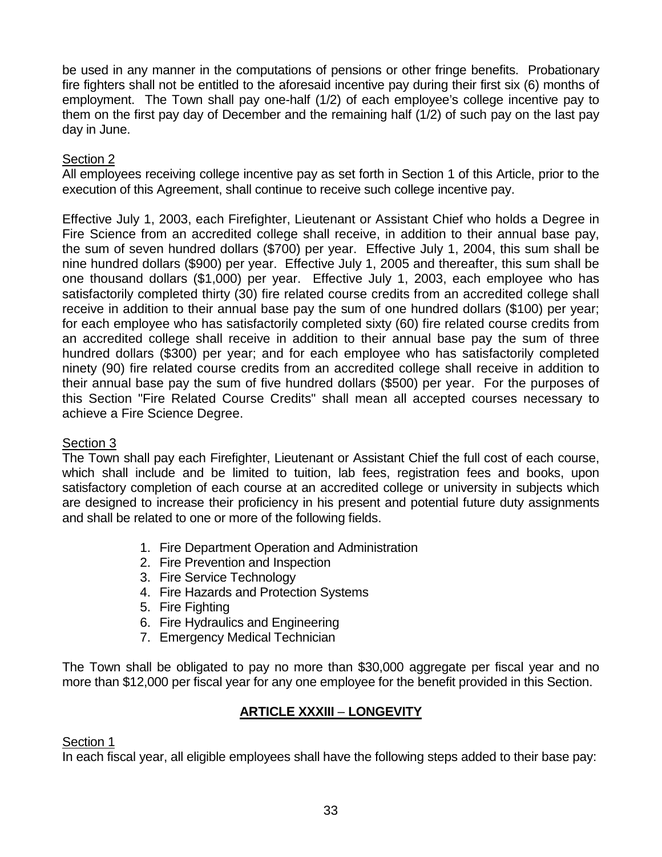be used in any manner in the computations of pensions or other fringe benefits. Probationary fire fighters shall not be entitled to the aforesaid incentive pay during their first six (6) months of employment. The Town shall pay one-half (1/2) of each employee's college incentive pay to them on the first pay day of December and the remaining half (1/2) of such pay on the last pay day in June.

# Section 2

All employees receiving college incentive pay as set forth in Section 1 of this Article, prior to the execution of this Agreement, shall continue to receive such college incentive pay.

Effective July 1, 2003, each Firefighter, Lieutenant or Assistant Chief who holds a Degree in Fire Science from an accredited college shall receive, in addition to their annual base pay, the sum of seven hundred dollars (\$700) per year. Effective July 1, 2004, this sum shall be nine hundred dollars (\$900) per year. Effective July 1, 2005 and thereafter, this sum shall be one thousand dollars (\$1,000) per year. Effective July 1, 2003, each employee who has satisfactorily completed thirty (30) fire related course credits from an accredited college shall receive in addition to their annual base pay the sum of one hundred dollars (\$100) per year; for each employee who has satisfactorily completed sixty (60) fire related course credits from an accredited college shall receive in addition to their annual base pay the sum of three hundred dollars (\$300) per year; and for each employee who has satisfactorily completed ninety (90) fire related course credits from an accredited college shall receive in addition to their annual base pay the sum of five hundred dollars (\$500) per year. For the purposes of this Section "Fire Related Course Credits" shall mean all accepted courses necessary to achieve a Fire Science Degree.

# Section 3

The Town shall pay each Firefighter, Lieutenant or Assistant Chief the full cost of each course, which shall include and be limited to tuition, lab fees, registration fees and books, upon satisfactory completion of each course at an accredited college or university in subjects which are designed to increase their proficiency in his present and potential future duty assignments and shall be related to one or more of the following fields.

- 1. Fire Department Operation and Administration
- 2. Fire Prevention and Inspection
- 3. Fire Service Technology
- 4. Fire Hazards and Protection Systems
- 5. Fire Fighting
- 6. Fire Hydraulics and Engineering
- 7. Emergency Medical Technician

The Town shall be obligated to pay no more than \$30,000 aggregate per fiscal year and no more than \$12,000 per fiscal year for any one employee for the benefit provided in this Section.

# **ARTICLE XXXIII** – **LONGEVITY**

#### Section 1

In each fiscal year, all eligible employees shall have the following steps added to their base pay: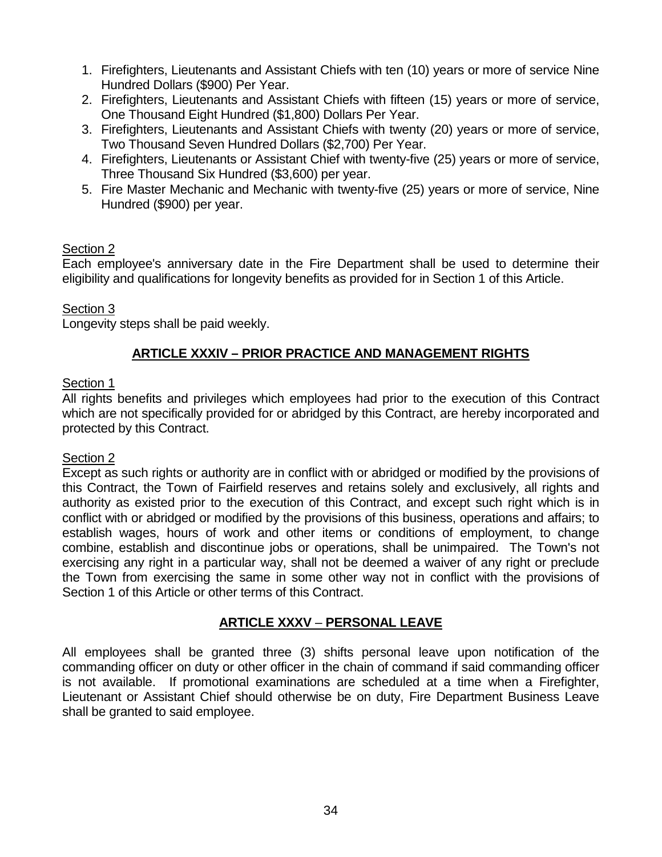- 1. Firefighters, Lieutenants and Assistant Chiefs with ten (10) years or more of service Nine Hundred Dollars (\$900) Per Year.
- 2. Firefighters, Lieutenants and Assistant Chiefs with fifteen (15) years or more of service, One Thousand Eight Hundred (\$1,800) Dollars Per Year.
- 3. Firefighters, Lieutenants and Assistant Chiefs with twenty (20) years or more of service, Two Thousand Seven Hundred Dollars (\$2,700) Per Year.
- 4. Firefighters, Lieutenants or Assistant Chief with twenty-five (25) years or more of service, Three Thousand Six Hundred (\$3,600) per year.
- 5. Fire Master Mechanic and Mechanic with twenty-five (25) years or more of service, Nine Hundred (\$900) per year.

# Section 2

Each employee's anniversary date in the Fire Department shall be used to determine their eligibility and qualifications for longevity benefits as provided for in Section 1 of this Article.

# Section 3

Longevity steps shall be paid weekly.

# **ARTICLE XXXIV – PRIOR PRACTICE AND MANAGEMENT RIGHTS**

### Section 1

All rights benefits and privileges which employees had prior to the execution of this Contract which are not specifically provided for or abridged by this Contract, are hereby incorporated and protected by this Contract.

# Section 2

Except as such rights or authority are in conflict with or abridged or modified by the provisions of this Contract, the Town of Fairfield reserves and retains solely and exclusively, all rights and authority as existed prior to the execution of this Contract, and except such right which is in conflict with or abridged or modified by the provisions of this business, operations and affairs; to establish wages, hours of work and other items or conditions of employment, to change combine, establish and discontinue jobs or operations, shall be unimpaired. The Town's not exercising any right in a particular way, shall not be deemed a waiver of any right or preclude the Town from exercising the same in some other way not in conflict with the provisions of Section 1 of this Article or other terms of this Contract.

# **ARTICLE XXXV** – **PERSONAL LEAVE**

All employees shall be granted three (3) shifts personal leave upon notification of the commanding officer on duty or other officer in the chain of command if said commanding officer is not available. If promotional examinations are scheduled at a time when a Firefighter, Lieutenant or Assistant Chief should otherwise be on duty, Fire Department Business Leave shall be granted to said employee.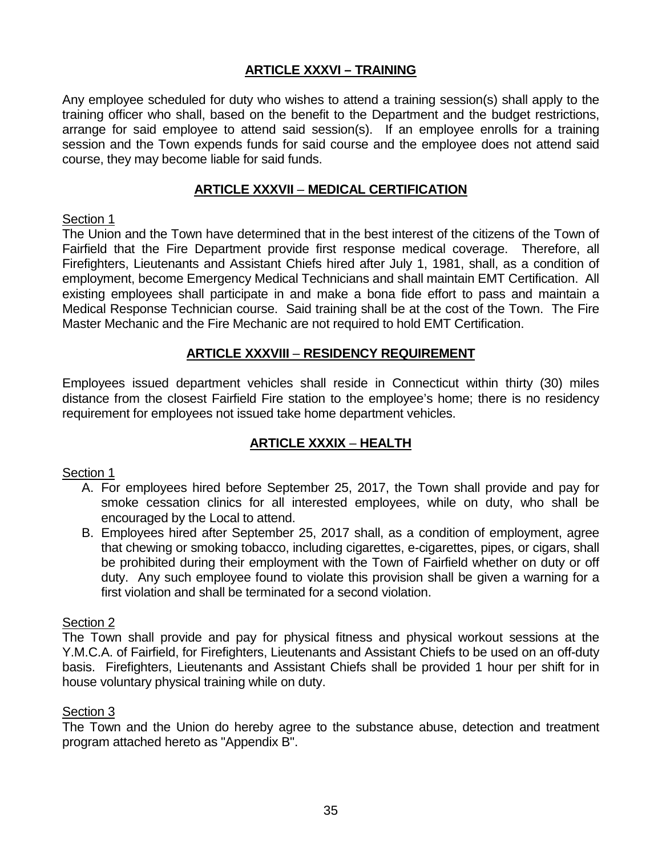# **ARTICLE XXXVI – TRAINING**

Any employee scheduled for duty who wishes to attend a training session(s) shall apply to the training officer who shall, based on the benefit to the Department and the budget restrictions, arrange for said employee to attend said session(s). If an employee enrolls for a training session and the Town expends funds for said course and the employee does not attend said course, they may become liable for said funds.

### **ARTICLE XXXVII** – **MEDICAL CERTIFICATION**

### Section 1

The Union and the Town have determined that in the best interest of the citizens of the Town of Fairfield that the Fire Department provide first response medical coverage. Therefore, all Firefighters, Lieutenants and Assistant Chiefs hired after July 1, 1981, shall, as a condition of employment, become Emergency Medical Technicians and shall maintain EMT Certification. All existing employees shall participate in and make a bona fide effort to pass and maintain a Medical Response Technician course. Said training shall be at the cost of the Town. The Fire Master Mechanic and the Fire Mechanic are not required to hold EMT Certification.

### **ARTICLE XXXVIII** – **RESIDENCY REQUIREMENT**

Employees issued department vehicles shall reside in Connecticut within thirty (30) miles distance from the closest Fairfield Fire station to the employee's home; there is no residency requirement for employees not issued take home department vehicles.

### **ARTICLE XXXIX** – **HEALTH**

### Section 1

- A. For employees hired before September 25, 2017, the Town shall provide and pay for smoke cessation clinics for all interested employees, while on duty, who shall be encouraged by the Local to attend.
- B. Employees hired after September 25, 2017 shall, as a condition of employment, agree that chewing or smoking tobacco, including cigarettes, e-cigarettes, pipes, or cigars, shall be prohibited during their employment with the Town of Fairfield whether on duty or off duty. Any such employee found to violate this provision shall be given a warning for a first violation and shall be terminated for a second violation.

#### Section 2

The Town shall provide and pay for physical fitness and physical workout sessions at the Y.M.C.A. of Fairfield, for Firefighters, Lieutenants and Assistant Chiefs to be used on an off-duty basis. Firefighters, Lieutenants and Assistant Chiefs shall be provided 1 hour per shift for in house voluntary physical training while on duty.

#### Section 3

The Town and the Union do hereby agree to the substance abuse, detection and treatment program attached hereto as "Appendix B".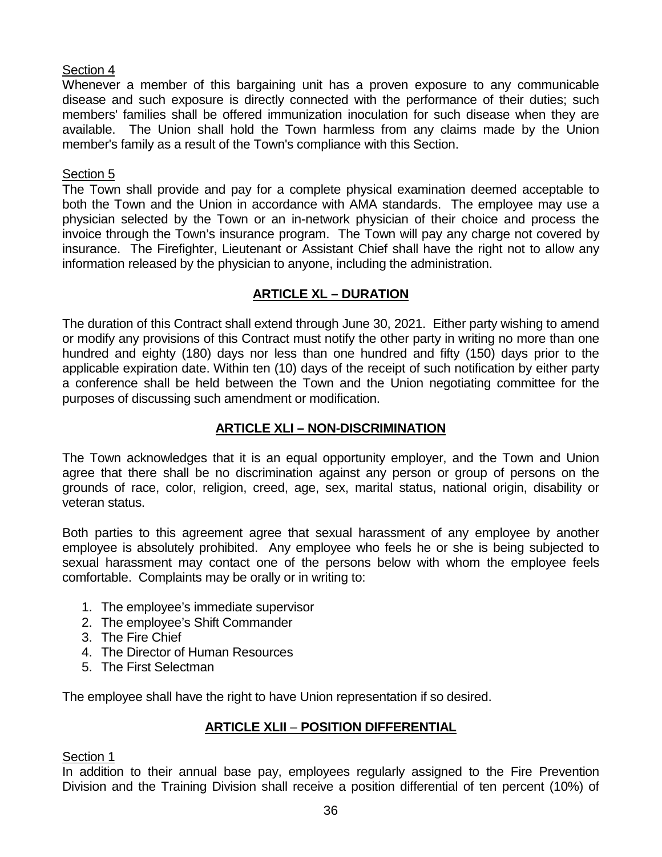# Section 4

Whenever a member of this bargaining unit has a proven exposure to any communicable disease and such exposure is directly connected with the performance of their duties; such members' families shall be offered immunization inoculation for such disease when they are available. The Union shall hold the Town harmless from any claims made by the Union member's family as a result of the Town's compliance with this Section.

# Section 5

The Town shall provide and pay for a complete physical examination deemed acceptable to both the Town and the Union in accordance with AMA standards. The employee may use a physician selected by the Town or an in-network physician of their choice and process the invoice through the Town's insurance program. The Town will pay any charge not covered by insurance. The Firefighter, Lieutenant or Assistant Chief shall have the right not to allow any information released by the physician to anyone, including the administration.

# **ARTICLE XL – DURATION**

The duration of this Contract shall extend through June 30, 2021. Either party wishing to amend or modify any provisions of this Contract must notify the other party in writing no more than one hundred and eighty (180) days nor less than one hundred and fifty (150) days prior to the applicable expiration date. Within ten (10) days of the receipt of such notification by either party a conference shall be held between the Town and the Union negotiating committee for the purposes of discussing such amendment or modification.

# **ARTICLE XLI – NON-DISCRIMINATION**

The Town acknowledges that it is an equal opportunity employer, and the Town and Union agree that there shall be no discrimination against any person or group of persons on the grounds of race, color, religion, creed, age, sex, marital status, national origin, disability or veteran status.

Both parties to this agreement agree that sexual harassment of any employee by another employee is absolutely prohibited. Any employee who feels he or she is being subjected to sexual harassment may contact one of the persons below with whom the employee feels comfortable. Complaints may be orally or in writing to:

- 1. The employee's immediate supervisor
- 2. The employee's Shift Commander
- 3. The Fire Chief
- 4. The Director of Human Resources
- 5. The First Selectman

The employee shall have the right to have Union representation if so desired.

# **ARTICLE XLII** – **POSITION DIFFERENTIAL**

# Section 1

In addition to their annual base pay, employees regularly assigned to the Fire Prevention Division and the Training Division shall receive a position differential of ten percent (10%) of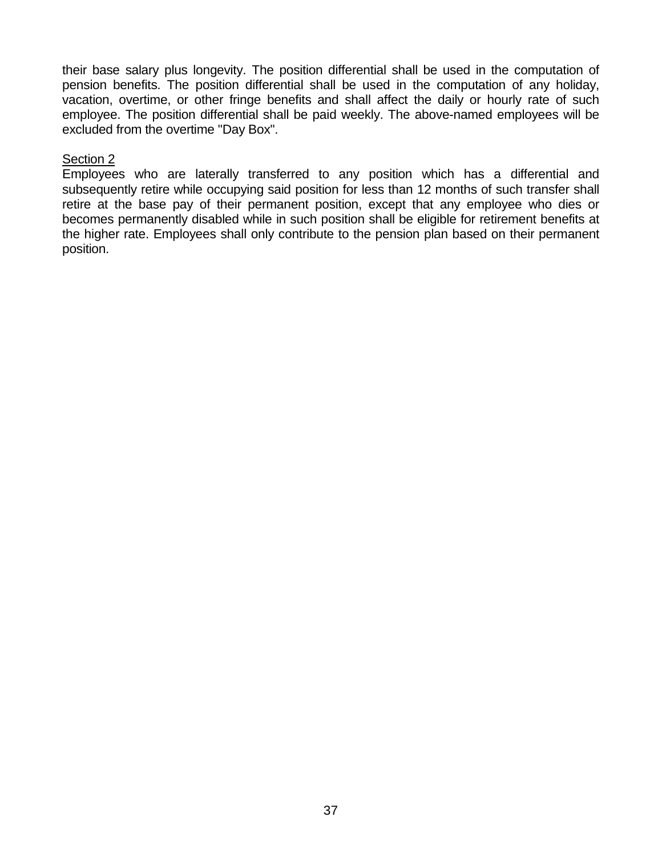their base salary plus longevity. The position differential shall be used in the computation of pension benefits. The position differential shall be used in the computation of any holiday, vacation, overtime, or other fringe benefits and shall affect the daily or hourly rate of such employee. The position differential shall be paid weekly. The above-named employees will be excluded from the overtime "Day Box".

# Section 2

Employees who are laterally transferred to any position which has a differential and subsequently retire while occupying said position for less than 12 months of such transfer shall retire at the base pay of their permanent position, except that any employee who dies or becomes permanently disabled while in such position shall be eligible for retirement benefits at the higher rate. Employees shall only contribute to the pension plan based on their permanent position.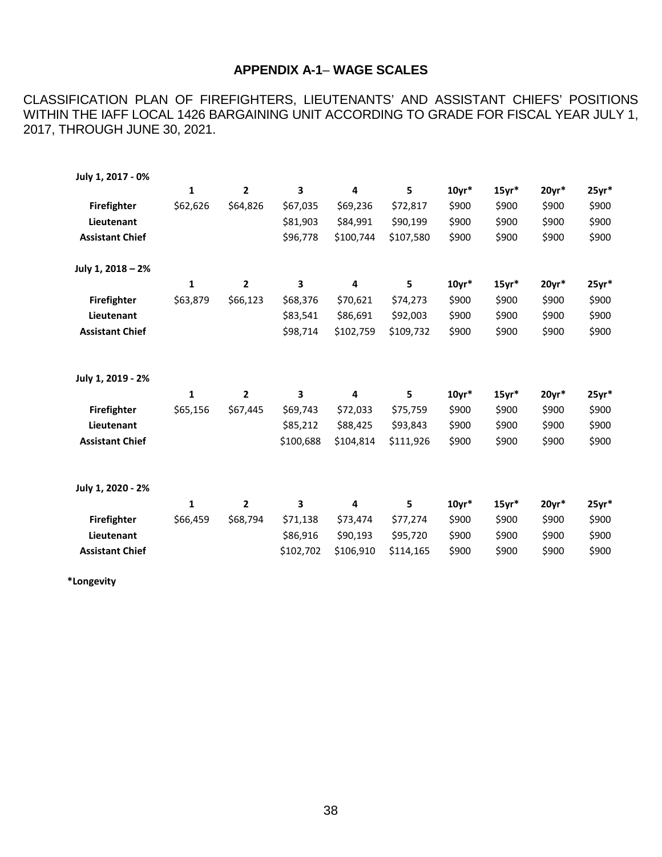# **APPENDIX A-1**– **WAGE SCALES**

CLASSIFICATION PLAN OF FIREFIGHTERS, LIEUTENANTS' AND ASSISTANT CHIEFS' POSITIONS WITHIN THE IAFF LOCAL 1426 BARGAINING UNIT ACCORDING TO GRADE FOR FISCAL YEAR JULY 1, 2017, THROUGH JUNE 30, 2021.

| July 1, 2017 - 0%      |          |                |           |           |           |         |         |         |         |
|------------------------|----------|----------------|-----------|-----------|-----------|---------|---------|---------|---------|
|                        | 1        | $\overline{2}$ | 3         | 4         | 5         | $10yr*$ | $15yr*$ | $20yr*$ | $25yr*$ |
| <b>Firefighter</b>     | \$62,626 | \$64,826       | \$67,035  | \$69,236  | \$72,817  | \$900   | \$900   | \$900   | \$900   |
| Lieutenant             |          |                | \$81,903  | \$84,991  | \$90,199  | \$900   | \$900   | \$900   | \$900   |
| <b>Assistant Chief</b> |          |                | \$96,778  | \$100,744 | \$107,580 | \$900   | \$900   | \$900   | \$900   |
| July 1, 2018 - 2%      |          |                |           |           |           |         |         |         |         |
|                        | 1        | $\overline{2}$ | 3         | 4         | 5         | $10yr*$ | $15yr*$ | $20yr*$ | $25yr*$ |
| <b>Firefighter</b>     | \$63,879 | \$66,123       | \$68,376  | \$70,621  | \$74,273  | \$900   | \$900   | \$900   | \$900   |
| Lieutenant             |          |                | \$83,541  | \$86,691  | \$92,003  | \$900   | \$900   | \$900   | \$900   |
| <b>Assistant Chief</b> |          |                | \$98,714  | \$102,759 | \$109,732 | \$900   | \$900   | \$900   | \$900   |
| July 1, 2019 - 2%      |          |                |           |           |           |         |         |         |         |
|                        | 1        | $\mathbf{2}$   | 3         | 4         | 5         | $10yr*$ | $15yr*$ | $20yr*$ | $25yr*$ |
| <b>Firefighter</b>     | \$65,156 | \$67,445       | \$69,743  | \$72,033  | \$75,759  | \$900   | \$900   | \$900   | \$900   |
| Lieutenant             |          |                | \$85,212  | \$88,425  | \$93,843  | \$900   | \$900   | \$900   | \$900   |
| <b>Assistant Chief</b> |          |                | \$100,688 | \$104,814 | \$111,926 | \$900   | \$900   | \$900   | \$900   |
| July 1, 2020 - 2%      |          |                |           |           |           |         |         |         |         |
|                        | 1        | $\overline{2}$ | 3         | 4         | 5         | $10yr*$ | $15yr*$ | $20yr*$ | $25yr*$ |
| <b>Firefighter</b>     | \$66,459 | \$68,794       | \$71,138  | \$73,474  | \$77,274  | \$900   | \$900   | \$900   | \$900   |
| Lieutenant             |          |                | \$86,916  | \$90,193  | \$95,720  | \$900   | \$900   | \$900   | \$900   |
| <b>Assistant Chief</b> |          |                | \$102,702 | \$106,910 | \$114,165 | \$900   | \$900   | \$900   | \$900   |

**\*Longevity**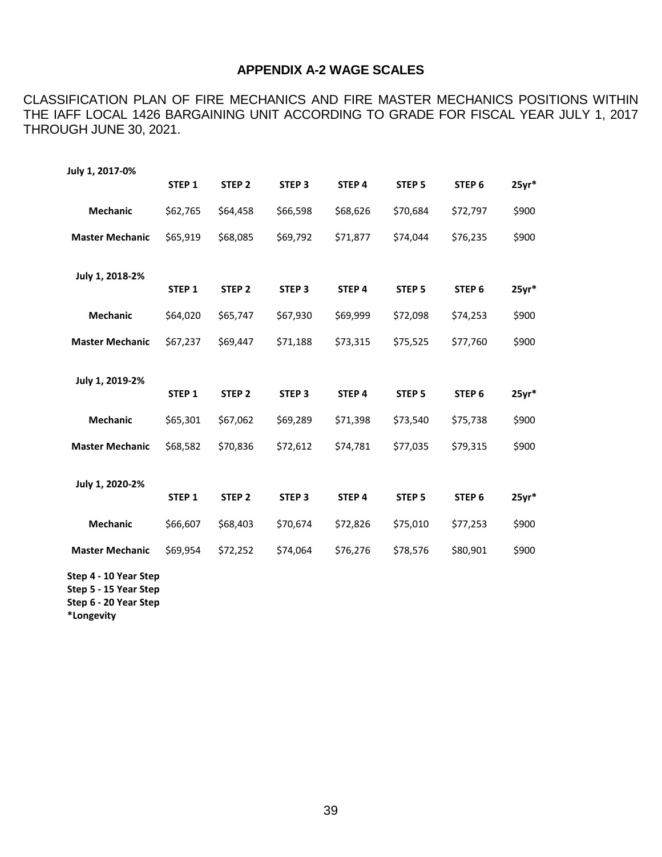#### **APPENDIX A-2 WAGE SCALES**

CLASSIFICATION PLAN OF FIRE MECHANICS AND FIRE MASTER MECHANICS POSITIONS WITHIN THE IAFF LOCAL 1426 BARGAINING UNIT ACCORDING TO GRADE FOR FISCAL YEAR JULY 1, 2017 THROUGH JUNE 30, 2021.

| July 1, 2017-0%                                                                              |                   |                   |                   |                   |                   |                   |         |
|----------------------------------------------------------------------------------------------|-------------------|-------------------|-------------------|-------------------|-------------------|-------------------|---------|
|                                                                                              | STEP <sub>1</sub> | STEP <sub>2</sub> | STEP <sub>3</sub> | STEP 4            | STEP <sub>5</sub> | STEP <sub>6</sub> | $25yr*$ |
| <b>Mechanic</b>                                                                              | \$62,765          | \$64,458          | \$66,598          | \$68,626          | \$70,684          | \$72,797          | \$900   |
| <b>Master Mechanic</b>                                                                       | \$65,919          | \$68,085          | \$69,792          | \$71,877          | \$74,044          | \$76,235          | \$900   |
| July 1, 2018-2%                                                                              | STEP <sub>1</sub> | STEP <sub>2</sub> | STEP <sub>3</sub> | STEP <sub>4</sub> | STEP <sub>5</sub> | STEP <sub>6</sub> | $25yr*$ |
| <b>Mechanic</b>                                                                              | \$64,020          | \$65,747          | \$67,930          | \$69,999          | \$72,098          | \$74,253          | \$900   |
| <b>Master Mechanic</b>                                                                       | \$67,237          | \$69,447          | \$71,188          | \$73,315          | \$75,525          | \$77,760          | \$900   |
| July 1, 2019-2%                                                                              |                   |                   |                   |                   |                   |                   |         |
|                                                                                              | STEP <sub>1</sub> | STEP <sub>2</sub> | STEP <sub>3</sub> | STEP 4            | STEP <sub>5</sub> | STEP <sub>6</sub> | $25yr*$ |
| <b>Mechanic</b>                                                                              | \$65,301          | \$67,062          | \$69,289          | \$71,398          | \$73,540          | \$75,738          | \$900   |
| <b>Master Mechanic</b>                                                                       | \$68,582          | \$70,836          | \$72,612          | \$74,781          | \$77,035          | \$79,315          | \$900   |
| July 1, 2020-2%                                                                              | STEP <sub>1</sub> | STEP <sub>2</sub> | STEP <sub>3</sub> | STEP 4            | STEP <sub>5</sub> | STEP <sub>6</sub> | $25yr*$ |
| <b>Mechanic</b>                                                                              | \$66,607          | \$68,403          | \$70,674          | \$72,826          | \$75,010          | \$77,253          | \$900   |
| <b>Master Mechanic</b>                                                                       | \$69,954          | \$72,252          | \$74,064          | \$76,276          | \$78,576          | \$80,901          | \$900   |
| Step 4 - 10 Year Step<br>$C + \lambda + \Gamma$ $A \Gamma$ $V \lambda \lambda + C + \lambda$ |                   |                   |                   |                   |                   |                   |         |

**Step 5 - 15 Year Step Step 6 - 20 Year Step**

**\*Longevity**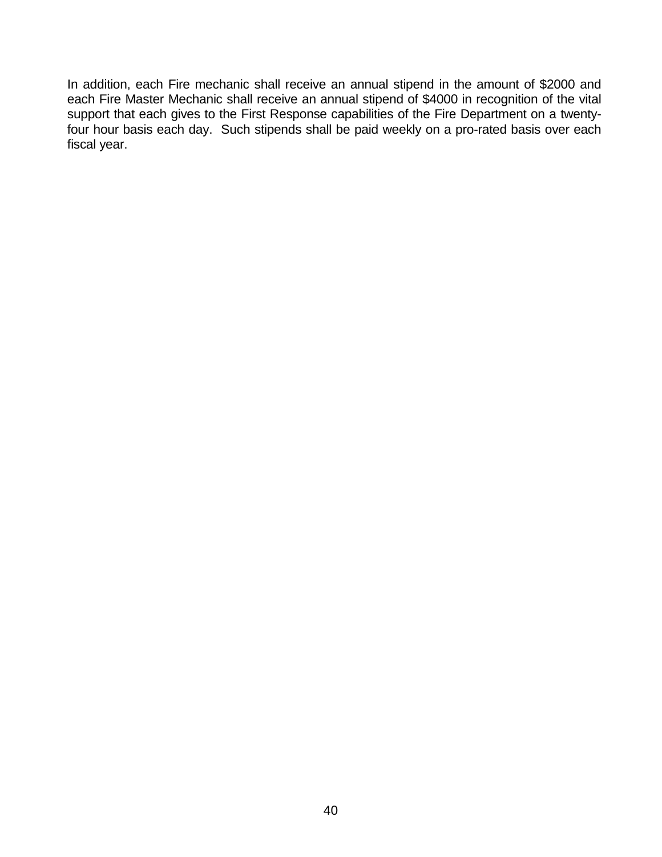In addition, each Fire mechanic shall receive an annual stipend in the amount of \$2000 and each Fire Master Mechanic shall receive an annual stipend of \$4000 in recognition of the vital support that each gives to the First Response capabilities of the Fire Department on a twentyfour hour basis each day. Such stipends shall be paid weekly on a pro-rated basis over each fiscal year.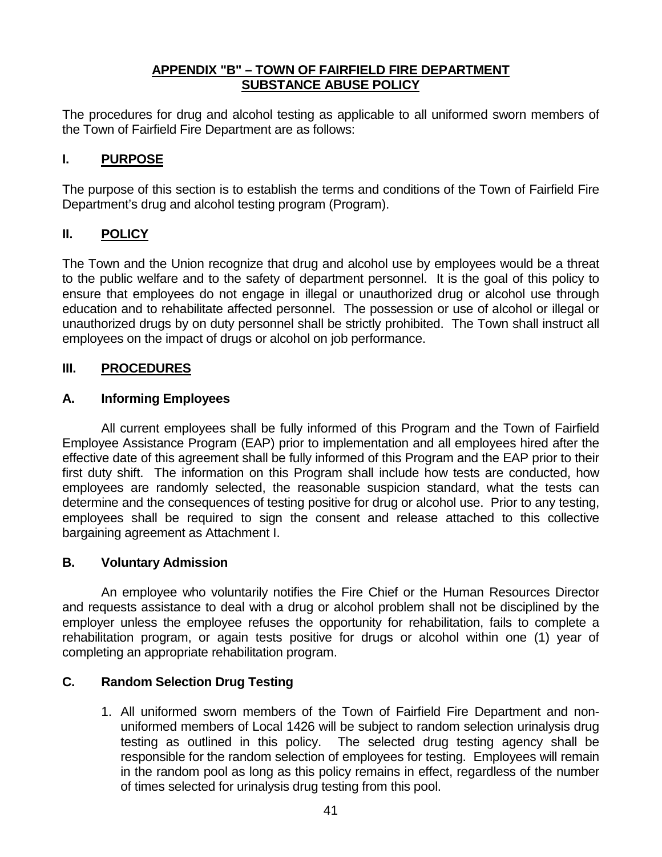### **APPENDIX "B" – TOWN OF FAIRFIELD FIRE DEPARTMENT SUBSTANCE ABUSE POLICY**

The procedures for drug and alcohol testing as applicable to all uniformed sworn members of the Town of Fairfield Fire Department are as follows:

# **I. PURPOSE**

The purpose of this section is to establish the terms and conditions of the Town of Fairfield Fire Department's drug and alcohol testing program (Program).

# **II. POLICY**

The Town and the Union recognize that drug and alcohol use by employees would be a threat to the public welfare and to the safety of department personnel. It is the goal of this policy to ensure that employees do not engage in illegal or unauthorized drug or alcohol use through education and to rehabilitate affected personnel. The possession or use of alcohol or illegal or unauthorized drugs by on duty personnel shall be strictly prohibited. The Town shall instruct all employees on the impact of drugs or alcohol on job performance.

### **III. PROCEDURES**

### **A. Informing Employees**

All current employees shall be fully informed of this Program and the Town of Fairfield Employee Assistance Program (EAP) prior to implementation and all employees hired after the effective date of this agreement shall be fully informed of this Program and the EAP prior to their first duty shift. The information on this Program shall include how tests are conducted, how employees are randomly selected, the reasonable suspicion standard, what the tests can determine and the consequences of testing positive for drug or alcohol use. Prior to any testing, employees shall be required to sign the consent and release attached to this collective bargaining agreement as Attachment I.

### **B. Voluntary Admission**

An employee who voluntarily notifies the Fire Chief or the Human Resources Director and requests assistance to deal with a drug or alcohol problem shall not be disciplined by the employer unless the employee refuses the opportunity for rehabilitation, fails to complete a rehabilitation program, or again tests positive for drugs or alcohol within one (1) year of completing an appropriate rehabilitation program.

### **C. Random Selection Drug Testing**

1. All uniformed sworn members of the Town of Fairfield Fire Department and nonuniformed members of Local 1426 will be subject to random selection urinalysis drug testing as outlined in this policy. The selected drug testing agency shall be responsible for the random selection of employees for testing. Employees will remain in the random pool as long as this policy remains in effect, regardless of the number of times selected for urinalysis drug testing from this pool.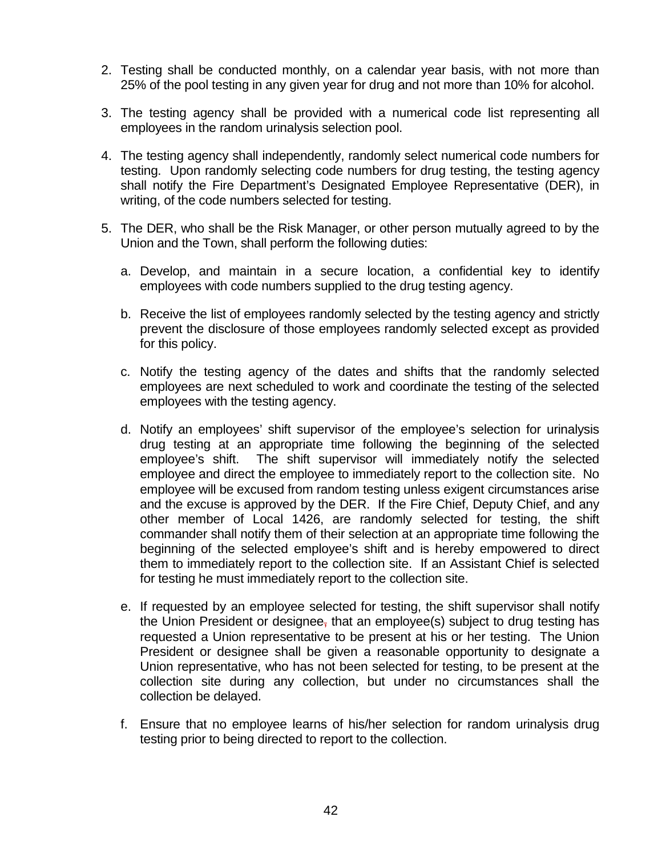- 2. Testing shall be conducted monthly, on a calendar year basis, with not more than 25% of the pool testing in any given year for drug and not more than 10% for alcohol.
- 3. The testing agency shall be provided with a numerical code list representing all employees in the random urinalysis selection pool.
- 4. The testing agency shall independently, randomly select numerical code numbers for testing. Upon randomly selecting code numbers for drug testing, the testing agency shall notify the Fire Department's Designated Employee Representative (DER), in writing, of the code numbers selected for testing.
- 5. The DER, who shall be the Risk Manager, or other person mutually agreed to by the Union and the Town, shall perform the following duties:
	- a. Develop, and maintain in a secure location, a confidential key to identify employees with code numbers supplied to the drug testing agency.
	- b. Receive the list of employees randomly selected by the testing agency and strictly prevent the disclosure of those employees randomly selected except as provided for this policy.
	- c. Notify the testing agency of the dates and shifts that the randomly selected employees are next scheduled to work and coordinate the testing of the selected employees with the testing agency.
	- d. Notify an employees' shift supervisor of the employee's selection for urinalysis drug testing at an appropriate time following the beginning of the selected employee's shift. The shift supervisor will immediately notify the selected employee and direct the employee to immediately report to the collection site. No employee will be excused from random testing unless exigent circumstances arise and the excuse is approved by the DER. If the Fire Chief, Deputy Chief, and any other member of Local 1426, are randomly selected for testing, the shift commander shall notify them of their selection at an appropriate time following the beginning of the selected employee's shift and is hereby empowered to direct them to immediately report to the collection site. If an Assistant Chief is selected for testing he must immediately report to the collection site.
	- e. If requested by an employee selected for testing, the shift supervisor shall notify the Union President or designee, that an employee(s) subject to drug testing has requested a Union representative to be present at his or her testing. The Union President or designee shall be given a reasonable opportunity to designate a Union representative, who has not been selected for testing, to be present at the collection site during any collection, but under no circumstances shall the collection be delayed.
	- f. Ensure that no employee learns of his/her selection for random urinalysis drug testing prior to being directed to report to the collection.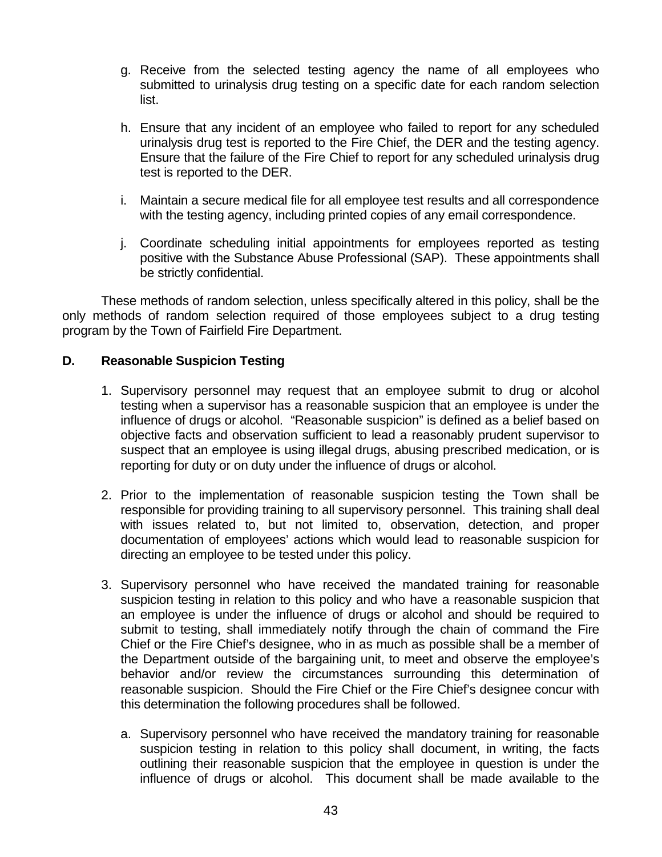- g. Receive from the selected testing agency the name of all employees who submitted to urinalysis drug testing on a specific date for each random selection list.
- h. Ensure that any incident of an employee who failed to report for any scheduled urinalysis drug test is reported to the Fire Chief, the DER and the testing agency. Ensure that the failure of the Fire Chief to report for any scheduled urinalysis drug test is reported to the DER.
- i. Maintain a secure medical file for all employee test results and all correspondence with the testing agency, including printed copies of any email correspondence.
- j. Coordinate scheduling initial appointments for employees reported as testing positive with the Substance Abuse Professional (SAP). These appointments shall be strictly confidential.

These methods of random selection, unless specifically altered in this policy, shall be the only methods of random selection required of those employees subject to a drug testing program by the Town of Fairfield Fire Department.

### **D. Reasonable Suspicion Testing**

- 1. Supervisory personnel may request that an employee submit to drug or alcohol testing when a supervisor has a reasonable suspicion that an employee is under the influence of drugs or alcohol. "Reasonable suspicion" is defined as a belief based on objective facts and observation sufficient to lead a reasonably prudent supervisor to suspect that an employee is using illegal drugs, abusing prescribed medication, or is reporting for duty or on duty under the influence of drugs or alcohol.
- 2. Prior to the implementation of reasonable suspicion testing the Town shall be responsible for providing training to all supervisory personnel. This training shall deal with issues related to, but not limited to, observation, detection, and proper documentation of employees' actions which would lead to reasonable suspicion for directing an employee to be tested under this policy.
- 3. Supervisory personnel who have received the mandated training for reasonable suspicion testing in relation to this policy and who have a reasonable suspicion that an employee is under the influence of drugs or alcohol and should be required to submit to testing, shall immediately notify through the chain of command the Fire Chief or the Fire Chief's designee, who in as much as possible shall be a member of the Department outside of the bargaining unit, to meet and observe the employee's behavior and/or review the circumstances surrounding this determination of reasonable suspicion. Should the Fire Chief or the Fire Chief's designee concur with this determination the following procedures shall be followed.
	- a. Supervisory personnel who have received the mandatory training for reasonable suspicion testing in relation to this policy shall document, in writing, the facts outlining their reasonable suspicion that the employee in question is under the influence of drugs or alcohol. This document shall be made available to the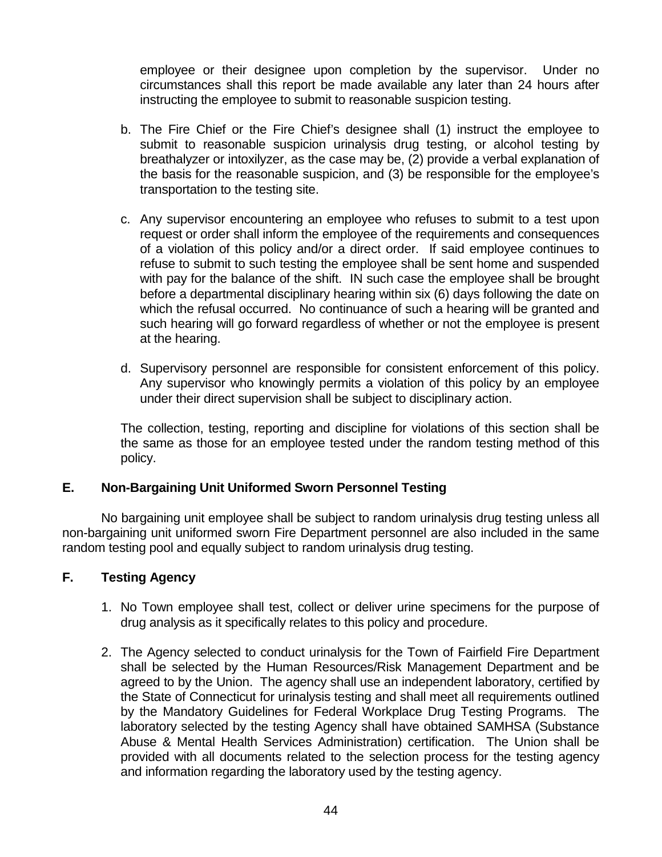employee or their designee upon completion by the supervisor. Under no circumstances shall this report be made available any later than 24 hours after instructing the employee to submit to reasonable suspicion testing.

- b. The Fire Chief or the Fire Chief's designee shall (1) instruct the employee to submit to reasonable suspicion urinalysis drug testing, or alcohol testing by breathalyzer or intoxilyzer, as the case may be, (2) provide a verbal explanation of the basis for the reasonable suspicion, and (3) be responsible for the employee's transportation to the testing site.
- c. Any supervisor encountering an employee who refuses to submit to a test upon request or order shall inform the employee of the requirements and consequences of a violation of this policy and/or a direct order. If said employee continues to refuse to submit to such testing the employee shall be sent home and suspended with pay for the balance of the shift. IN such case the employee shall be brought before a departmental disciplinary hearing within six (6) days following the date on which the refusal occurred. No continuance of such a hearing will be granted and such hearing will go forward regardless of whether or not the employee is present at the hearing.
- d. Supervisory personnel are responsible for consistent enforcement of this policy. Any supervisor who knowingly permits a violation of this policy by an employee under their direct supervision shall be subject to disciplinary action.

The collection, testing, reporting and discipline for violations of this section shall be the same as those for an employee tested under the random testing method of this policy.

# **E. Non-Bargaining Unit Uniformed Sworn Personnel Testing**

No bargaining unit employee shall be subject to random urinalysis drug testing unless all non-bargaining unit uniformed sworn Fire Department personnel are also included in the same random testing pool and equally subject to random urinalysis drug testing.

### **F. Testing Agency**

- 1. No Town employee shall test, collect or deliver urine specimens for the purpose of drug analysis as it specifically relates to this policy and procedure.
- 2. The Agency selected to conduct urinalysis for the Town of Fairfield Fire Department shall be selected by the Human Resources/Risk Management Department and be agreed to by the Union. The agency shall use an independent laboratory, certified by the State of Connecticut for urinalysis testing and shall meet all requirements outlined by the Mandatory Guidelines for Federal Workplace Drug Testing Programs. The laboratory selected by the testing Agency shall have obtained SAMHSA (Substance Abuse & Mental Health Services Administration) certification. The Union shall be provided with all documents related to the selection process for the testing agency and information regarding the laboratory used by the testing agency.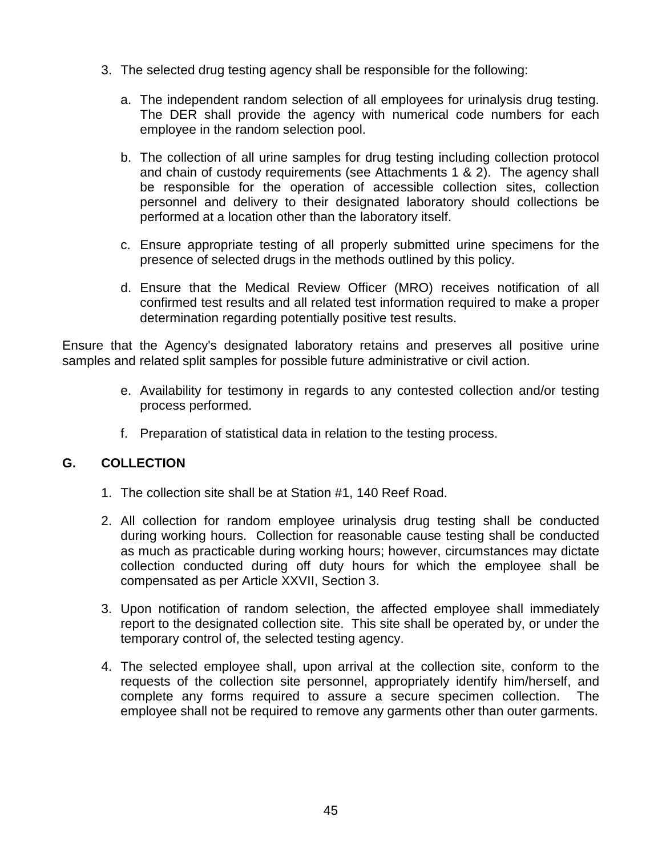- 3. The selected drug testing agency shall be responsible for the following:
	- a. The independent random selection of all employees for urinalysis drug testing. The DER shall provide the agency with numerical code numbers for each employee in the random selection pool.
	- b. The collection of all urine samples for drug testing including collection protocol and chain of custody requirements (see Attachments 1 & 2). The agency shall be responsible for the operation of accessible collection sites, collection personnel and delivery to their designated laboratory should collections be performed at a location other than the laboratory itself.
	- c. Ensure appropriate testing of all properly submitted urine specimens for the presence of selected drugs in the methods outlined by this policy.
	- d. Ensure that the Medical Review Officer (MRO) receives notification of all confirmed test results and all related test information required to make a proper determination regarding potentially positive test results.

Ensure that the Agency's designated laboratory retains and preserves all positive urine samples and related split samples for possible future administrative or civil action.

- e. Availability for testimony in regards to any contested collection and/or testing process performed.
- f. Preparation of statistical data in relation to the testing process.

# **G. COLLECTION**

- 1. The collection site shall be at Station #1, 140 Reef Road.
- 2. All collection for random employee urinalysis drug testing shall be conducted during working hours. Collection for reasonable cause testing shall be conducted as much as practicable during working hours; however, circumstances may dictate collection conducted during off duty hours for which the employee shall be compensated as per Article XXVII, Section 3.
- 3. Upon notification of random selection, the affected employee shall immediately report to the designated collection site. This site shall be operated by, or under the temporary control of, the selected testing agency.
- 4. The selected employee shall, upon arrival at the collection site, conform to the requests of the collection site personnel, appropriately identify him/herself, and complete any forms required to assure a secure specimen collection. The employee shall not be required to remove any garments other than outer garments.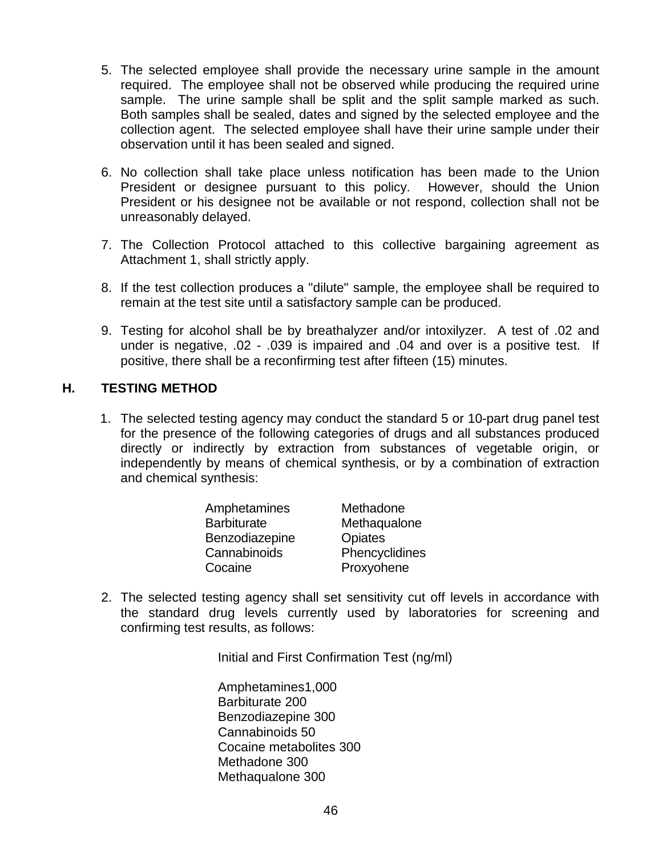- 5. The selected employee shall provide the necessary urine sample in the amount required. The employee shall not be observed while producing the required urine sample. The urine sample shall be split and the split sample marked as such. Both samples shall be sealed, dates and signed by the selected employee and the collection agent. The selected employee shall have their urine sample under their observation until it has been sealed and signed.
- 6. No collection shall take place unless notification has been made to the Union President or designee pursuant to this policy. However, should the Union President or his designee not be available or not respond, collection shall not be unreasonably delayed.
- 7. The Collection Protocol attached to this collective bargaining agreement as Attachment 1, shall strictly apply.
- 8. If the test collection produces a "dilute" sample, the employee shall be required to remain at the test site until a satisfactory sample can be produced.
- 9. Testing for alcohol shall be by breathalyzer and/or intoxilyzer. A test of .02 and under is negative, .02 - .039 is impaired and .04 and over is a positive test. If positive, there shall be a reconfirming test after fifteen (15) minutes.

### **H. TESTING METHOD**

1. The selected testing agency may conduct the standard 5 or 10-part drug panel test for the presence of the following categories of drugs and all substances produced directly or indirectly by extraction from substances of vegetable origin, or independently by means of chemical synthesis, or by a combination of extraction and chemical synthesis:

| Amphetamines       | Methadone      |
|--------------------|----------------|
| <b>Barbiturate</b> | Methaqualone   |
| Benzodiazepine     | <b>Opiates</b> |
| Cannabinoids       | Phencyclidines |
| Cocaine            | Proxyohene     |

2. The selected testing agency shall set sensitivity cut off levels in accordance with the standard drug levels currently used by laboratories for screening and confirming test results, as follows:

Initial and First Confirmation Test (ng/ml)

Amphetamines1,000 Barbiturate 200 Benzodiazepine 300 Cannabinoids 50 Cocaine metabolites 300 Methadone 300 Methaqualone 300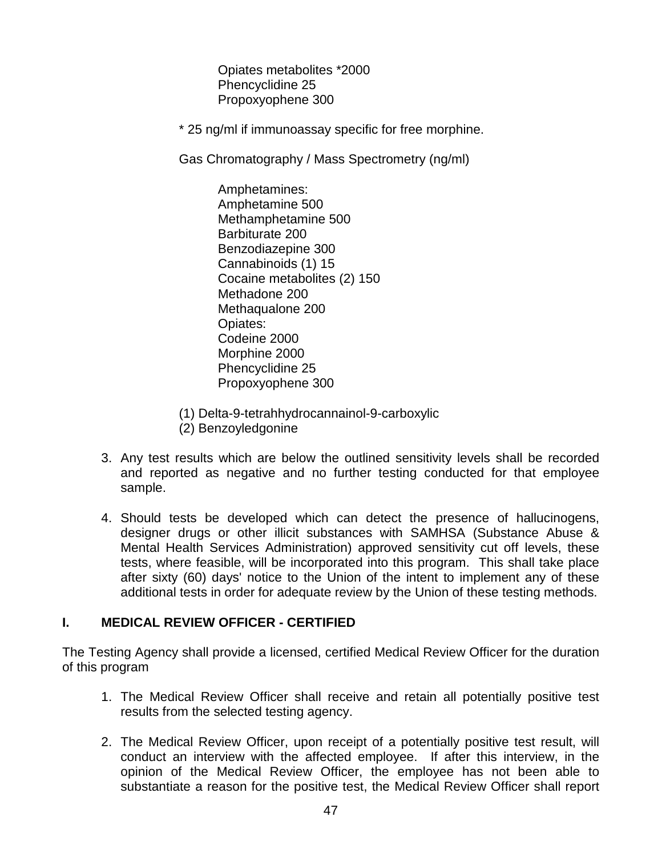Opiates metabolites \*2000 Phencyclidine 25 Propoxyophene 300

\* 25 ng/ml if immunoassay specific for free morphine.

Gas Chromatography / Mass Spectrometry (ng/ml)

Amphetamines: Amphetamine 500 Methamphetamine 500 Barbiturate 200 Benzodiazepine 300 Cannabinoids (1) 15 Cocaine metabolites (2) 150 Methadone 200 Methaqualone 200 Opiates: Codeine 2000 Morphine 2000 Phencyclidine 25 Propoxyophene 300

- (1) Delta-9-tetrahhydrocannainol-9-carboxylic (2) Benzoyledgonine
- 3. Any test results which are below the outlined sensitivity levels shall be recorded and reported as negative and no further testing conducted for that employee sample.
- 4. Should tests be developed which can detect the presence of hallucinogens, designer drugs or other illicit substances with SAMHSA (Substance Abuse & Mental Health Services Administration) approved sensitivity cut off levels, these tests, where feasible, will be incorporated into this program. This shall take place after sixty (60) days' notice to the Union of the intent to implement any of these additional tests in order for adequate review by the Union of these testing methods.

# **I. MEDICAL REVIEW OFFICER - CERTIFIED**

The Testing Agency shall provide a licensed, certified Medical Review Officer for the duration of this program

- 1. The Medical Review Officer shall receive and retain all potentially positive test results from the selected testing agency.
- 2. The Medical Review Officer, upon receipt of a potentially positive test result, will conduct an interview with the affected employee. If after this interview, in the opinion of the Medical Review Officer, the employee has not been able to substantiate a reason for the positive test, the Medical Review Officer shall report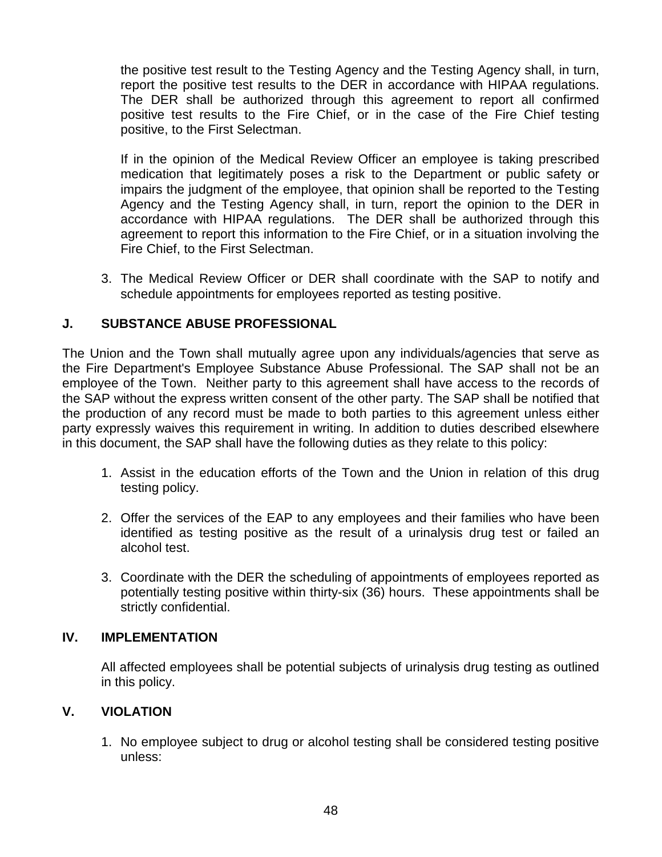the positive test result to the Testing Agency and the Testing Agency shall, in turn, report the positive test results to the DER in accordance with HIPAA regulations. The DER shall be authorized through this agreement to report all confirmed positive test results to the Fire Chief, or in the case of the Fire Chief testing positive, to the First Selectman.

If in the opinion of the Medical Review Officer an employee is taking prescribed medication that legitimately poses a risk to the Department or public safety or impairs the judgment of the employee, that opinion shall be reported to the Testing Agency and the Testing Agency shall, in turn, report the opinion to the DER in accordance with HIPAA regulations. The DER shall be authorized through this agreement to report this information to the Fire Chief, or in a situation involving the Fire Chief, to the First Selectman.

3. The Medical Review Officer or DER shall coordinate with the SAP to notify and schedule appointments for employees reported as testing positive.

# **J. SUBSTANCE ABUSE PROFESSIONAL**

The Union and the Town shall mutually agree upon any individuals/agencies that serve as the Fire Department's Employee Substance Abuse Professional. The SAP shall not be an employee of the Town. Neither party to this agreement shall have access to the records of the SAP without the express written consent of the other party. The SAP shall be notified that the production of any record must be made to both parties to this agreement unless either party expressly waives this requirement in writing. In addition to duties described elsewhere in this document, the SAP shall have the following duties as they relate to this policy:

- 1. Assist in the education efforts of the Town and the Union in relation of this drug testing policy.
- 2. Offer the services of the EAP to any employees and their families who have been identified as testing positive as the result of a urinalysis drug test or failed an alcohol test.
- 3. Coordinate with the DER the scheduling of appointments of employees reported as potentially testing positive within thirty-six (36) hours. These appointments shall be strictly confidential.

### **IV. IMPLEMENTATION**

All affected employees shall be potential subjects of urinalysis drug testing as outlined in this policy.

### **V. VIOLATION**

1. No employee subject to drug or alcohol testing shall be considered testing positive unless: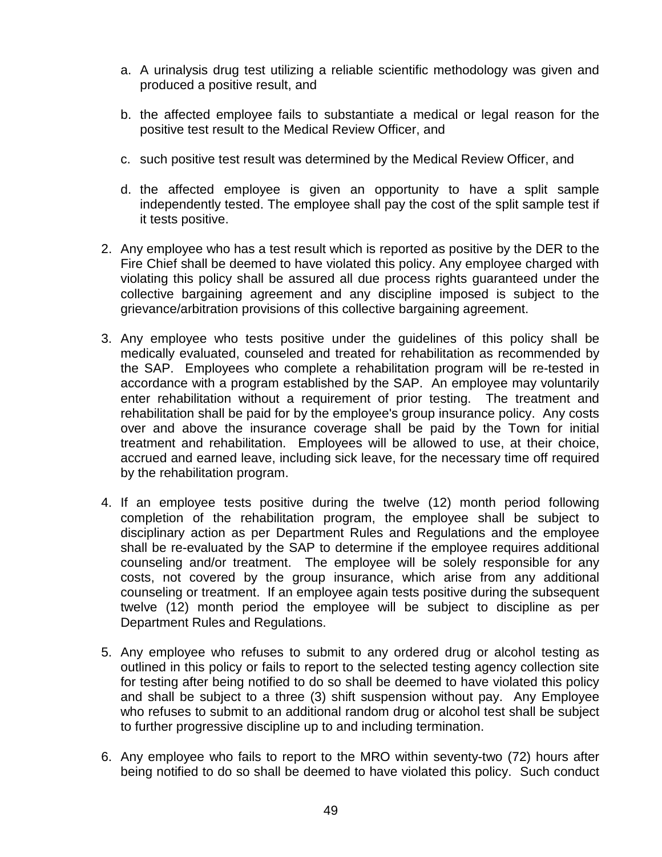- a. A urinalysis drug test utilizing a reliable scientific methodology was given and produced a positive result, and
- b. the affected employee fails to substantiate a medical or legal reason for the positive test result to the Medical Review Officer, and
- c. such positive test result was determined by the Medical Review Officer, and
- d. the affected employee is given an opportunity to have a split sample independently tested. The employee shall pay the cost of the split sample test if it tests positive.
- 2. Any employee who has a test result which is reported as positive by the DER to the Fire Chief shall be deemed to have violated this policy. Any employee charged with violating this policy shall be assured all due process rights guaranteed under the collective bargaining agreement and any discipline imposed is subject to the grievance/arbitration provisions of this collective bargaining agreement.
- 3. Any employee who tests positive under the guidelines of this policy shall be medically evaluated, counseled and treated for rehabilitation as recommended by the SAP. Employees who complete a rehabilitation program will be re-tested in accordance with a program established by the SAP. An employee may voluntarily enter rehabilitation without a requirement of prior testing. The treatment and rehabilitation shall be paid for by the employee's group insurance policy. Any costs over and above the insurance coverage shall be paid by the Town for initial treatment and rehabilitation. Employees will be allowed to use, at their choice, accrued and earned leave, including sick leave, for the necessary time off required by the rehabilitation program.
- 4. If an employee tests positive during the twelve (12) month period following completion of the rehabilitation program, the employee shall be subject to disciplinary action as per Department Rules and Regulations and the employee shall be re-evaluated by the SAP to determine if the employee requires additional counseling and/or treatment. The employee will be solely responsible for any costs, not covered by the group insurance, which arise from any additional counseling or treatment. If an employee again tests positive during the subsequent twelve (12) month period the employee will be subject to discipline as per Department Rules and Regulations.
- 5. Any employee who refuses to submit to any ordered drug or alcohol testing as outlined in this policy or fails to report to the selected testing agency collection site for testing after being notified to do so shall be deemed to have violated this policy and shall be subject to a three (3) shift suspension without pay. Any Employee who refuses to submit to an additional random drug or alcohol test shall be subject to further progressive discipline up to and including termination.
- 6. Any employee who fails to report to the MRO within seventy-two (72) hours after being notified to do so shall be deemed to have violated this policy. Such conduct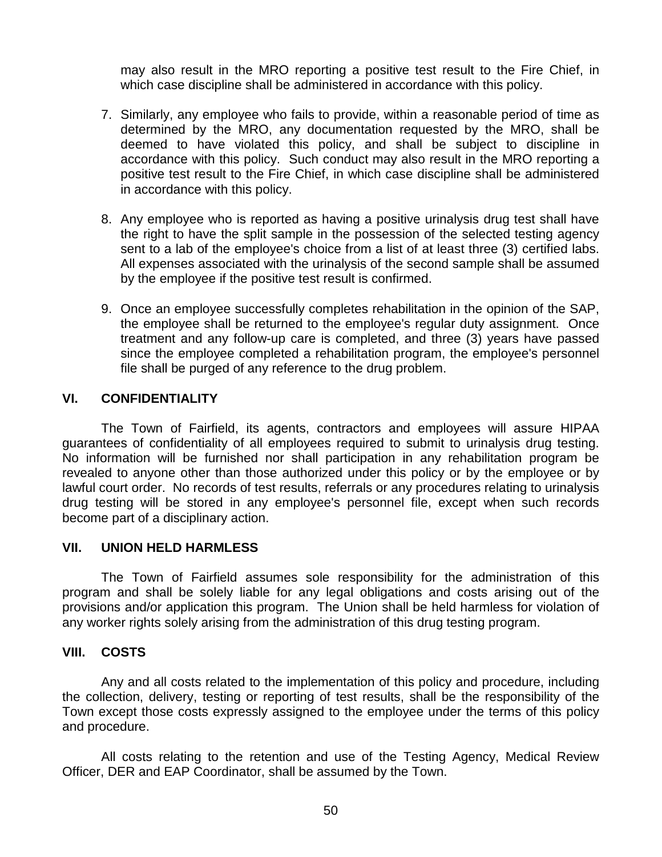may also result in the MRO reporting a positive test result to the Fire Chief, in which case discipline shall be administered in accordance with this policy.

- 7. Similarly, any employee who fails to provide, within a reasonable period of time as determined by the MRO, any documentation requested by the MRO, shall be deemed to have violated this policy, and shall be subject to discipline in accordance with this policy. Such conduct may also result in the MRO reporting a positive test result to the Fire Chief, in which case discipline shall be administered in accordance with this policy.
- 8. Any employee who is reported as having a positive urinalysis drug test shall have the right to have the split sample in the possession of the selected testing agency sent to a lab of the employee's choice from a list of at least three (3) certified labs. All expenses associated with the urinalysis of the second sample shall be assumed by the employee if the positive test result is confirmed.
- 9. Once an employee successfully completes rehabilitation in the opinion of the SAP, the employee shall be returned to the employee's regular duty assignment. Once treatment and any follow-up care is completed, and three (3) years have passed since the employee completed a rehabilitation program, the employee's personnel file shall be purged of any reference to the drug problem.

### **VI. CONFIDENTIALITY**

The Town of Fairfield, its agents, contractors and employees will assure HIPAA guarantees of confidentiality of all employees required to submit to urinalysis drug testing. No information will be furnished nor shall participation in any rehabilitation program be revealed to anyone other than those authorized under this policy or by the employee or by lawful court order. No records of test results, referrals or any procedures relating to urinalysis drug testing will be stored in any employee's personnel file, except when such records become part of a disciplinary action.

#### **VII. UNION HELD HARMLESS**

The Town of Fairfield assumes sole responsibility for the administration of this program and shall be solely liable for any legal obligations and costs arising out of the provisions and/or application this program. The Union shall be held harmless for violation of any worker rights solely arising from the administration of this drug testing program.

#### **VIII. COSTS**

Any and all costs related to the implementation of this policy and procedure, including the collection, delivery, testing or reporting of test results, shall be the responsibility of the Town except those costs expressly assigned to the employee under the terms of this policy and procedure.

All costs relating to the retention and use of the Testing Agency, Medical Review Officer, DER and EAP Coordinator, shall be assumed by the Town.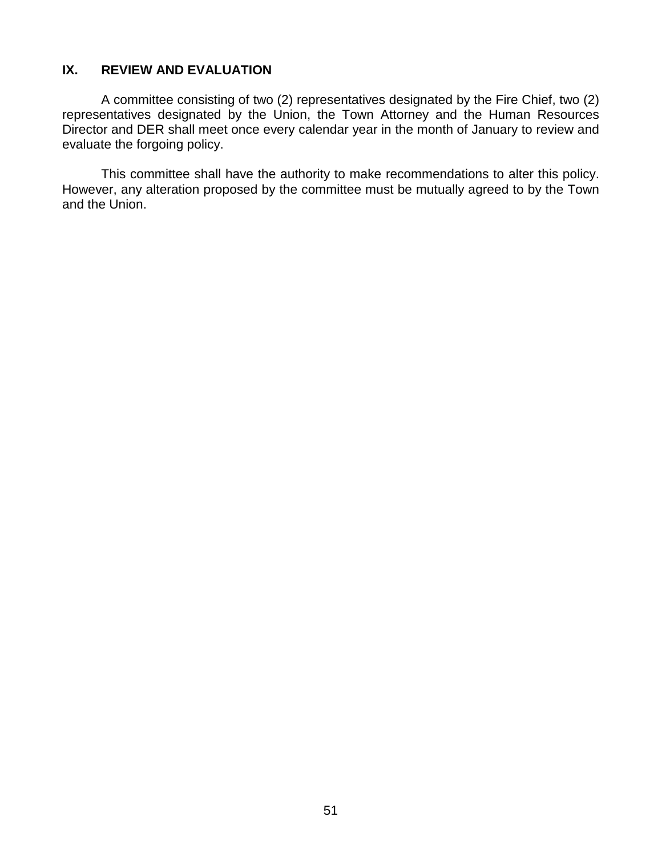### **IX. REVIEW AND EVALUATION**

A committee consisting of two (2) representatives designated by the Fire Chief, two (2) representatives designated by the Union, the Town Attorney and the Human Resources Director and DER shall meet once every calendar year in the month of January to review and evaluate the forgoing policy.

This committee shall have the authority to make recommendations to alter this policy. However, any alteration proposed by the committee must be mutually agreed to by the Town and the Union.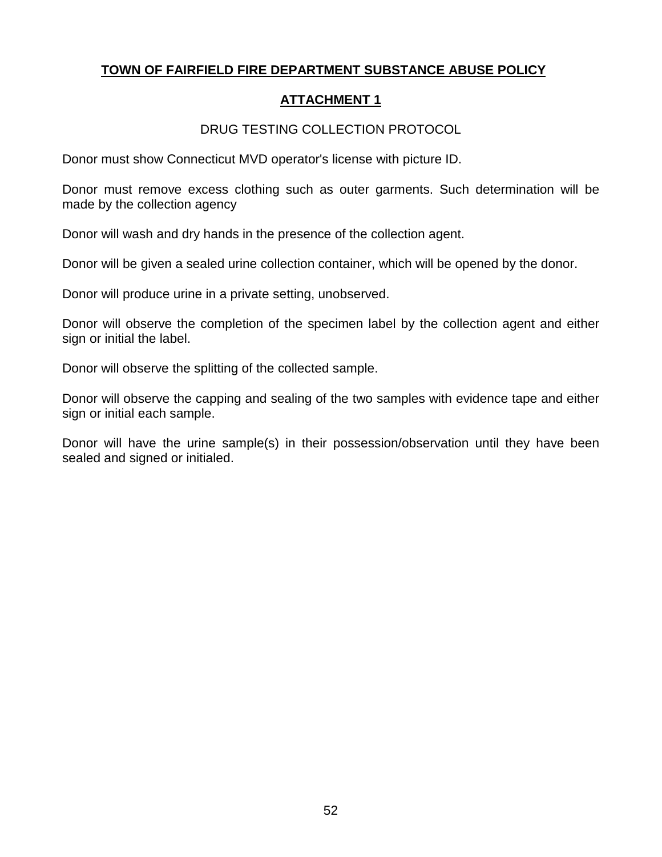# **TOWN OF FAIRFIELD FIRE DEPARTMENT SUBSTANCE ABUSE POLICY**

# **ATTACHMENT 1**

# DRUG TESTING COLLECTION PROTOCOL

Donor must show Connecticut MVD operator's license with picture ID.

Donor must remove excess clothing such as outer garments. Such determination will be made by the collection agency

Donor will wash and dry hands in the presence of the collection agent.

Donor will be given a sealed urine collection container, which will be opened by the donor.

Donor will produce urine in a private setting, unobserved.

Donor will observe the completion of the specimen label by the collection agent and either sign or initial the label.

Donor will observe the splitting of the collected sample.

Donor will observe the capping and sealing of the two samples with evidence tape and either sign or initial each sample.

Donor will have the urine sample(s) in their possession/observation until they have been sealed and signed or initialed.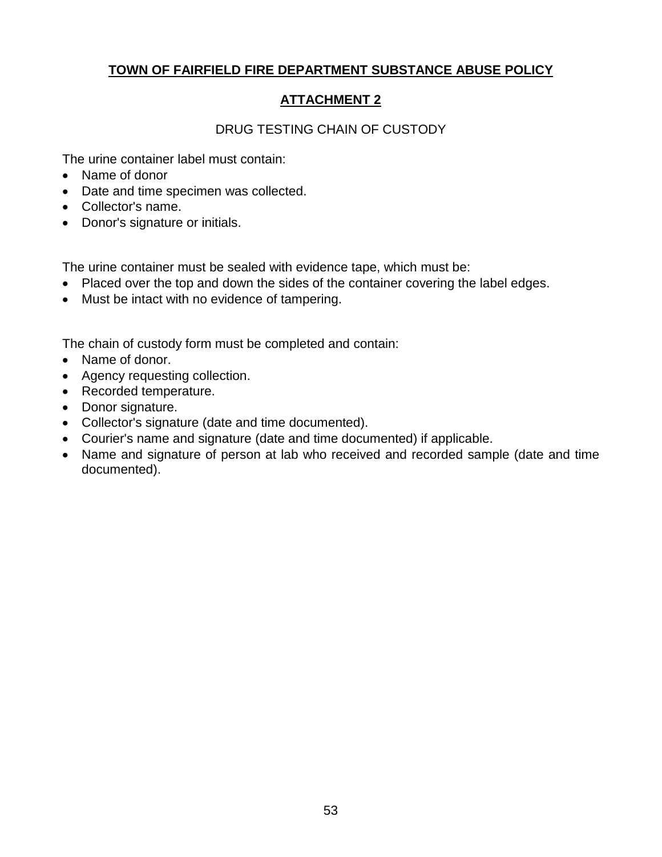# **TOWN OF FAIRFIELD FIRE DEPARTMENT SUBSTANCE ABUSE POLICY**

# **ATTACHMENT 2**

# DRUG TESTING CHAIN OF CUSTODY

The urine container label must contain:

- Name of donor
- Date and time specimen was collected.
- Collector's name.
- Donor's signature or initials.

The urine container must be sealed with evidence tape, which must be:

- Placed over the top and down the sides of the container covering the label edges.
- Must be intact with no evidence of tampering.

The chain of custody form must be completed and contain:

- Name of donor.
- Agency requesting collection.
- Recorded temperature.
- Donor signature.
- Collector's signature (date and time documented).
- Courier's name and signature (date and time documented) if applicable.
- Name and signature of person at lab who received and recorded sample (date and time documented).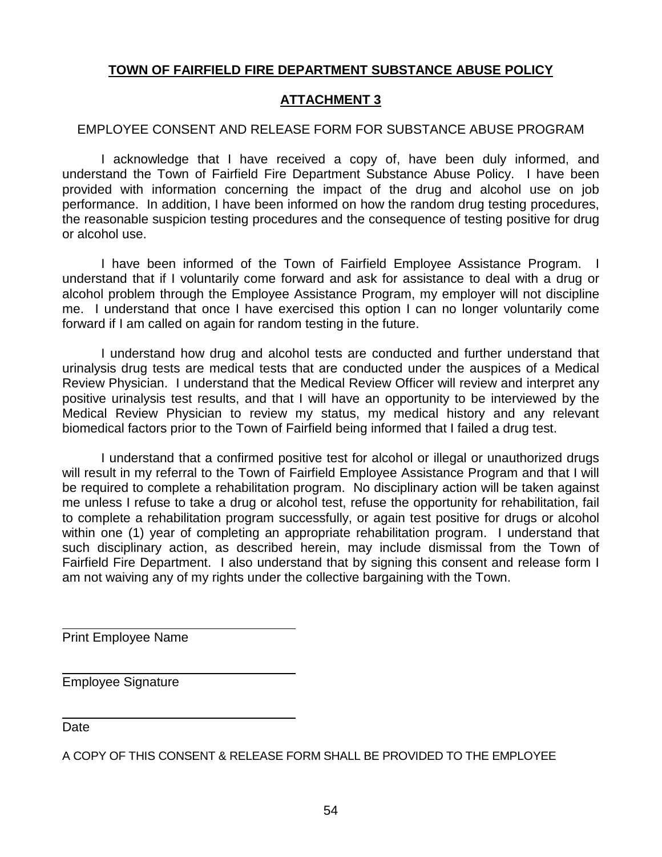# **TOWN OF FAIRFIELD FIRE DEPARTMENT SUBSTANCE ABUSE POLICY**

### **ATTACHMENT 3**

### EMPLOYEE CONSENT AND RELEASE FORM FOR SUBSTANCE ABUSE PROGRAM

I acknowledge that I have received a copy of, have been duly informed, and understand the Town of Fairfield Fire Department Substance Abuse Policy. I have been provided with information concerning the impact of the drug and alcohol use on job performance. In addition, I have been informed on how the random drug testing procedures, the reasonable suspicion testing procedures and the consequence of testing positive for drug or alcohol use.

I have been informed of the Town of Fairfield Employee Assistance Program. I understand that if I voluntarily come forward and ask for assistance to deal with a drug or alcohol problem through the Employee Assistance Program, my employer will not discipline me. I understand that once I have exercised this option I can no longer voluntarily come forward if I am called on again for random testing in the future.

I understand how drug and alcohol tests are conducted and further understand that urinalysis drug tests are medical tests that are conducted under the auspices of a Medical Review Physician. I understand that the Medical Review Officer will review and interpret any positive urinalysis test results, and that I will have an opportunity to be interviewed by the Medical Review Physician to review my status, my medical history and any relevant biomedical factors prior to the Town of Fairfield being informed that I failed a drug test.

I understand that a confirmed positive test for alcohol or illegal or unauthorized drugs will result in my referral to the Town of Fairfield Employee Assistance Program and that I will be required to complete a rehabilitation program. No disciplinary action will be taken against me unless I refuse to take a drug or alcohol test, refuse the opportunity for rehabilitation, fail to complete a rehabilitation program successfully, or again test positive for drugs or alcohol within one (1) year of completing an appropriate rehabilitation program. I understand that such disciplinary action, as described herein, may include dismissal from the Town of Fairfield Fire Department. I also understand that by signing this consent and release form I am not waiving any of my rights under the collective bargaining with the Town.

Print Employee Name

Employee Signature

**Date** 

A COPY OF THIS CONSENT & RELEASE FORM SHALL BE PROVIDED TO THE EMPLOYEE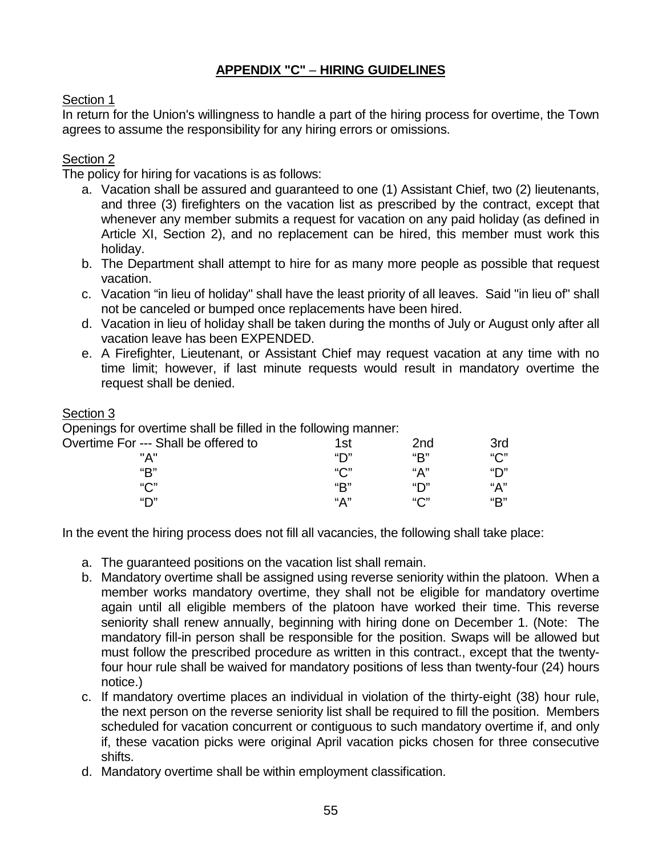# **APPENDIX "C"** – **HIRING GUIDELINES**

# Section 1

In return for the Union's willingness to handle a part of the hiring process for overtime, the Town agrees to assume the responsibility for any hiring errors or omissions.

# Section 2

The policy for hiring for vacations is as follows:

- a. Vacation shall be assured and guaranteed to one (1) Assistant Chief, two (2) lieutenants, and three (3) firefighters on the vacation list as prescribed by the contract, except that whenever any member submits a request for vacation on any paid holiday (as defined in Article XI, Section 2), and no replacement can be hired, this member must work this holiday.
- b. The Department shall attempt to hire for as many more people as possible that request vacation.
- c. Vacation "in lieu of holiday" shall have the least priority of all leaves. Said "in lieu of" shall not be canceled or bumped once replacements have been hired.
- d. Vacation in lieu of holiday shall be taken during the months of July or August only after all vacation leave has been EXPENDED.
- e. A Firefighter, Lieutenant, or Assistant Chief may request vacation at any time with no time limit; however, if last minute requests would result in mandatory overtime the request shall be denied.

### Section 3

Openings for overtime shall be filled in the following manner:

| Overtime For --- Shall be offered to | 1st     | 2nd | 3rd |
|--------------------------------------|---------|-----|-----|
| "A"                                  | "יר     | "R" | "С" |
| "R"                                  | " $C$ " | "Д" | "יר |
| $``\bigcap"$                         | "R"     | "יר | "А" |
| "יר                                  | "Д"     | "∩" | "R" |

In the event the hiring process does not fill all vacancies, the following shall take place:

- a. The guaranteed positions on the vacation list shall remain.
- b. Mandatory overtime shall be assigned using reverse seniority within the platoon. When a member works mandatory overtime, they shall not be eligible for mandatory overtime again until all eligible members of the platoon have worked their time. This reverse seniority shall renew annually, beginning with hiring done on December 1. (Note: The mandatory fill-in person shall be responsible for the position. Swaps will be allowed but must follow the prescribed procedure as written in this contract., except that the twentyfour hour rule shall be waived for mandatory positions of less than twenty-four (24) hours notice.)
- c. If mandatory overtime places an individual in violation of the thirty-eight (38) hour rule, the next person on the reverse seniority list shall be required to fill the position. Members scheduled for vacation concurrent or contiguous to such mandatory overtime if, and only if, these vacation picks were original April vacation picks chosen for three consecutive shifts.
- d. Mandatory overtime shall be within employment classification.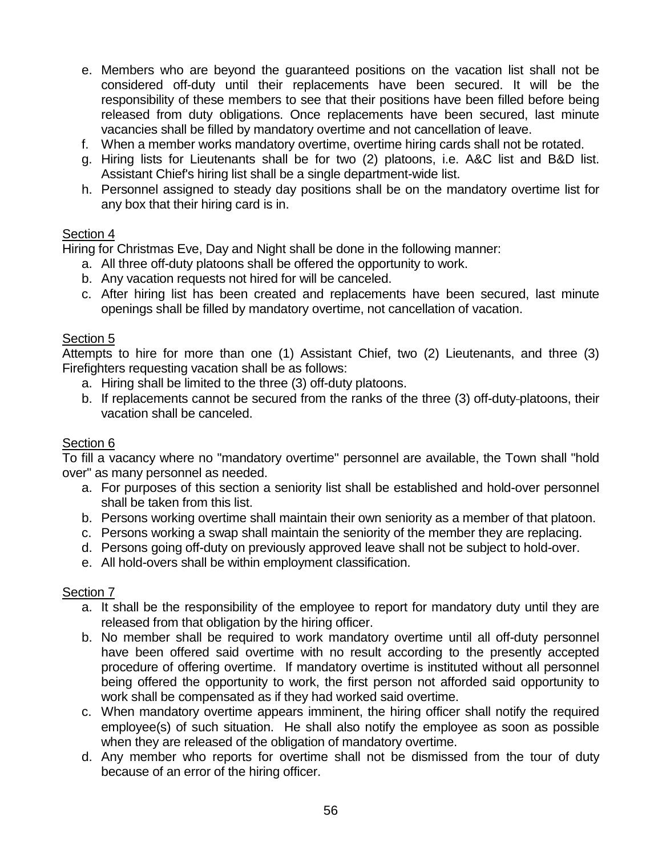- e. Members who are beyond the guaranteed positions on the vacation list shall not be considered off-duty until their replacements have been secured. It will be the responsibility of these members to see that their positions have been filled before being released from duty obligations. Once replacements have been secured, last minute vacancies shall be filled by mandatory overtime and not cancellation of leave.
- f. When a member works mandatory overtime, overtime hiring cards shall not be rotated.
- g. Hiring lists for Lieutenants shall be for two (2) platoons, i.e. A&C list and B&D list. Assistant Chief's hiring list shall be a single department-wide list.
- h. Personnel assigned to steady day positions shall be on the mandatory overtime list for any box that their hiring card is in.

### Section 4

Hiring for Christmas Eve, Day and Night shall be done in the following manner:

- a. All three off-duty platoons shall be offered the opportunity to work.
- b. Any vacation requests not hired for will be canceled.
- c. After hiring list has been created and replacements have been secured, last minute openings shall be filled by mandatory overtime, not cancellation of vacation.

### Section 5

Attempts to hire for more than one (1) Assistant Chief, two (2) Lieutenants, and three (3) Firefighters requesting vacation shall be as follows:

- a. Hiring shall be limited to the three (3) off-duty platoons.
- b. If replacements cannot be secured from the ranks of the three (3) off-duty platoons, their vacation shall be canceled.

### Section 6

To fill a vacancy where no "mandatory overtime" personnel are available, the Town shall "hold over" as many personnel as needed.

- a. For purposes of this section a seniority list shall be established and hold-over personnel shall be taken from this list.
- b. Persons working overtime shall maintain their own seniority as a member of that platoon.
- c. Persons working a swap shall maintain the seniority of the member they are replacing.
- d. Persons going off-duty on previously approved leave shall not be subject to hold-over.
- e. All hold-overs shall be within employment classification.

### Section 7

- a. It shall be the responsibility of the employee to report for mandatory duty until they are released from that obligation by the hiring officer.
- b. No member shall be required to work mandatory overtime until all off-duty personnel have been offered said overtime with no result according to the presently accepted procedure of offering overtime. If mandatory overtime is instituted without all personnel being offered the opportunity to work, the first person not afforded said opportunity to work shall be compensated as if they had worked said overtime.
- c. When mandatory overtime appears imminent, the hiring officer shall notify the required employee(s) of such situation. He shall also notify the employee as soon as possible when they are released of the obligation of mandatory overtime.
- d. Any member who reports for overtime shall not be dismissed from the tour of duty because of an error of the hiring officer.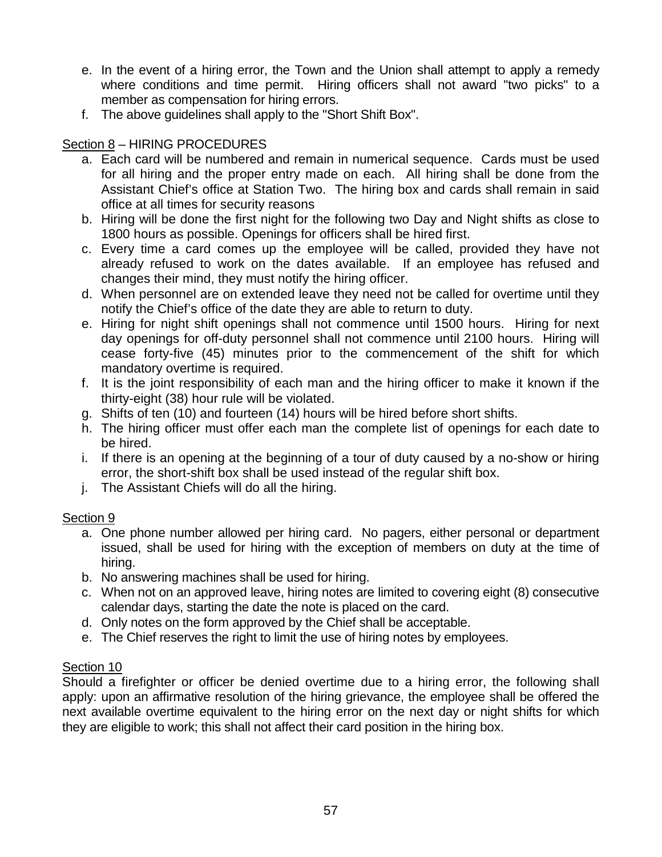- e. In the event of a hiring error, the Town and the Union shall attempt to apply a remedy where conditions and time permit. Hiring officers shall not award "two picks" to a member as compensation for hiring errors.
- f. The above guidelines shall apply to the "Short Shift Box".

# Section 8 – HIRING PROCEDURES

- a. Each card will be numbered and remain in numerical sequence. Cards must be used for all hiring and the proper entry made on each. All hiring shall be done from the Assistant Chief's office at Station Two. The hiring box and cards shall remain in said office at all times for security reasons
- b. Hiring will be done the first night for the following two Day and Night shifts as close to 1800 hours as possible. Openings for officers shall be hired first.
- c. Every time a card comes up the employee will be called, provided they have not already refused to work on the dates available. If an employee has refused and changes their mind, they must notify the hiring officer.
- d. When personnel are on extended leave they need not be called for overtime until they notify the Chief's office of the date they are able to return to duty.
- e. Hiring for night shift openings shall not commence until 1500 hours. Hiring for next day openings for off-duty personnel shall not commence until 2100 hours. Hiring will cease forty-five (45) minutes prior to the commencement of the shift for which mandatory overtime is required.
- f. It is the joint responsibility of each man and the hiring officer to make it known if the thirty-eight (38) hour rule will be violated.
- g. Shifts of ten (10) and fourteen (14) hours will be hired before short shifts.
- h. The hiring officer must offer each man the complete list of openings for each date to be hired.
- i. If there is an opening at the beginning of a tour of duty caused by a no-show or hiring error, the short-shift box shall be used instead of the regular shift box.
- j. The Assistant Chiefs will do all the hiring.

# Section 9

- a. One phone number allowed per hiring card. No pagers, either personal or department issued, shall be used for hiring with the exception of members on duty at the time of hiring.
- b. No answering machines shall be used for hiring.
- c. When not on an approved leave, hiring notes are limited to covering eight (8) consecutive calendar days, starting the date the note is placed on the card.
- d. Only notes on the form approved by the Chief shall be acceptable.
- e. The Chief reserves the right to limit the use of hiring notes by employees.

# Section 10

Should a firefighter or officer be denied overtime due to a hiring error, the following shall apply: upon an affirmative resolution of the hiring grievance, the employee shall be offered the next available overtime equivalent to the hiring error on the next day or night shifts for which they are eligible to work; this shall not affect their card position in the hiring box.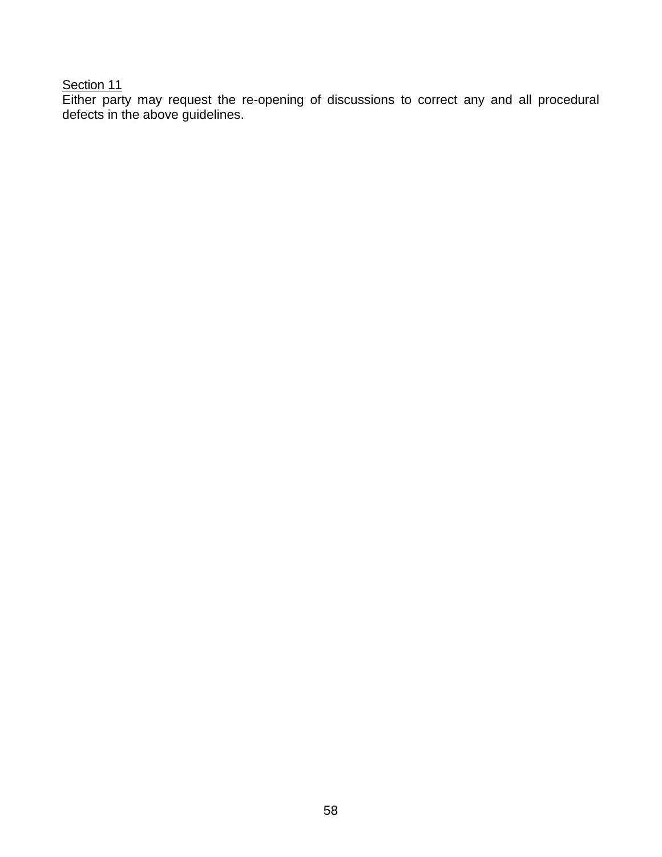### Section 11

Either party may request the re-opening of discussions to correct any and all procedural defects in the above guidelines.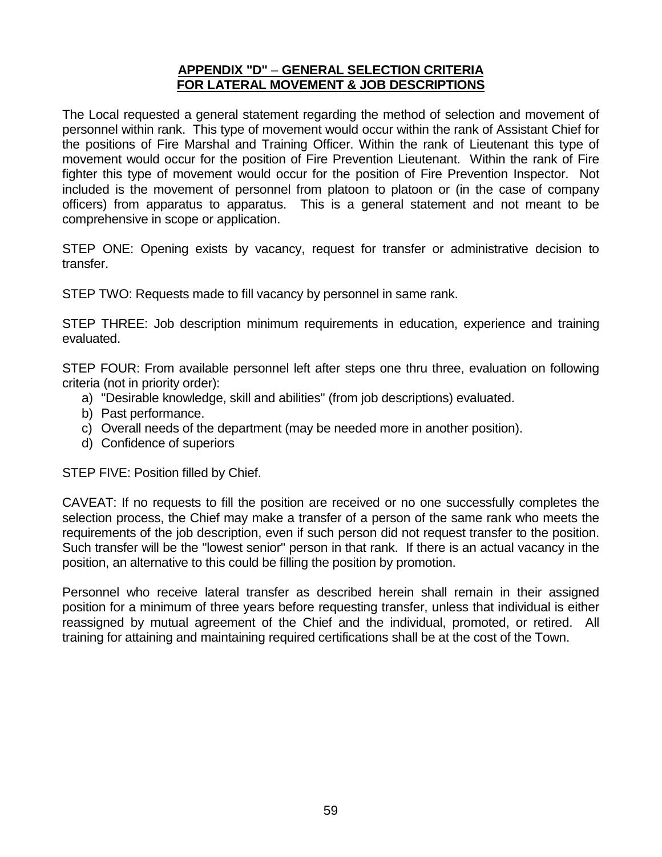### **APPENDIX "D"** – **GENERAL SELECTION CRITERIA FOR LATERAL MOVEMENT & JOB DESCRIPTIONS**

The Local requested a general statement regarding the method of selection and movement of personnel within rank. This type of movement would occur within the rank of Assistant Chief for the positions of Fire Marshal and Training Officer. Within the rank of Lieutenant this type of movement would occur for the position of Fire Prevention Lieutenant. Within the rank of Fire fighter this type of movement would occur for the position of Fire Prevention Inspector. Not included is the movement of personnel from platoon to platoon or (in the case of company officers) from apparatus to apparatus. This is a general statement and not meant to be comprehensive in scope or application.

STEP ONE: Opening exists by vacancy, request for transfer or administrative decision to transfer.

STEP TWO: Requests made to fill vacancy by personnel in same rank.

STEP THREE: Job description minimum requirements in education, experience and training evaluated.

STEP FOUR: From available personnel left after steps one thru three, evaluation on following criteria (not in priority order):

- a) "Desirable knowledge, skill and abilities" (from job descriptions) evaluated.
- b) Past performance.
- c) Overall needs of the department (may be needed more in another position).
- d) Confidence of superiors

STEP FIVE: Position filled by Chief.

CAVEAT: If no requests to fill the position are received or no one successfully completes the selection process, the Chief may make a transfer of a person of the same rank who meets the requirements of the job description, even if such person did not request transfer to the position. Such transfer will be the "lowest senior" person in that rank. If there is an actual vacancy in the position, an alternative to this could be filling the position by promotion.

Personnel who receive lateral transfer as described herein shall remain in their assigned position for a minimum of three years before requesting transfer, unless that individual is either reassigned by mutual agreement of the Chief and the individual, promoted, or retired. All training for attaining and maintaining required certifications shall be at the cost of the Town.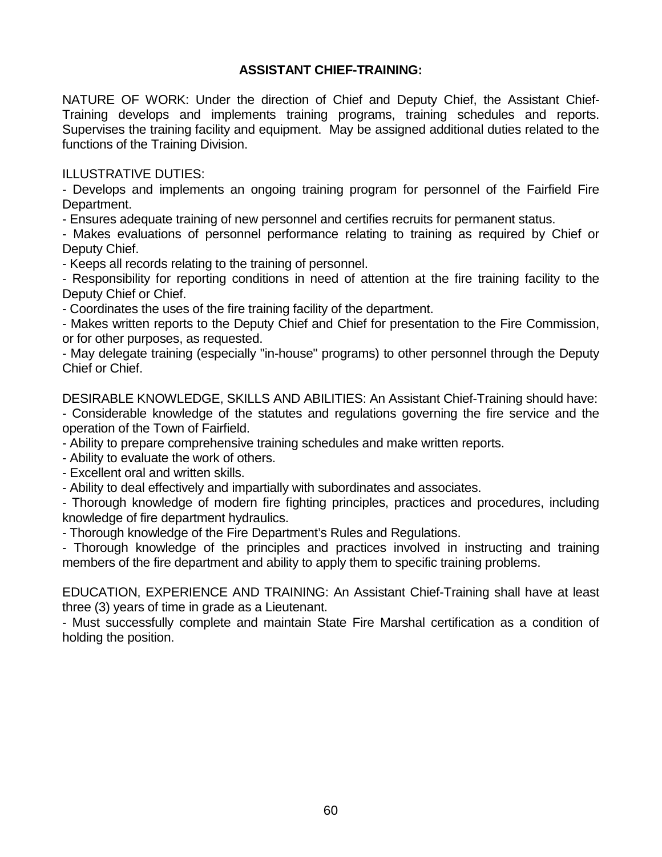# **ASSISTANT CHIEF-TRAINING:**

NATURE OF WORK: Under the direction of Chief and Deputy Chief, the Assistant Chief-Training develops and implements training programs, training schedules and reports. Supervises the training facility and equipment. May be assigned additional duties related to the functions of the Training Division.

ILLUSTRATIVE DUTIES:

- Develops and implements an ongoing training program for personnel of the Fairfield Fire Department.

- Ensures adequate training of new personnel and certifies recruits for permanent status.

- Makes evaluations of personnel performance relating to training as required by Chief or Deputy Chief.

- Keeps all records relating to the training of personnel.

- Responsibility for reporting conditions in need of attention at the fire training facility to the Deputy Chief or Chief.

- Coordinates the uses of the fire training facility of the department.

- Makes written reports to the Deputy Chief and Chief for presentation to the Fire Commission, or for other purposes, as requested.

- May delegate training (especially "in-house" programs) to other personnel through the Deputy Chief or Chief.

DESIRABLE KNOWLEDGE, SKILLS AND ABILITIES: An Assistant Chief-Training should have:

- Considerable knowledge of the statutes and regulations governing the fire service and the operation of the Town of Fairfield.

- Ability to prepare comprehensive training schedules and make written reports.

- Ability to evaluate the work of others.

- Excellent oral and written skills.

- Ability to deal effectively and impartially with subordinates and associates.

- Thorough knowledge of modern fire fighting principles, practices and procedures, including knowledge of fire department hydraulics.

- Thorough knowledge of the Fire Department's Rules and Regulations.

- Thorough knowledge of the principles and practices involved in instructing and training members of the fire department and ability to apply them to specific training problems.

EDUCATION, EXPERIENCE AND TRAINING: An Assistant Chief-Training shall have at least three (3) years of time in grade as a Lieutenant.

- Must successfully complete and maintain State Fire Marshal certification as a condition of holding the position.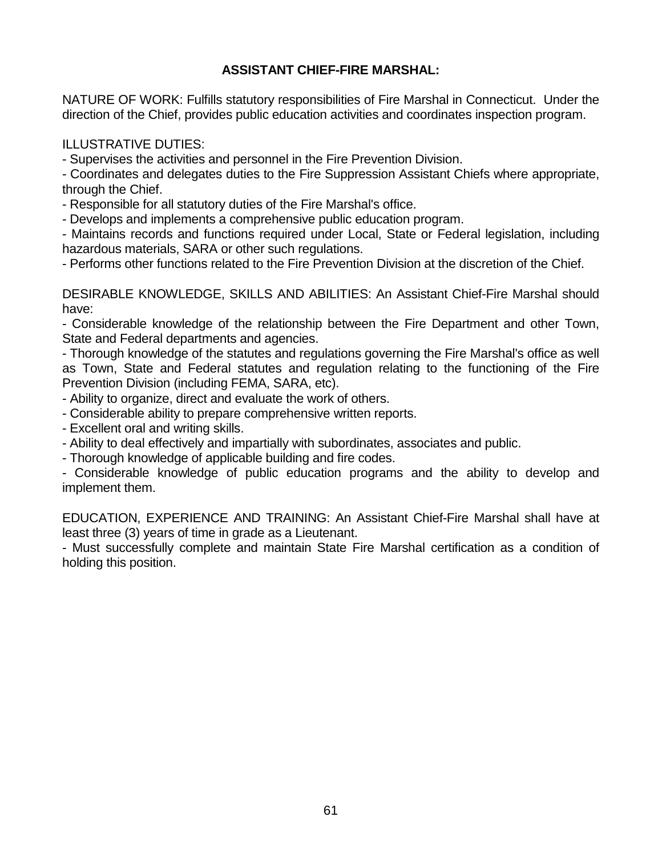# **ASSISTANT CHIEF-FIRE MARSHAL:**

NATURE OF WORK: Fulfills statutory responsibilities of Fire Marshal in Connecticut. Under the direction of the Chief, provides public education activities and coordinates inspection program.

ILLUSTRATIVE DUTIES:

- Supervises the activities and personnel in the Fire Prevention Division.

- Coordinates and delegates duties to the Fire Suppression Assistant Chiefs where appropriate, through the Chief.

- Responsible for all statutory duties of the Fire Marshal's office.

- Develops and implements a comprehensive public education program.

- Maintains records and functions required under Local, State or Federal legislation, including hazardous materials, SARA or other such regulations.

- Performs other functions related to the Fire Prevention Division at the discretion of the Chief.

DESIRABLE KNOWLEDGE, SKILLS AND ABILITIES: An Assistant Chief-Fire Marshal should have:

- Considerable knowledge of the relationship between the Fire Department and other Town, State and Federal departments and agencies.

- Thorough knowledge of the statutes and regulations governing the Fire Marshal's office as well as Town, State and Federal statutes and regulation relating to the functioning of the Fire Prevention Division (including FEMA, SARA, etc).

- Ability to organize, direct and evaluate the work of others.

- Considerable ability to prepare comprehensive written reports.

- Excellent oral and writing skills.

- Ability to deal effectively and impartially with subordinates, associates and public.
- Thorough knowledge of applicable building and fire codes.

- Considerable knowledge of public education programs and the ability to develop and implement them.

EDUCATION, EXPERIENCE AND TRAINING: An Assistant Chief-Fire Marshal shall have at least three (3) years of time in grade as a Lieutenant.

- Must successfully complete and maintain State Fire Marshal certification as a condition of holding this position.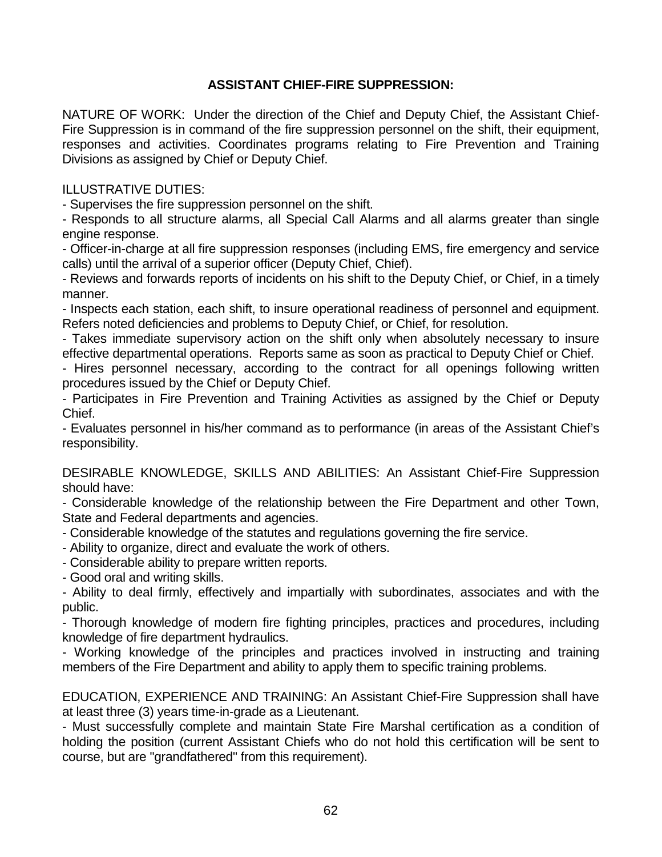# **ASSISTANT CHIEF-FIRE SUPPRESSION:**

NATURE OF WORK: Under the direction of the Chief and Deputy Chief, the Assistant Chief-Fire Suppression is in command of the fire suppression personnel on the shift, their equipment, responses and activities. Coordinates programs relating to Fire Prevention and Training Divisions as assigned by Chief or Deputy Chief.

ILLUSTRATIVE DUTIES:

- Supervises the fire suppression personnel on the shift.

- Responds to all structure alarms, all Special Call Alarms and all alarms greater than single engine response.

- Officer-in-charge at all fire suppression responses (including EMS, fire emergency and service calls) until the arrival of a superior officer (Deputy Chief, Chief).

- Reviews and forwards reports of incidents on his shift to the Deputy Chief, or Chief, in a timely manner.

- Inspects each station, each shift, to insure operational readiness of personnel and equipment. Refers noted deficiencies and problems to Deputy Chief, or Chief, for resolution.

- Takes immediate supervisory action on the shift only when absolutely necessary to insure effective departmental operations. Reports same as soon as practical to Deputy Chief or Chief.

- Hires personnel necessary, according to the contract for all openings following written procedures issued by the Chief or Deputy Chief.

- Participates in Fire Prevention and Training Activities as assigned by the Chief or Deputy Chief.

- Evaluates personnel in his/her command as to performance (in areas of the Assistant Chief's responsibility.

DESIRABLE KNOWLEDGE, SKILLS AND ABILITIES: An Assistant Chief-Fire Suppression should have:

- Considerable knowledge of the relationship between the Fire Department and other Town, State and Federal departments and agencies.

- Considerable knowledge of the statutes and regulations governing the fire service.

- Ability to organize, direct and evaluate the work of others.

- Considerable ability to prepare written reports.

- Good oral and writing skills.

- Ability to deal firmly, effectively and impartially with subordinates, associates and with the public.

- Thorough knowledge of modern fire fighting principles, practices and procedures, including knowledge of fire department hydraulics.

- Working knowledge of the principles and practices involved in instructing and training members of the Fire Department and ability to apply them to specific training problems.

EDUCATION, EXPERIENCE AND TRAINING: An Assistant Chief-Fire Suppression shall have at least three (3) years time-in-grade as a Lieutenant.

- Must successfully complete and maintain State Fire Marshal certification as a condition of holding the position (current Assistant Chiefs who do not hold this certification will be sent to course, but are "grandfathered" from this requirement).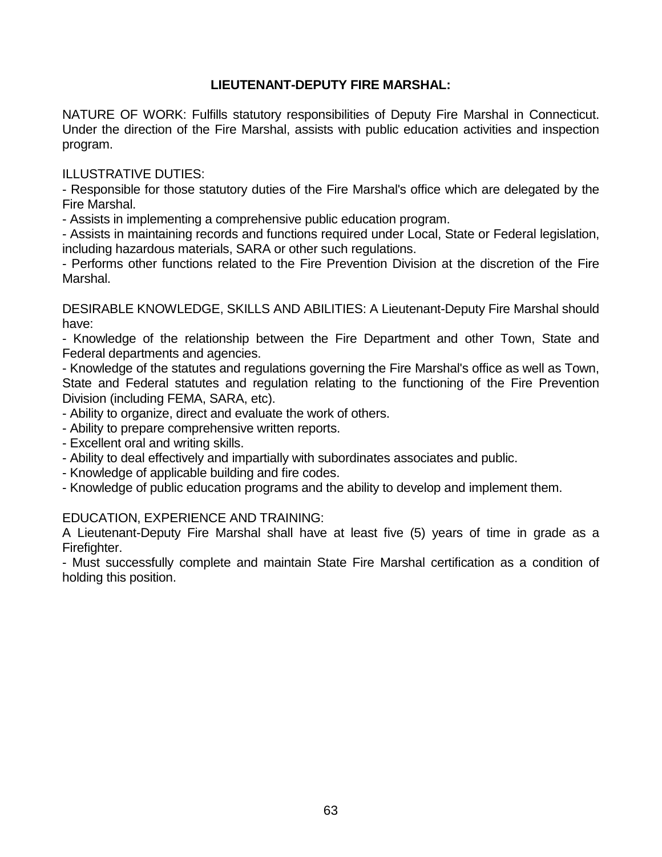# **LIEUTENANT-DEPUTY FIRE MARSHAL:**

NATURE OF WORK: Fulfills statutory responsibilities of Deputy Fire Marshal in Connecticut. Under the direction of the Fire Marshal, assists with public education activities and inspection program.

ILLUSTRATIVE DUTIES:

- Responsible for those statutory duties of the Fire Marshal's office which are delegated by the Fire Marshal.

- Assists in implementing a comprehensive public education program.

- Assists in maintaining records and functions required under Local, State or Federal legislation, including hazardous materials, SARA or other such regulations.

- Performs other functions related to the Fire Prevention Division at the discretion of the Fire Marshal.

DESIRABLE KNOWLEDGE, SKILLS AND ABILITIES: A Lieutenant-Deputy Fire Marshal should have:

- Knowledge of the relationship between the Fire Department and other Town, State and Federal departments and agencies.

- Knowledge of the statutes and regulations governing the Fire Marshal's office as well as Town, State and Federal statutes and regulation relating to the functioning of the Fire Prevention Division (including FEMA, SARA, etc).

- Ability to organize, direct and evaluate the work of others.
- Ability to prepare comprehensive written reports.
- Excellent oral and writing skills.
- Ability to deal effectively and impartially with subordinates associates and public.
- Knowledge of applicable building and fire codes.
- Knowledge of public education programs and the ability to develop and implement them.

### EDUCATION, EXPERIENCE AND TRAINING:

A Lieutenant-Deputy Fire Marshal shall have at least five (5) years of time in grade as a Firefighter.

- Must successfully complete and maintain State Fire Marshal certification as a condition of holding this position.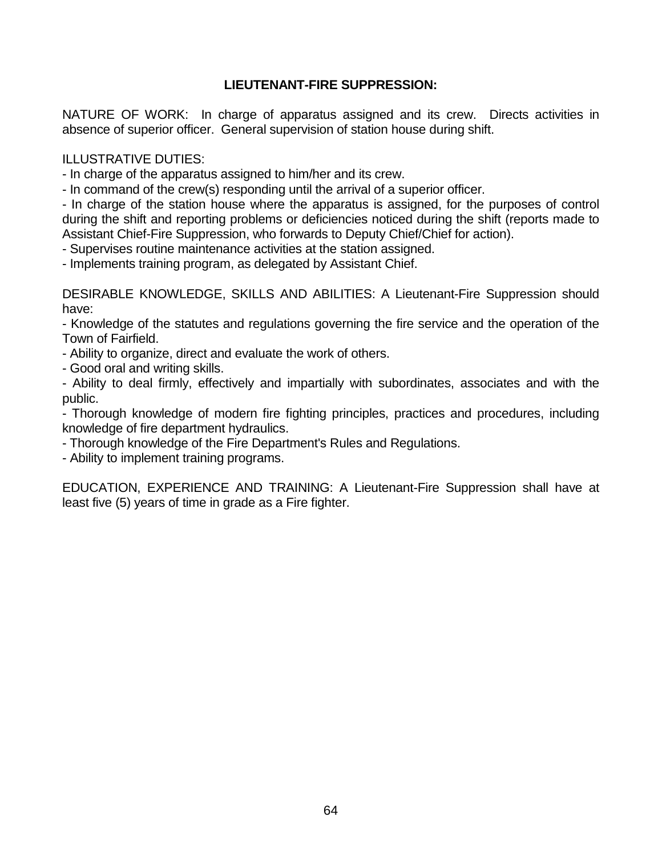# **LIEUTENANT-FIRE SUPPRESSION:**

NATURE OF WORK: In charge of apparatus assigned and its crew. Directs activities in absence of superior officer. General supervision of station house during shift.

#### ILLUSTRATIVE DUTIES:

- In charge of the apparatus assigned to him/her and its crew.

- In command of the crew(s) responding until the arrival of a superior officer.

- In charge of the station house where the apparatus is assigned, for the purposes of control during the shift and reporting problems or deficiencies noticed during the shift (reports made to Assistant Chief-Fire Suppression, who forwards to Deputy Chief/Chief for action).

- Supervises routine maintenance activities at the station assigned.

- Implements training program, as delegated by Assistant Chief.

DESIRABLE KNOWLEDGE, SKILLS AND ABILITIES: A Lieutenant-Fire Suppression should have:

- Knowledge of the statutes and regulations governing the fire service and the operation of the Town of Fairfield.

- Ability to organize, direct and evaluate the work of others.

- Good oral and writing skills.

- Ability to deal firmly, effectively and impartially with subordinates, associates and with the public.

- Thorough knowledge of modern fire fighting principles, practices and procedures, including knowledge of fire department hydraulics.

- Thorough knowledge of the Fire Department's Rules and Regulations.

- Ability to implement training programs.

EDUCATION, EXPERIENCE AND TRAINING: A Lieutenant-Fire Suppression shall have at least five (5) years of time in grade as a Fire fighter.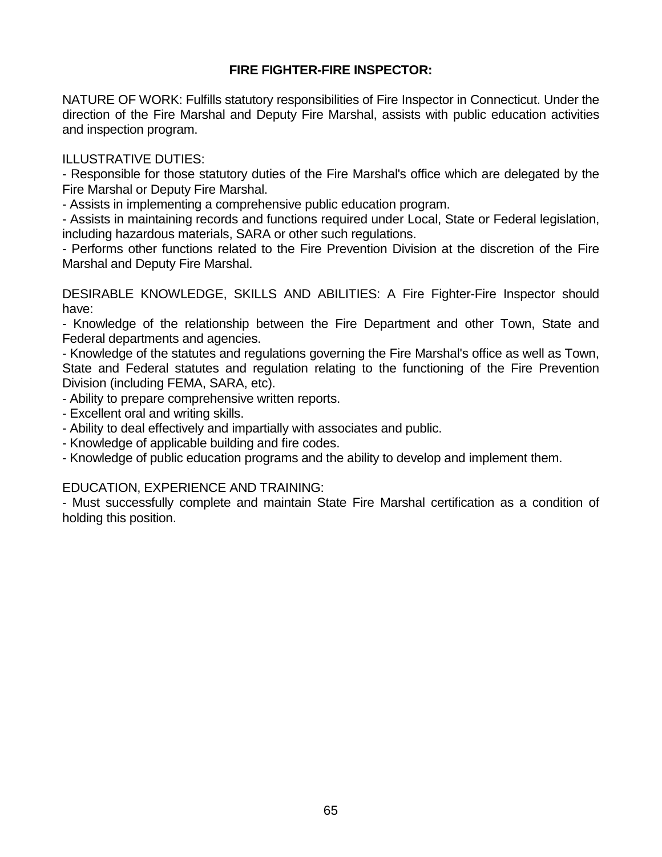# **FIRE FIGHTER-FIRE INSPECTOR:**

NATURE OF WORK: Fulfills statutory responsibilities of Fire Inspector in Connecticut. Under the direction of the Fire Marshal and Deputy Fire Marshal, assists with public education activities and inspection program.

### ILLUSTRATIVE DUTIES:

- Responsible for those statutory duties of the Fire Marshal's office which are delegated by the Fire Marshal or Deputy Fire Marshal.

- Assists in implementing a comprehensive public education program.

- Assists in maintaining records and functions required under Local, State or Federal legislation, including hazardous materials, SARA or other such regulations.

- Performs other functions related to the Fire Prevention Division at the discretion of the Fire Marshal and Deputy Fire Marshal.

DESIRABLE KNOWLEDGE, SKILLS AND ABILITIES: A Fire Fighter-Fire Inspector should have:

- Knowledge of the relationship between the Fire Department and other Town, State and Federal departments and agencies.

- Knowledge of the statutes and regulations governing the Fire Marshal's office as well as Town, State and Federal statutes and regulation relating to the functioning of the Fire Prevention Division (including FEMA, SARA, etc).

- Ability to prepare comprehensive written reports.

- Excellent oral and writing skills.
- Ability to deal effectively and impartially with associates and public.
- Knowledge of applicable building and fire codes.
- Knowledge of public education programs and the ability to develop and implement them.

### EDUCATION, EXPERIENCE AND TRAINING:

- Must successfully complete and maintain State Fire Marshal certification as a condition of holding this position.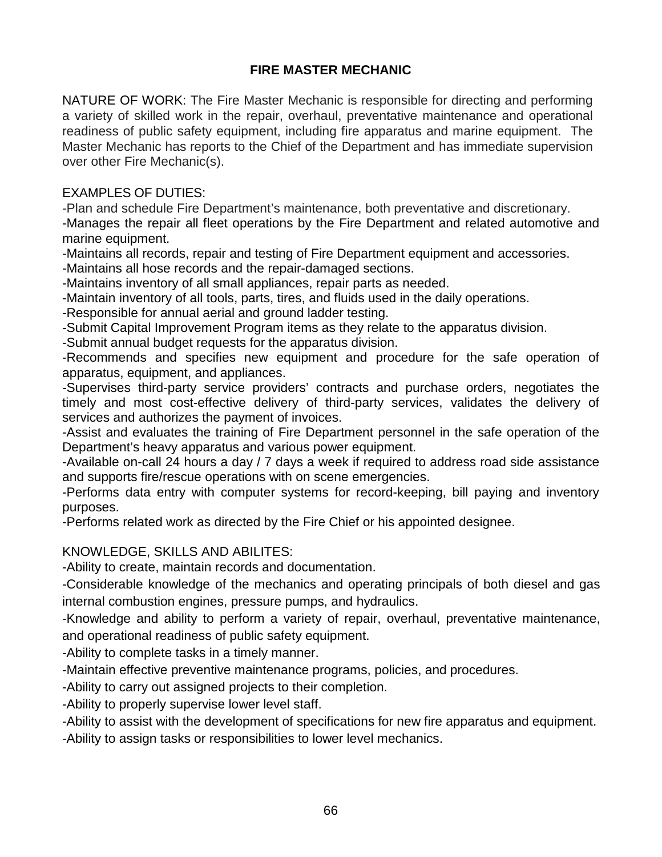# **FIRE MASTER MECHANIC**

NATURE OF WORK: The Fire Master Mechanic is responsible for directing and performing a variety of skilled work in the repair, overhaul, preventative maintenance and operational readiness of public safety equipment, including fire apparatus and marine equipment. The Master Mechanic has reports to the Chief of the Department and has immediate supervision over other Fire Mechanic(s).

# EXAMPLES OF DUTIES:

-Plan and schedule Fire Department's maintenance, both preventative and discretionary.

-Manages the repair all fleet operations by the Fire Department and related automotive and marine equipment.

-Maintains all records, repair and testing of Fire Department equipment and accessories.

-Maintains all hose records and the repair-damaged sections.

-Maintains inventory of all small appliances, repair parts as needed.

-Maintain inventory of all tools, parts, tires, and fluids used in the daily operations.

-Responsible for annual aerial and ground ladder testing.

-Submit Capital Improvement Program items as they relate to the apparatus division.

-Submit annual budget requests for the apparatus division.

-Recommends and specifies new equipment and procedure for the safe operation of apparatus, equipment, and appliances.

-Supervises third-party service providers' contracts and purchase orders, negotiates the timely and most cost-effective delivery of third-party services, validates the delivery of services and authorizes the payment of invoices.

-Assist and evaluates the training of Fire Department personnel in the safe operation of the Department's heavy apparatus and various power equipment.

-Available on-call 24 hours a day / 7 days a week if required to address road side assistance and supports fire/rescue operations with on scene emergencies.

-Performs data entry with computer systems for record-keeping, bill paying and inventory purposes.

-Performs related work as directed by the Fire Chief or his appointed designee.

### KNOWLEDGE, SKILLS AND ABILITES:

-Ability to create, maintain records and documentation.

-Considerable knowledge of the mechanics and operating principals of both diesel and gas internal combustion engines, pressure pumps, and hydraulics.

-Knowledge and ability to perform a variety of repair, overhaul, preventative maintenance, and operational readiness of public safety equipment.

-Ability to complete tasks in a timely manner.

-Maintain effective preventive maintenance programs, policies, and procedures.

-Ability to carry out assigned projects to their completion.

-Ability to properly supervise lower level staff.

-Ability to assist with the development of specifications for new fire apparatus and equipment.

-Ability to assign tasks or responsibilities to lower level mechanics.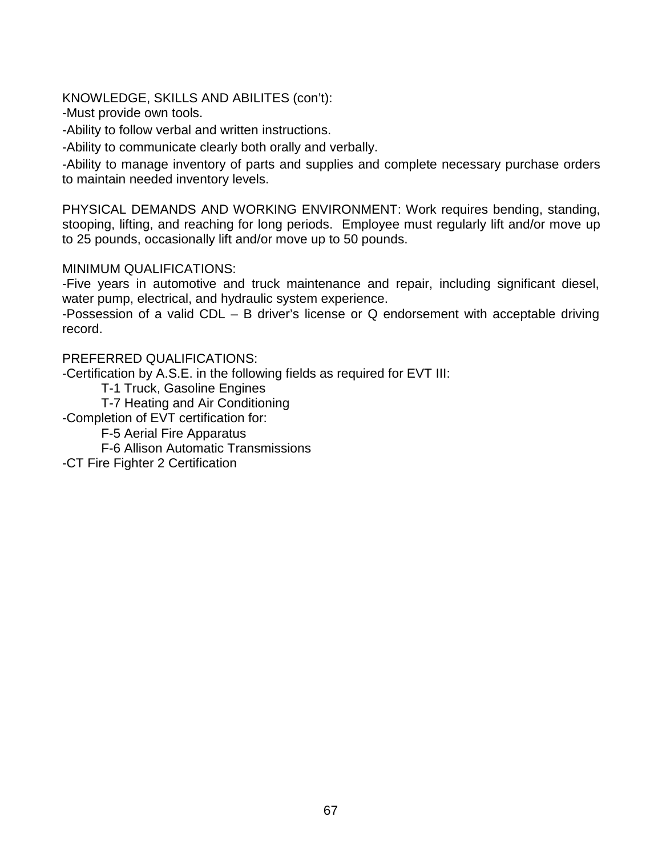KNOWLEDGE, SKILLS AND ABILITES (con't):

-Must provide own tools.

-Ability to follow verbal and written instructions.

-Ability to communicate clearly both orally and verbally.

-Ability to manage inventory of parts and supplies and complete necessary purchase orders to maintain needed inventory levels.

PHYSICAL DEMANDS AND WORKING ENVIRONMENT: Work requires bending, standing, stooping, lifting, and reaching for long periods. Employee must regularly lift and/or move up to 25 pounds, occasionally lift and/or move up to 50 pounds.

### MINIMUM QUALIFICATIONS:

-Five years in automotive and truck maintenance and repair, including significant diesel, water pump, electrical, and hydraulic system experience.

-Possession of a valid CDL – B driver's license or Q endorsement with acceptable driving record.

### PREFERRED QUALIFICATIONS:

-Certification by A.S.E. in the following fields as required for EVT III:

T-1 Truck, Gasoline Engines

T-7 Heating and Air Conditioning

-Completion of EVT certification for:

F-5 Aerial Fire Apparatus

F-6 Allison Automatic Transmissions

-CT Fire Fighter 2 Certification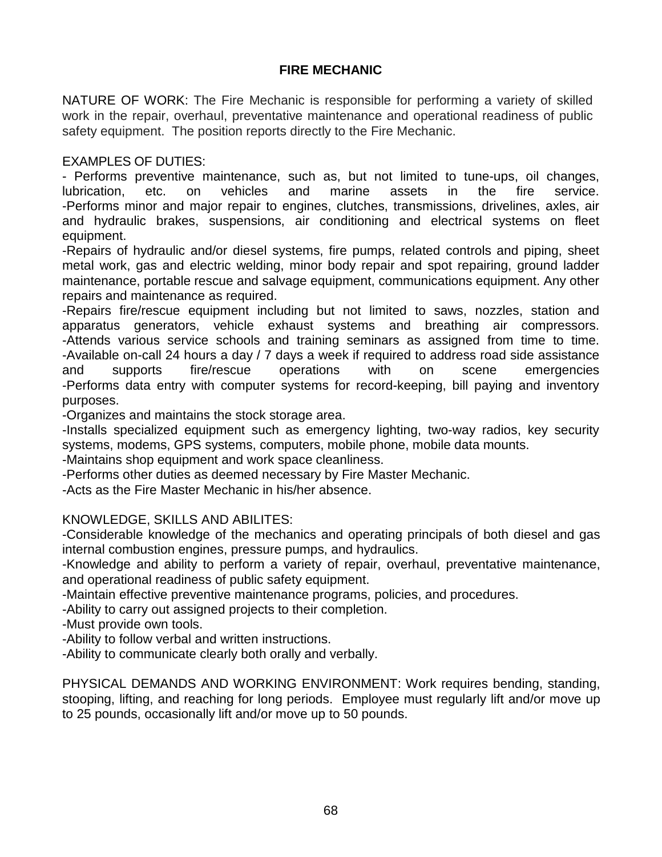# **FIRE MECHANIC**

NATURE OF WORK: The Fire Mechanic is responsible for performing a variety of skilled work in the repair, overhaul, preventative maintenance and operational readiness of public safety equipment. The position reports directly to the Fire Mechanic.

# EXAMPLES OF DUTIES:

- Performs preventive maintenance, such as, but not limited to tune-ups, oil changes, lubrication, etc. on vehicles and marine assets in the fire service. -Performs minor and major repair to engines, clutches, transmissions, drivelines, axles, air and hydraulic brakes, suspensions, air conditioning and electrical systems on fleet equipment.

-Repairs of hydraulic and/or diesel systems, fire pumps, related controls and piping, sheet metal work, gas and electric welding, minor body repair and spot repairing, ground ladder maintenance, portable rescue and salvage equipment, communications equipment. Any other repairs and maintenance as required.

-Repairs fire/rescue equipment including but not limited to saws, nozzles, station and apparatus generators, vehicle exhaust systems and breathing air compressors. -Attends various service schools and training seminars as assigned from time to time. -Available on-call 24 hours a day / 7 days a week if required to address road side assistance and supports fire/rescue operations with on scene emergencies -Performs data entry with computer systems for record-keeping, bill paying and inventory purposes.

-Organizes and maintains the stock storage area.

-Installs specialized equipment such as emergency lighting, two-way radios, key security systems, modems, GPS systems, computers, mobile phone, mobile data mounts.

-Maintains shop equipment and work space cleanliness.

-Performs other duties as deemed necessary by Fire Master Mechanic.

-Acts as the Fire Master Mechanic in his/her absence.

### KNOWLEDGE, SKILLS AND ABILITES:

-Considerable knowledge of the mechanics and operating principals of both diesel and gas internal combustion engines, pressure pumps, and hydraulics.

-Knowledge and ability to perform a variety of repair, overhaul, preventative maintenance, and operational readiness of public safety equipment.

-Maintain effective preventive maintenance programs, policies, and procedures.

-Ability to carry out assigned projects to their completion.

-Must provide own tools.

-Ability to follow verbal and written instructions.

-Ability to communicate clearly both orally and verbally.

PHYSICAL DEMANDS AND WORKING ENVIRONMENT: Work requires bending, standing, stooping, lifting, and reaching for long periods. Employee must regularly lift and/or move up to 25 pounds, occasionally lift and/or move up to 50 pounds.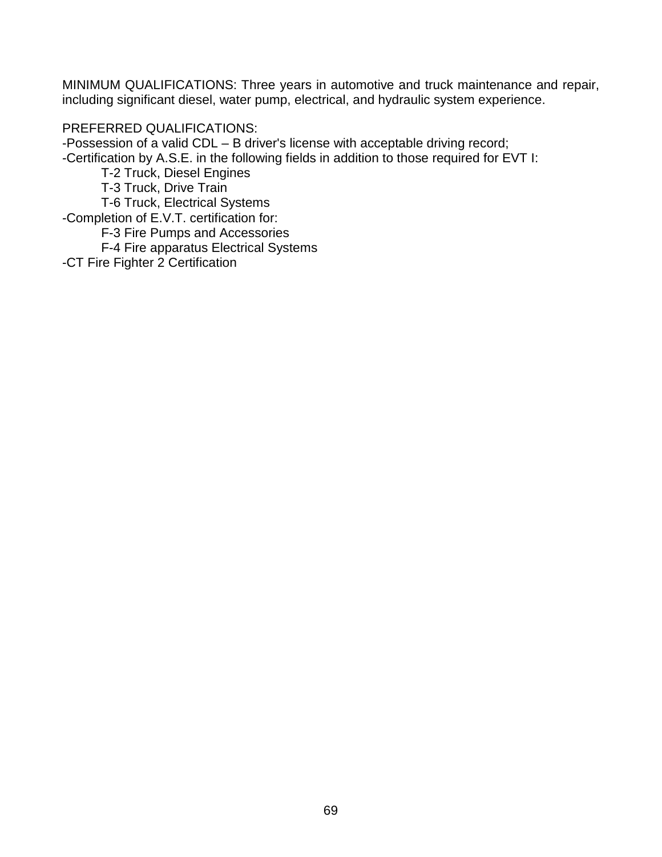MINIMUM QUALIFICATIONS: Three years in automotive and truck maintenance and repair, including significant diesel, water pump, electrical, and hydraulic system experience.

### PREFERRED QUALIFICATIONS:

-Possession of a valid CDL – B driver's license with acceptable driving record;

-Certification by A.S.E. in the following fields in addition to those required for EVT I:

T-2 Truck, Diesel Engines

T-3 Truck, Drive Train

T-6 Truck, Electrical Systems

-Completion of E.V.T. certification for:

F-3 Fire Pumps and Accessories

F-4 Fire apparatus Electrical Systems

-CT Fire Fighter 2 Certification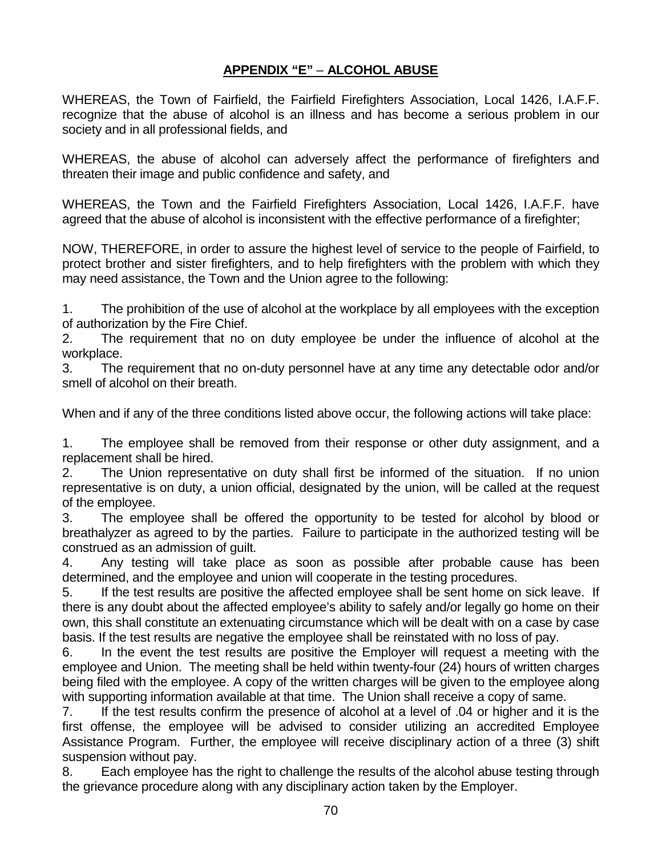## **APPENDIX "E"** – **ALCOHOL ABUSE**

WHEREAS, the Town of Fairfield, the Fairfield Firefighters Association, Local 1426, I.A.F.F. recognize that the abuse of alcohol is an illness and has become a serious problem in our society and in all professional fields, and

WHEREAS, the abuse of alcohol can adversely affect the performance of firefighters and threaten their image and public confidence and safety, and

WHEREAS, the Town and the Fairfield Firefighters Association, Local 1426, I.A.F.F. have agreed that the abuse of alcohol is inconsistent with the effective performance of a firefighter;

NOW, THEREFORE, in order to assure the highest level of service to the people of Fairfield, to protect brother and sister firefighters, and to help firefighters with the problem with which they may need assistance, the Town and the Union agree to the following:

1. The prohibition of the use of alcohol at the workplace by all employees with the exception of authorization by the Fire Chief.

2. The requirement that no on duty employee be under the influence of alcohol at the workplace.

3. The requirement that no on-duty personnel have at any time any detectable odor and/or smell of alcohol on their breath.

When and if any of the three conditions listed above occur, the following actions will take place:

1. The employee shall be removed from their response or other duty assignment, and a replacement shall be hired.

2. The Union representative on duty shall first be informed of the situation. If no union representative is on duty, a union official, designated by the union, will be called at the request of the employee.

3. The employee shall be offered the opportunity to be tested for alcohol by blood or breathalyzer as agreed to by the parties. Failure to participate in the authorized testing will be construed as an admission of guilt.

4. Any testing will take place as soon as possible after probable cause has been determined, and the employee and union will cooperate in the testing procedures.

5. If the test results are positive the affected employee shall be sent home on sick leave. If there is any doubt about the affected employee's ability to safely and/or legally go home on their own, this shall constitute an extenuating circumstance which will be dealt with on a case by case basis. If the test results are negative the employee shall be reinstated with no loss of pay.

6. In the event the test results are positive the Employer will request a meeting with the employee and Union. The meeting shall be held within twenty-four (24) hours of written charges being filed with the employee. A copy of the written charges will be given to the employee along with supporting information available at that time. The Union shall receive a copy of same.

7. If the test results confirm the presence of alcohol at a level of .04 or higher and it is the first offense, the employee will be advised to consider utilizing an accredited Employee Assistance Program. Further, the employee will receive disciplinary action of a three (3) shift suspension without pay.

8. Each employee has the right to challenge the results of the alcohol abuse testing through the grievance procedure along with any disciplinary action taken by the Employer.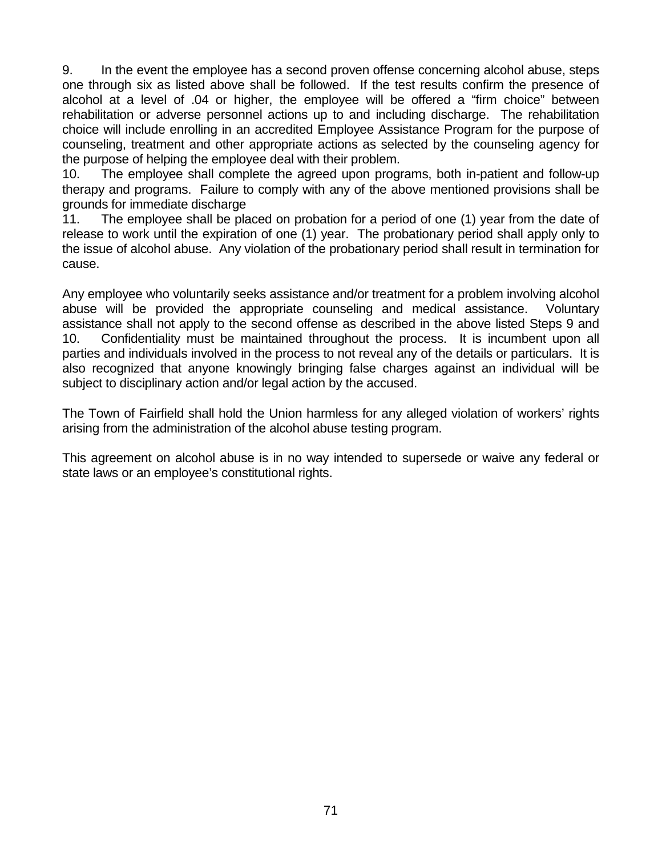9. In the event the employee has a second proven offense concerning alcohol abuse, steps one through six as listed above shall be followed. If the test results confirm the presence of alcohol at a level of .04 or higher, the employee will be offered a "firm choice" between rehabilitation or adverse personnel actions up to and including discharge. The rehabilitation choice will include enrolling in an accredited Employee Assistance Program for the purpose of counseling, treatment and other appropriate actions as selected by the counseling agency for the purpose of helping the employee deal with their problem.

10. The employee shall complete the agreed upon programs, both in-patient and follow-up therapy and programs. Failure to comply with any of the above mentioned provisions shall be grounds for immediate discharge

11. The employee shall be placed on probation for a period of one (1) year from the date of release to work until the expiration of one (1) year. The probationary period shall apply only to the issue of alcohol abuse. Any violation of the probationary period shall result in termination for cause.

Any employee who voluntarily seeks assistance and/or treatment for a problem involving alcohol abuse will be provided the appropriate counseling and medical assistance. Voluntary assistance shall not apply to the second offense as described in the above listed Steps 9 and 10. Confidentiality must be maintained throughout the process. It is incumbent upon all parties and individuals involved in the process to not reveal any of the details or particulars. It is also recognized that anyone knowingly bringing false charges against an individual will be subject to disciplinary action and/or legal action by the accused.

The Town of Fairfield shall hold the Union harmless for any alleged violation of workers' rights arising from the administration of the alcohol abuse testing program.

This agreement on alcohol abuse is in no way intended to supersede or waive any federal or state laws or an employee's constitutional rights.